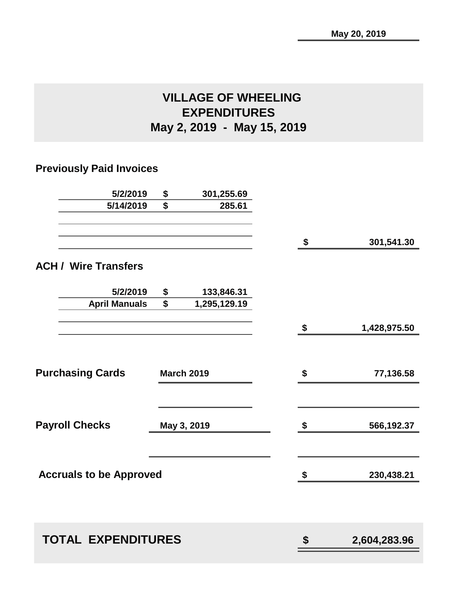# **VILLAGE OF WHEELING EXPENDITURES May 2, 2019 - May 15, 2019**

## **Previously Paid Invoices**

| \$                             | 301,255.69                |                                  |              |
|--------------------------------|---------------------------|----------------------------------|--------------|
| \$                             | 285.61                    |                                  |              |
|                                |                           | \$                               | 301,541.30   |
|                                |                           |                                  |              |
| \$                             | 133,846.31                |                                  |              |
| \$                             | 1,295,129.19              |                                  |              |
|                                |                           | \$                               | 1,428,975.50 |
|                                |                           |                                  |              |
|                                |                           | \$                               | 77,136.58    |
|                                |                           |                                  |              |
|                                |                           | \$                               | 566,192.37   |
|                                |                           |                                  |              |
| <b>Accruals to be Approved</b> |                           | \$                               | 230,438.21   |
|                                |                           |                                  |              |
|                                |                           |                                  | 2,604,283.96 |
|                                | <b>TOTAL EXPENDITURES</b> | <b>March 2019</b><br>May 3, 2019 | \$           |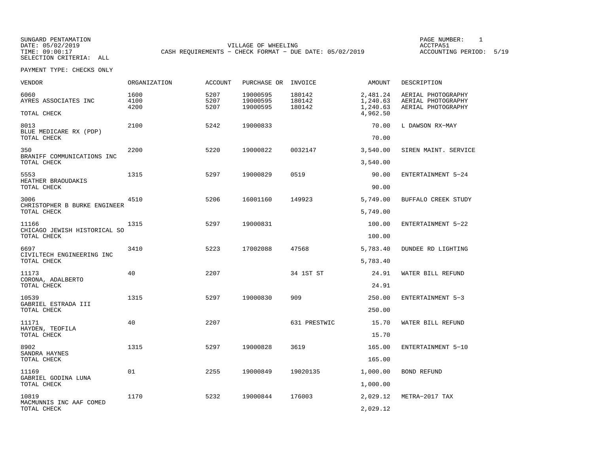SELECTION CRITERIA: ALL

SUNGARD PENTAMATION PAGE NUMBER: 1VILLAGE OF WHEELING **ACCTPA51** TIME: 09:00:17 CASH REQUIREMENTS - CHECK FORMAT - DUE DATE: 05/02/2019

ACCOUNTING PERIOD: 5/19

PAYMENT TYPE: CHECKS ONLY

| <b>VENDOR</b>                                        | <b>ORGANIZATION</b>  | <b>ACCOUNT</b>       | PURCHASE OR                      | INVOICE                    | <b>AMOUNT</b>                    | DESCRIPTION                                                    |
|------------------------------------------------------|----------------------|----------------------|----------------------------------|----------------------------|----------------------------------|----------------------------------------------------------------|
| 6060<br>AYRES ASSOCIATES INC                         | 1600<br>4100<br>4200 | 5207<br>5207<br>5207 | 19000595<br>19000595<br>19000595 | 180142<br>180142<br>180142 | 2,481.24<br>1,240.63<br>1,240.63 | AERIAL PHOTOGRAPHY<br>AERIAL PHOTOGRAPHY<br>AERIAL PHOTOGRAPHY |
| TOTAL CHECK                                          |                      |                      |                                  |                            | 4,962.50                         |                                                                |
| 8013<br>BLUE MEDICARE RX (PDP)<br>TOTAL CHECK        | 2100                 | 5242                 | 19000833                         |                            | 70.00<br>70.00                   | L DAWSON RX-MAY                                                |
| 350<br>BRANIFF COMMUNICATIONS INC                    | 2200                 | 5220                 | 19000822                         | 0032147                    | 3,540.00                         | SIREN MAINT. SERVICE                                           |
| TOTAL CHECK                                          |                      |                      |                                  |                            | 3,540.00                         |                                                                |
| 5553<br>HEATHER BRAOUDAKIS<br>TOTAL CHECK            | 1315                 | 5297                 | 19000829                         | 0519                       | 90.00<br>90.00                   | ENTERTAINMENT 5-24                                             |
| 3006                                                 | 4510                 | 5206                 | 16001160                         | 149923                     | 5,749.00                         | BUFFALO CREEK STUDY                                            |
| CHRISTOPHER B BURKE ENGINEER<br>TOTAL CHECK          |                      |                      |                                  |                            | 5,749.00                         |                                                                |
| 11166<br>CHICAGO JEWISH HISTORICAL SO<br>TOTAL CHECK | 1315                 | 5297                 | 19000831                         |                            | 100.00<br>100.00                 | ENTERTAINMENT 5-22                                             |
| 6697<br>CIVILTECH ENGINEERING INC<br>TOTAL CHECK     | 3410                 | 5223                 | 17002088                         | 47568                      | 5,783.40<br>5,783.40             | DUNDEE RD LIGHTING                                             |
| 11173<br>CORONA, ADALBERTO<br>TOTAL CHECK            | 40                   | 2207                 |                                  | 34 1ST ST                  | 24.91<br>24.91                   | WATER BILL REFUND                                              |
| 10539<br>GABRIEL ESTRADA III<br>TOTAL CHECK          | 1315                 | 5297                 | 19000830                         | 909                        | 250.00<br>250.00                 | ENTERTAINMENT 5-3                                              |
| 11171<br>HAYDEN, TEOFILA<br>TOTAL CHECK              | 40                   | 2207                 |                                  | 631 PRESTWIC               | 15.70<br>15.70                   | WATER BILL REFUND                                              |
| 8902<br>SANDRA HAYNES<br>TOTAL CHECK                 | 1315                 | 5297                 | 19000828                         | 3619                       | 165.00<br>165.00                 | ENTERTAINMENT 5-10                                             |
| 11169<br>GABRIEL GODINA LUNA<br>TOTAL CHECK          | 01                   | 2255                 | 19000849                         | 19020135                   | 1,000.00<br>1,000.00             | BOND REFUND                                                    |
| 10819<br>MACMUNNIS INC AAF COMED<br>TOTAL CHECK      | 1170                 | 5232                 | 19000844                         | 176003                     | 2,029.12<br>2,029.12             | METRA-2017 TAX                                                 |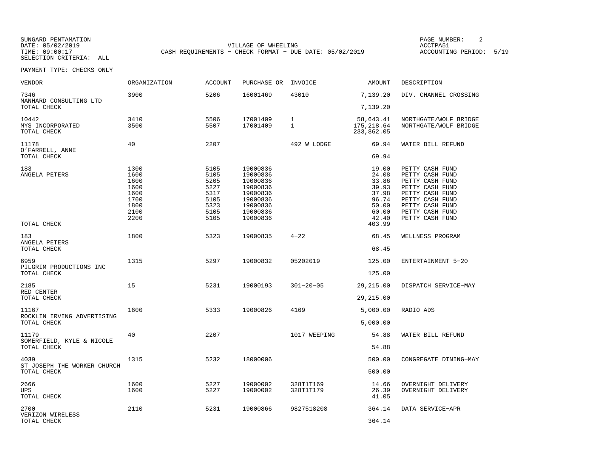SELECTION CRITERIA: ALL

SUNGARD PENTAMATION PAGE NUMBER: 2VILLAGE OF WHEELING **ACCTPA51** TIME: 09:00:17 CASH REQUIREMENTS - CHECK FORMAT - DUE DATE: 05/02/2019

ACCOUNTING PERIOD: 5/19

PAYMENT TYPE: CHECKS ONLY

| <b>VENDOR</b>                             | <b>ORGANIZATION</b>                                                  | <b>ACCOUNT</b>                                                       | PURCHASE OR                                                                                              | INVOICE                | AMOUNT                                                                                  | DESCRIPTION                                                                                                                                                             |
|-------------------------------------------|----------------------------------------------------------------------|----------------------------------------------------------------------|----------------------------------------------------------------------------------------------------------|------------------------|-----------------------------------------------------------------------------------------|-------------------------------------------------------------------------------------------------------------------------------------------------------------------------|
| 7346                                      | 3900                                                                 | 5206                                                                 | 16001469                                                                                                 | 43010                  | 7,139.20                                                                                | DIV. CHANNEL CROSSING                                                                                                                                                   |
| MANHARD CONSULTING LTD<br>TOTAL CHECK     |                                                                      |                                                                      |                                                                                                          |                        | 7,139.20                                                                                |                                                                                                                                                                         |
| 10442<br>MYS INCORPORATED                 | 3410<br>3500                                                         | 5506<br>5507                                                         | 17001409<br>17001409                                                                                     | $\mathbf{1}$<br>1      | 58,643.41<br>175,218.64                                                                 | NORTHGATE/WOLF BRIDGE<br>NORTHGATE/WOLF BRIDGE                                                                                                                          |
| TOTAL CHECK                               |                                                                      |                                                                      |                                                                                                          |                        | 233,862.05                                                                              |                                                                                                                                                                         |
| 11178<br>O'FARRELL, ANNE                  | 40                                                                   | 2207                                                                 |                                                                                                          | 492 W LODGE            | 69.94                                                                                   | WATER BILL REFUND                                                                                                                                                       |
| TOTAL CHECK                               |                                                                      |                                                                      |                                                                                                          |                        | 69.94                                                                                   |                                                                                                                                                                         |
| 183<br>ANGELA PETERS<br>TOTAL CHECK       | 1300<br>1600<br>1600<br>1600<br>1600<br>1700<br>1800<br>2100<br>2200 | 5105<br>5105<br>5205<br>5227<br>5317<br>5105<br>5323<br>5105<br>5105 | 19000836<br>19000836<br>19000836<br>19000836<br>19000836<br>19000836<br>19000836<br>19000836<br>19000836 |                        | 19.00<br>24.08<br>33.86<br>39.93<br>37.98<br>96.74<br>50.00<br>60.00<br>42.40<br>403.99 | PETTY CASH FUND<br>PETTY CASH FUND<br>PETTY CASH FUND<br>PETTY CASH FUND<br>PETTY CASH FUND<br>PETTY CASH FUND<br>PETTY CASH FUND<br>PETTY CASH FUND<br>PETTY CASH FUND |
| 183<br>ANGELA PETERS                      | 1800                                                                 | 5323                                                                 | 19000835                                                                                                 | $4 - 22$               | 68.45                                                                                   | WELLNESS PROGRAM                                                                                                                                                        |
| TOTAL CHECK                               |                                                                      |                                                                      |                                                                                                          |                        | 68.45                                                                                   |                                                                                                                                                                         |
| 6959<br>PILGRIM PRODUCTIONS INC           | 1315                                                                 | 5297                                                                 | 19000832                                                                                                 | 05202019               | 125.00                                                                                  | ENTERTAINMENT 5-20                                                                                                                                                      |
| TOTAL CHECK                               |                                                                      |                                                                      |                                                                                                          |                        | 125.00                                                                                  |                                                                                                                                                                         |
| 2185<br>RED CENTER<br>TOTAL CHECK         | 15                                                                   | 5231                                                                 | 19000193                                                                                                 | $301 - 20 - 05$        | 29, 215.00<br>29, 215.00                                                                | DISPATCH SERVICE-MAY                                                                                                                                                    |
| 11167                                     | 1600                                                                 | 5333                                                                 | 19000826                                                                                                 | 4169                   | 5,000.00                                                                                | RADIO ADS                                                                                                                                                               |
| ROCKLIN IRVING ADVERTISING<br>TOTAL CHECK |                                                                      |                                                                      |                                                                                                          |                        | 5,000.00                                                                                |                                                                                                                                                                         |
| 11179                                     | 40                                                                   | 2207                                                                 |                                                                                                          | 1017 WEEPING           | 54.88                                                                                   | WATER BILL REFUND                                                                                                                                                       |
| SOMERFIELD, KYLE & NICOLE<br>TOTAL CHECK  |                                                                      |                                                                      |                                                                                                          |                        | 54.88                                                                                   |                                                                                                                                                                         |
| 4039<br>ST JOSEPH THE WORKER CHURCH       | 1315                                                                 | 5232                                                                 | 18000006                                                                                                 |                        | 500.00                                                                                  | CONGREGATE DINING-MAY                                                                                                                                                   |
| TOTAL CHECK                               |                                                                      |                                                                      |                                                                                                          |                        | 500.00                                                                                  |                                                                                                                                                                         |
| 2666<br>UPS.<br>TOTAL CHECK               | 1600<br>1600                                                         | 5227<br>5227                                                         | 19000002<br>19000002                                                                                     | 328T1T169<br>328T1T179 | 14.66<br>26.39<br>41.05                                                                 | OVERNIGHT DELIVERY<br>OVERNIGHT DELIVERY                                                                                                                                |
| 2700<br>VERIZON WIRELESS<br>TOTAL CHECK   | 2110                                                                 | 5231                                                                 | 19000866                                                                                                 | 9827518208             | 364.14<br>364.14                                                                        | DATA SERVICE-APR                                                                                                                                                        |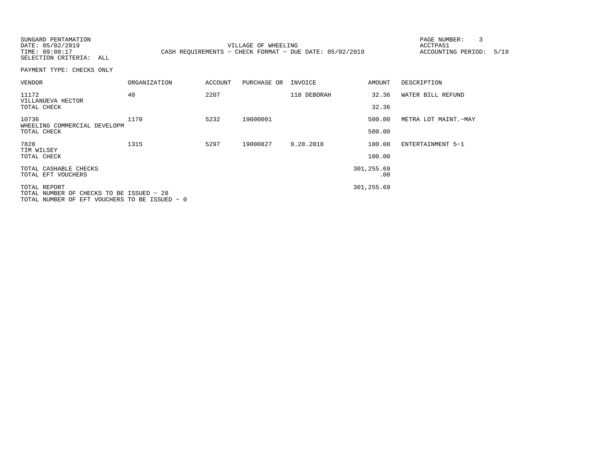SUNGARD PENTAMATION PAGE NUMBER: 3DATE: 05/02/2019 VILLAGE OF WHEELING ACCTPA51TIME: 09:00:17 CASH REQUIREMENTS - CHECK FORMAT - DUE DATE: 05/02/2019 SELECTION CRITERIA: ALL

ACCOUNTING PERIOD: 5/19

PAYMENT TYPE: CHECKS ONLY

| <b>ORGANIZATION</b>                      | <b>ACCOUNT</b>                                | PURCHASE OR | INVOICE     | AMOUNT     | DESCRIPTION          |
|------------------------------------------|-----------------------------------------------|-------------|-------------|------------|----------------------|
| 40                                       | 2207                                          |             | 118 DEBORAH | 32.36      | WATER BILL REFUND    |
|                                          |                                               |             |             |            |                      |
| 1170                                     | 5232                                          | 19000001    |             | 500.00     | METRA LOT MAINT.-MAY |
|                                          |                                               |             |             | 500.00     |                      |
| 1315                                     | 5297                                          | 19000827    | 9.28.2018   | 100.00     | ENTERTAINMENT 5-1    |
|                                          |                                               |             |             | 100.00     |                      |
|                                          |                                               |             |             | 301,255.69 |                      |
|                                          |                                               |             |             |            |                      |
| TOTAL NUMBER OF CHECKS TO BE ISSUED - 28 |                                               |             |             | 301,255.69 |                      |
|                                          | TOTAL NUMBER OF EFT VOUCHERS TO BE ISSUED - 0 |             |             |            | 32.36<br>.00         |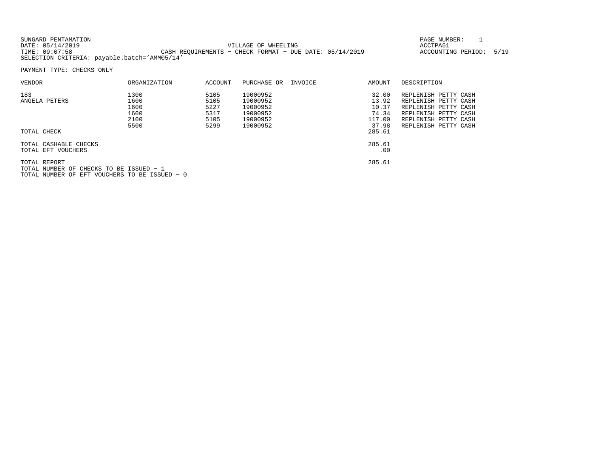| SUNGARD PENTAMATION                          |                                                           | PAGE NUMBER:            |  |
|----------------------------------------------|-----------------------------------------------------------|-------------------------|--|
| DATE: 05/14/2019                             | VILLAGE OF WHEELING                                       | ACCTPA51                |  |
| TIME: 09:07:58                               | CASH REOUIREMENTS - CHECK FORMAT - DUE DATE: $05/14/2019$ | ACCOUNTING PERIOD: 5/19 |  |
| SELECTION CRITERIA: payable.batch='AMM05/14' |                                                           |                         |  |

PAYMENT TYPE: CHECKS ONLY

| <b>VENDOR</b>                                           | ORGANIZATION         | ACCOUNT              | PURCHASE OR                      | INVOICE | AMOUNT                   | DESCRIPTION                                                          |
|---------------------------------------------------------|----------------------|----------------------|----------------------------------|---------|--------------------------|----------------------------------------------------------------------|
| 183<br>ANGELA PETERS                                    | 1300<br>1600<br>1600 | 5105<br>5105<br>5227 | 19000952<br>19000952<br>19000952 |         | 32.00<br>13.92<br>10.37  | REPLENISH PETTY CASH<br>REPLENISH PETTY CASH<br>REPLENISH PETTY CASH |
|                                                         | 1600<br>2100<br>5500 | 5317<br>5105<br>5299 | 19000952<br>19000952<br>19000952 |         | 74.34<br>117.00<br>37.98 | REPLENISH PETTY CASH<br>REPLENISH PETTY CASH<br>REPLENISH PETTY CASH |
| TOTAL CHECK                                             |                      |                      |                                  |         | 285.61                   |                                                                      |
| TOTAL CASHABLE CHECKS<br>TOTAL EFT VOUCHERS             |                      |                      |                                  |         | 285.61<br>.00.           |                                                                      |
| TOTAL REPORT<br>TOTAL NUMBER OF CHECKS TO BE ISSUED - 1 |                      |                      |                                  |         | 285.61                   |                                                                      |

TOTAL NUMBER OF EFT VOUCHERS TO BE ISSUED − 0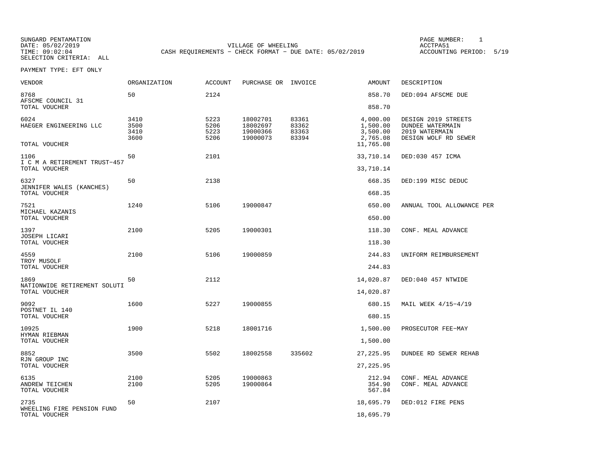SELECTION CRITERIA: ALL

SUNGARD PENTAMATION PAGE NUMBER: 1DATE: 05/02/2019 VILLAGE OF WHEELING ACCTPA51CASH REQUIREMENTS - CHECK FORMAT - DUE DATE: 05/02/2019

ACCOUNTING PERIOD: 5/19

PAYMENT TYPE: EFT ONLY

| VENDOR                                            | ORGANIZATION                 | <b>ACCOUNT</b>               | PURCHASE OR INVOICE                          |                                  | AMOUNT                                       | DESCRIPTION                                                                              |
|---------------------------------------------------|------------------------------|------------------------------|----------------------------------------------|----------------------------------|----------------------------------------------|------------------------------------------------------------------------------------------|
| 8768<br>AFSCME COUNCIL 31                         | 50                           | 2124                         |                                              |                                  | 858.70                                       | DED:094 AFSCME DUE                                                                       |
| TOTAL VOUCHER                                     |                              |                              |                                              |                                  | 858.70                                       |                                                                                          |
| 6024<br>HAEGER ENGINEERING LLC                    | 3410<br>3500<br>3410<br>3600 | 5223<br>5206<br>5223<br>5206 | 18002701<br>18002697<br>19000366<br>19000073 | 83361<br>83362<br>83363<br>83394 | 4,000.00<br>1,500.00<br>3,500.00<br>2,765.08 | DESIGN 2019 STREETS<br><b>DUNDEE WATERMAIN</b><br>2019 WATERMAIN<br>DESIGN WOLF RD SEWER |
| TOTAL VOUCHER                                     |                              |                              |                                              |                                  | 11,765.08                                    |                                                                                          |
| 1106<br>I C M A RETIREMENT TRUST-457              | 50                           | 2101                         |                                              |                                  | 33,710.14                                    | DED:030 457 ICMA                                                                         |
| TOTAL VOUCHER                                     |                              |                              |                                              |                                  | 33,710.14                                    |                                                                                          |
| 6327<br>JENNIFER WALES (KANCHES)<br>TOTAL VOUCHER | 50                           | 2138                         |                                              |                                  | 668.35<br>668.35                             | DED:199 MISC DEDUC                                                                       |
|                                                   |                              |                              |                                              |                                  |                                              |                                                                                          |
| 7521<br>MICHAEL KAZANIS                           | 1240                         | 5106                         | 19000847                                     |                                  | 650.00                                       | ANNUAL TOOL ALLOWANCE PER                                                                |
| TOTAL VOUCHER                                     |                              |                              |                                              |                                  | 650.00                                       |                                                                                          |
| 1397<br>JOSEPH LICARI                             | 2100                         | 5205                         | 19000301                                     |                                  | 118.30                                       | CONF. MEAL ADVANCE                                                                       |
| TOTAL VOUCHER                                     |                              |                              |                                              |                                  | 118.30                                       |                                                                                          |
| 4559<br>TROY MUSOLF                               | 2100                         | 5106                         | 19000859                                     |                                  | 244.83                                       | UNIFORM REIMBURSEMENT                                                                    |
| TOTAL VOUCHER                                     |                              |                              |                                              |                                  | 244.83                                       |                                                                                          |
| 1869<br>NATIONWIDE RETIREMENT SOLUTI              | 50                           | 2112                         |                                              |                                  | 14,020.87                                    | DED:040 457 NTWIDE                                                                       |
| TOTAL VOUCHER                                     |                              |                              |                                              |                                  | 14,020.87                                    |                                                                                          |
| 9092<br>POSTNET IL 140                            | 1600                         | 5227                         | 19000855                                     |                                  | 680.15                                       | MAIL WEEK 4/15-4/19                                                                      |
| TOTAL VOUCHER                                     |                              |                              |                                              |                                  | 680.15                                       |                                                                                          |
| 10925<br>HYMAN RIEBMAN                            | 1900                         | 5218                         | 18001716                                     |                                  | 1,500.00                                     | PROSECUTOR FEE-MAY                                                                       |
| TOTAL VOUCHER                                     |                              |                              |                                              |                                  | 1,500.00                                     |                                                                                          |
| 8852<br>RJN GROUP INC                             | 3500                         | 5502                         | 18002558                                     | 335602                           | 27, 225.95                                   | DUNDEE RD SEWER REHAB                                                                    |
| TOTAL VOUCHER                                     |                              |                              |                                              |                                  | 27, 225.95                                   |                                                                                          |
| 6135<br>ANDREW TEICHEN<br>TOTAL VOUCHER           | 2100<br>2100                 | 5205<br>5205                 | 19000863<br>19000864                         |                                  | 212.94<br>354.90<br>567.84                   | CONF. MEAL ADVANCE<br>CONF. MEAL ADVANCE                                                 |
| 2735                                              | 50                           | 2107                         |                                              |                                  | 18,695.79                                    | DED:012 FIRE PENS                                                                        |
| WHEELING FIRE PENSION FUND<br>TOTAL VOUCHER       |                              |                              |                                              |                                  | 18,695.79                                    |                                                                                          |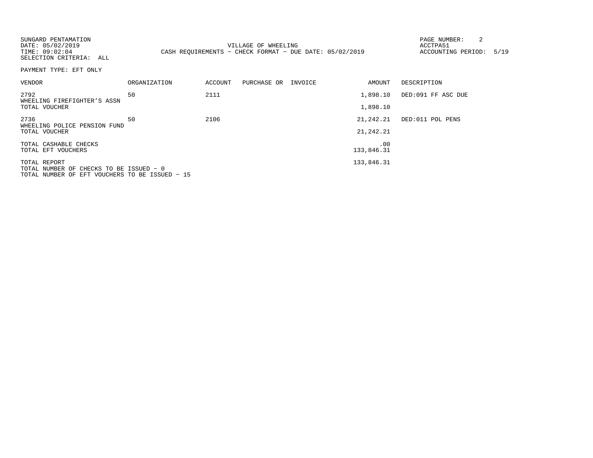| SUNGARD PENTAMATION<br>DATE: 05/02/2019<br>TIME: 09:02:04<br>SELECTION CRITERIA: ALL |                     |         | VILLAGE OF WHEELING<br>CASH REQUIREMENTS - CHECK FORMAT - DUE DATE: 05/02/2019 |                   | 2<br>PAGE NUMBER:<br>ACCTPA51<br>ACCOUNTING PERIOD: 5/19 |  |
|--------------------------------------------------------------------------------------|---------------------|---------|--------------------------------------------------------------------------------|-------------------|----------------------------------------------------------|--|
| PAYMENT TYPE: EFT ONLY                                                               |                     |         |                                                                                |                   |                                                          |  |
| VENDOR                                                                               | <b>ORGANIZATION</b> | ACCOUNT | PURCHASE OR INVOICE                                                            | AMOUNT            | DESCRIPTION                                              |  |
| 2792<br>WHEELING FIREFIGHTER'S ASSN                                                  | 50                  | 2111    |                                                                                | 1,898.10          | DED:091 FF ASC DUE                                       |  |
| TOTAL VOUCHER                                                                        |                     |         |                                                                                | 1,898.10          |                                                          |  |
| 2736<br>WHEELING POLICE PENSION FUND                                                 | 50                  | 2106    |                                                                                | 21,242.21         | DED:011 POL PENS                                         |  |
| TOTAL VOUCHER                                                                        |                     |         |                                                                                | 21,242.21         |                                                          |  |
| TOTAL CASHABLE CHECKS<br>TOTAL EFT VOUCHERS                                          |                     |         |                                                                                | .00<br>133,846.31 |                                                          |  |
|                                                                                      |                     |         |                                                                                |                   |                                                          |  |
| TOTAL REPORT<br>TOTAL NUMBER OF CHECKS TO BE ISSUED - 0                              |                     |         |                                                                                | 133,846.31        |                                                          |  |
| TOTAL NUMBER OF EFT VOUCHERS TO BE ISSUED - 15                                       |                     |         |                                                                                |                   |                                                          |  |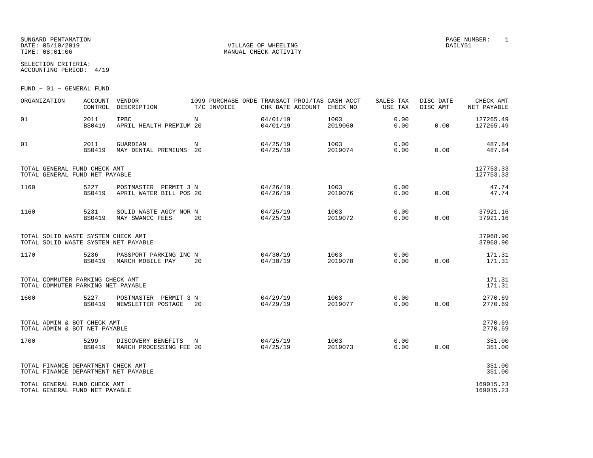## SUNGARD PENTAMATION PAGE NUMBER: 1 DATE: 05/10/2019 VILLAGE OF WHEELING DAILY51

SELECTION CRITERIA:

ACCOUNTING PERIOD: 4/19

FUND − 01 − GENERAL FUND

| ORGANIZATION                                                               | <b>ACCOUNT</b><br>CONTROL | VENDOR<br>DESCRIPTION                            | 1099 PURCHASE ORDE TRANSACT PROJ/TAS CASH ACCT<br>T/C INVOICE | CHK DATE ACCOUNT     | CHECK NO        | SALES TAX<br>USE TAX | DISC DATE<br>DISC AMT | CHECK AMT<br>NET PAYABLE |
|----------------------------------------------------------------------------|---------------------------|--------------------------------------------------|---------------------------------------------------------------|----------------------|-----------------|----------------------|-----------------------|--------------------------|
| 01                                                                         | 2011<br><b>BS0419</b>     | <b>IPBC</b><br>APRIL HEALTH PREMIUM 20           | N                                                             | 04/01/19<br>04/01/19 | 1003<br>2019060 | 0.00<br>0.00         | 0.00                  | 127265.49<br>127265.49   |
| 01                                                                         | 2011<br><b>BS0419</b>     | GUARDIAN<br>MAY DENTAL PREMIUMS 20               | N                                                             | 04/25/19<br>04/25/19 | 1003<br>2019074 | 0.00<br>0.00         | 0.00                  | 487.84<br>487.84         |
| TOTAL GENERAL FUND CHECK AMT<br>TOTAL GENERAL FUND NET PAYABLE             |                           |                                                  |                                                               |                      |                 |                      |                       | 127753.33<br>127753.33   |
| 1160                                                                       | 5227<br><b>BS0419</b>     | POSTMASTER PERMIT 3 N<br>APRIL WATER BILL POS 20 |                                                               | 04/26/19<br>04/26/19 | 1003<br>2019076 | 0.00<br>0.00         | 0.00                  | 47.74<br>47.74           |
| 1160                                                                       | 5231<br><b>BS0419</b>     | SOLID WASTE AGCY NOR N<br>MAY SWANCC FEES        | 20                                                            | 04/25/19<br>04/25/19 | 1003<br>2019072 | 0.00<br>0.00         | 0.00                  | 37921.16<br>37921.16     |
| TOTAL SOLID WASTE SYSTEM CHECK AMT<br>TOTAL SOLID WASTE SYSTEM NET PAYABLE |                           |                                                  |                                                               |                      |                 |                      |                       | 37968.90<br>37968.90     |
| 1170                                                                       | 5236<br><b>BS0419</b>     | PASSPORT PARKING INC N<br>MARCH MOBILE PAY       | 20                                                            | 04/30/19<br>04/30/19 | 1003<br>2019078 | 0.00<br>0.00         | 0.00                  | 171.31<br>171.31         |
| TOTAL COMMUTER PARKING CHECK AMT<br>TOTAL COMMUTER PARKING NET PAYABLE     |                           |                                                  |                                                               |                      |                 |                      |                       | 171.31<br>171.31         |
| 1600                                                                       | 5227<br><b>BS0419</b>     | POSTMASTER PERMIT 3 N<br>NEWSLETTER POSTAGE      | 20                                                            | 04/29/19<br>04/29/19 | 1003<br>2019077 | 0.00<br>0.00         | 0.00                  | 2770.69<br>2770.69       |
| TOTAL ADMIN & BOT CHECK AMT<br>TOTAL ADMIN & BOT NET PAYABLE               |                           |                                                  |                                                               |                      |                 |                      |                       | 2770.69<br>2770.69       |
| 1700                                                                       | 5299<br>BS0419            | DISCOVERY BENEFITS<br>MARCH PROCESSING FEE 20    | N                                                             | 04/25/19<br>04/25/19 | 1003<br>2019073 | 0.00<br>0.00         | 0.00                  | 351.00<br>351.00         |
| TOTAL FINANCE DEPARTMENT CHECK AMT<br>TOTAL FINANCE DEPARTMENT NET PAYABLE |                           |                                                  |                                                               |                      |                 |                      |                       | 351.00<br>351.00         |
| TOTAL GENERAL FUND CHECK AMT<br>TOTAL GENERAL FUND NET PAYABLE             |                           |                                                  |                                                               |                      |                 |                      |                       | 169015.23<br>169015.23   |

MANUAL CHECK ACTIVITY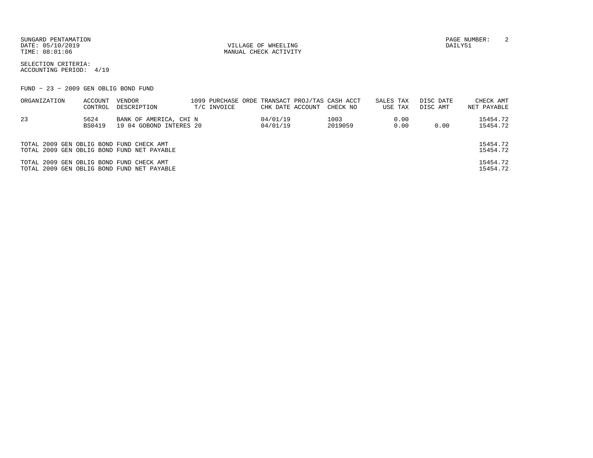DATE:  $05/10/2019$  DAILY51

TIME:  $08:01:06$  MANUAL CHECK ACTIVITY

SUNGARD PENTAMATION PAGE NUMBER: 2

SELECTION CRITERIA:ACCOUNTING PERIOD: 4/19

FUND − 23 − 2009 GEN OBLIG BOND FUND

| ORGANIZATION                             | ACCOUNT | VENDOR                                     |             |                  | 1099 PURCHASE ORDE TRANSACT PROJ/TAS CASH ACCT | SALES TAX |         | DISC DATE | CHECK AMT   |
|------------------------------------------|---------|--------------------------------------------|-------------|------------------|------------------------------------------------|-----------|---------|-----------|-------------|
|                                          | CONTROL | DESCRIPTION                                | T/C INVOICE | CHK DATE ACCOUNT | CHECK NO                                       |           | USE TAX | DISC AMT  | NET PAYABLE |
| 23                                       | 5624    | BANK OF AMERICA, CHI N                     |             | 04/01/19         | 1003                                           |           | 0.00    |           | 15454.72    |
|                                          | BS0419  | 19 04 GOBOND INTERES 20                    |             | 04/01/19         | 2019059                                        |           | 0.00    | 0.00      | 15454.72    |
|                                          |         |                                            |             |                  |                                                |           |         |           |             |
| TOTAL 2009 GEN OBLIG BOND FUND CHECK AMT |         |                                            |             |                  |                                                |           |         |           | 15454.72    |
|                                          |         | TOTAL 2009 GEN OBLIG BOND FUND NET PAYABLE |             |                  |                                                |           |         |           | 15454.72    |
| TOTAL 2009 GEN OBLIG BOND FUND CHECK AMT |         |                                            |             |                  |                                                |           |         |           | 15454.72    |
|                                          |         | TOTAL 2009 GEN OBLIG BOND FUND NET PAYABLE |             |                  |                                                |           |         |           | 15454.72    |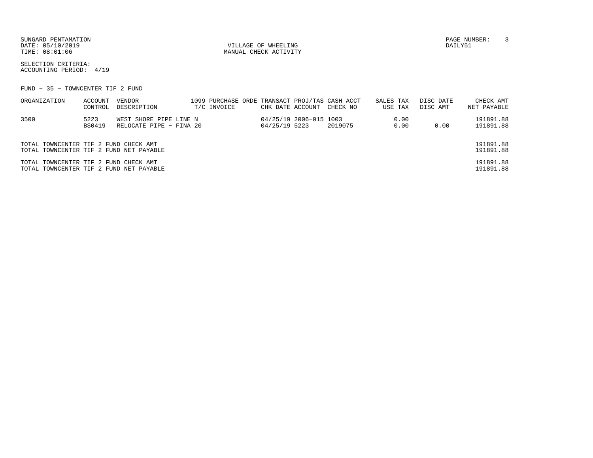SUNGARD PENTAMATION PAGE NUMBER: 3DATE: 05/10/2019 VILLAGE OF WHEELING DAILY51

MANUAL CHECK ACTIVITY

SELECTION CRITERIA:ACCOUNTING PERIOD: 4/19

FUND − 35 − TOWNCENTER TIF 2 FUND

| ORGANIZATION                            | ACCOUNT | VENDOR                  |  |             |               |                        | 1099 PURCHASE ORDE TRANSACT PROJ/TAS CASH ACCT | SALES TAX |         | DISC DATE | CHECK AMT   |
|-----------------------------------------|---------|-------------------------|--|-------------|---------------|------------------------|------------------------------------------------|-----------|---------|-----------|-------------|
|                                         | CONTROL | DESCRIPTION             |  | T/C INVOICE |               |                        | CHK DATE ACCOUNT CHECK NO                      |           | USE TAX | DISC AMT  | NET PAYABLE |
| 3500                                    | 5223    | WEST SHORE PIPE LINE N  |  |             |               | 04/25/19 2006-015 1003 |                                                |           | 0.00    |           | 191891.88   |
|                                         | BS0419  | RELOCATE PIPE - FINA 20 |  |             | 04/25/19 5223 |                        | 2019075                                        |           | 0.00    | 0.00      | 191891.88   |
|                                         |         |                         |  |             |               |                        |                                                |           |         |           |             |
| TOTAL TOWNCENTER TIF 2 FUND CHECK AMT   |         |                         |  |             |               |                        |                                                |           |         |           | 191891.88   |
| TOTAL TOWNCENTER TIF 2 FUND NET PAYABLE |         |                         |  |             |               |                        |                                                |           |         |           | 191891.88   |
| TOTAL TOWNCENTER TIF 2 FUND CHECK AMT   |         |                         |  |             |               |                        |                                                |           |         |           | 191891.88   |
| TOTAL TOWNCENTER TIF 2 FUND NET PAYABLE |         |                         |  |             |               |                        |                                                |           |         |           | 191891.88   |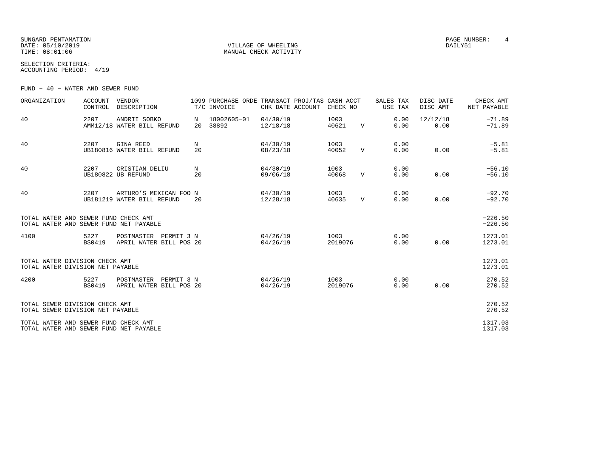SUNGARD PENTAMATION PAGE NUMBER: 4 DATE: 05/10/2019 VILLAGE OF WHEELING DAILY51

MANUAL CHECK ACTIVITY

SELECTION CRITERIA:ACCOUNTING PERIOD: 4/19

FUND − 40 − WATER AND SEWER FUND

| ORGANIZATION                                                                   | <b>ACCOUNT</b><br>CONTROL | VENDOR<br>DESCRIPTION                                |         | 1099 PURCHASE ORDE TRANSACT PROJ/TAS CASH ACCT<br>T/C INVOICE | CHK DATE ACCOUNT     | CHECK NO        |              | SALES TAX<br>USE TAX | DISC DATE<br>DISC AMT | CHECK AMT<br>NET PAYABLE |
|--------------------------------------------------------------------------------|---------------------------|------------------------------------------------------|---------|---------------------------------------------------------------|----------------------|-----------------|--------------|----------------------|-----------------------|--------------------------|
| 40                                                                             | 2207                      | ANDRII SOBKO<br>AMM12/18 WATER BILL REFUND           | N<br>20 | 18002605-01<br>38892                                          | 04/30/19<br>12/18/18 | 1003<br>40621   | $\mathbf V$  | 0.00<br>0.00         | 12/12/18<br>0.00      | $-71.89$<br>$-71.89$     |
| 40                                                                             | 2207                      | <b>GINA REED</b><br>UB180816 WATER BILL REFUND       | N<br>20 |                                                               | 04/30/19<br>08/23/18 | 1003<br>40052   | $\mathbf v$  | 0.00<br>0.00         | 0.00                  | $-5.81$<br>$-5.81$       |
| 40                                                                             | 2207                      | CRISTIAN DELIU<br>UB180822 UB REFUND                 | N<br>20 |                                                               | 04/30/19<br>09/06/18 | 1003<br>40068   | $\mathbf{V}$ | 0.00<br>0.00         | 0.00                  | $-56.10$<br>$-56.10$     |
| 40                                                                             | 2207                      | ARTURO'S MEXICAN FOO N<br>UB181219 WATER BILL REFUND | 20      |                                                               | 04/30/19<br>12/28/18 | 1003<br>40635   | V            | 0.00<br>0.00         | 0.00                  | $-92.70$<br>$-92.70$     |
| TOTAL WATER AND SEWER FUND CHECK AMT<br>TOTAL WATER AND SEWER FUND NET PAYABLE |                           |                                                      |         |                                                               |                      |                 |              |                      |                       | $-226.50$<br>$-226.50$   |
| 4100                                                                           | 5227<br><b>BS0419</b>     | POSTMASTER PERMIT 3 N<br>APRIL WATER BILL POS 20     |         |                                                               | 04/26/19<br>04/26/19 | 1003<br>2019076 |              | 0.00<br>0.00         | 0.00                  | 1273.01<br>1273.01       |
| TOTAL WATER DIVISION CHECK AMT<br>TOTAL WATER DIVISION NET PAYABLE             |                           |                                                      |         |                                                               |                      |                 |              |                      |                       | 1273.01<br>1273.01       |
| 4200                                                                           | 5227<br><b>BS0419</b>     | POSTMASTER<br>PERMIT 3 N<br>APRIL WATER BILL POS 20  |         |                                                               | 04/26/19<br>04/26/19 | 1003<br>2019076 |              | 0.00<br>0.00         | 0.00                  | 270.52<br>270.52         |
| TOTAL SEWER DIVISION CHECK AMT<br>TOTAL SEWER DIVISION NET PAYABLE             |                           |                                                      |         |                                                               |                      |                 |              |                      |                       | 270.52<br>270.52         |
| TOTAL WATER AND SEWER FUND CHECK AMT<br>TOTAL WATER AND SEWER FUND NET PAYABLE |                           |                                                      |         |                                                               |                      |                 |              |                      |                       | 1317.03<br>1317.03       |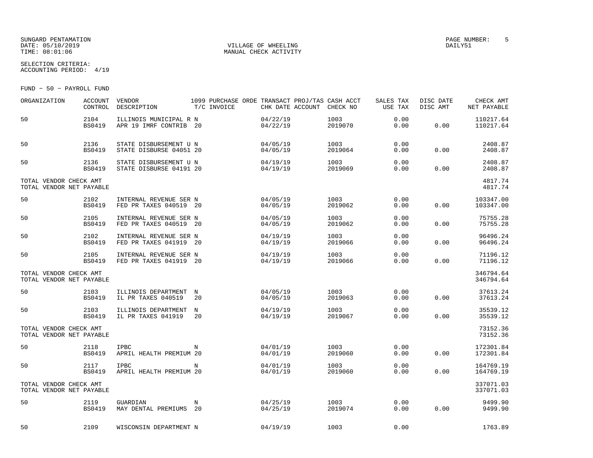## SUNGARD PENTAMATION PAGE NUMBER: 5DATE: 05/10/2019 VILLAGE OF WHEELING DAILY51

SELECTION CRITERIA:

MANUAL CHECK ACTIVITY

ACCOUNTING PERIOD: 4/19

FUND − 50 − PAYROLL FUND

| ORGANIZATION                                       | <b>ACCOUNT</b><br>CONTROL | <b>VENDOR</b><br>DESCRIPTION                      |                  | T/C INVOICE | CHK DATE ACCOUNT     | 1099 PURCHASE ORDE TRANSACT PROJ/TAS CASH ACCT<br>CHECK NO | SALES TAX<br>USE TAX | DISC DATE<br>DISC AMT | CHECK AMT<br>NET PAYABLE |
|----------------------------------------------------|---------------------------|---------------------------------------------------|------------------|-------------|----------------------|------------------------------------------------------------|----------------------|-----------------------|--------------------------|
| 50                                                 | 2104<br><b>BS0419</b>     | ILLINOIS MUNICIPAL R N<br>APR 19 IMRF CONTRIB 20  |                  |             | 04/22/19<br>04/22/19 | 1003<br>2019070                                            | 0.00<br>0.00         | 0.00                  | 110217.64<br>110217.64   |
| 50                                                 | 2136<br><b>BS0419</b>     | STATE DISBURSEMENT U N<br>STATE DISBURSE 04051 20 |                  |             | 04/05/19<br>04/05/19 | 1003<br>2019064                                            | 0.00<br>0.00         | 0.00                  | 2408.87<br>2408.87       |
| 50                                                 | 2136<br><b>BS0419</b>     | STATE DISBURSEMENT U N<br>STATE DISBURSE 04191 20 |                  |             | 04/19/19<br>04/19/19 | 1003<br>2019069                                            | 0.00<br>0.00         | 0.00                  | 2408.87<br>2408.87       |
| TOTAL VENDOR CHECK AMT<br>TOTAL VENDOR NET PAYABLE |                           |                                                   |                  |             |                      |                                                            |                      |                       | 4817.74<br>4817.74       |
| 50                                                 | 2102<br><b>BS0419</b>     | INTERNAL REVENUE SER N<br>FED PR TAXES 040519 20  |                  |             | 04/05/19<br>04/05/19 | 1003<br>2019062                                            | 0.00<br>0.00         | 0.00                  | 103347.00<br>103347.00   |
| 50                                                 | 2105<br><b>BS0419</b>     | INTERNAL REVENUE SER N<br>FED PR TAXES 040519     | -20              |             | 04/05/19<br>04/05/19 | 1003<br>2019062                                            | 0.00<br>0.00         | 0.00                  | 75755.28<br>75755.28     |
| 50                                                 | 2102<br><b>BS0419</b>     | INTERNAL REVENUE SER N<br>FED PR TAXES 041919     | -20              |             | 04/19/19<br>04/19/19 | 1003<br>2019066                                            | 0.00<br>0.00         | 0.00                  | 96496.24<br>96496.24     |
| 50                                                 | 2105<br><b>BS0419</b>     | INTERNAL REVENUE SER N<br>FED PR TAXES 041919 20  |                  |             | 04/19/19<br>04/19/19 | 1003<br>2019066                                            | 0.00<br>0.00         | 0.00                  | 71196.12<br>71196.12     |
| TOTAL VENDOR CHECK AMT<br>TOTAL VENDOR NET PAYABLE |                           |                                                   |                  |             |                      |                                                            |                      |                       | 346794.64<br>346794.64   |
| 50                                                 | 2103<br><b>BS0419</b>     | ILLINOIS DEPARTMENT<br>IL PR TAXES 040519         | $_{\rm N}$<br>20 |             | 04/05/19<br>04/05/19 | 1003<br>2019063                                            | 0.00<br>0.00         | 0.00                  | 37613.24<br>37613.24     |
| 50                                                 | 2103<br><b>BS0419</b>     | ILLINOIS DEPARTMENT<br>IL PR TAXES 041919         | N<br>20          |             | 04/19/19<br>04/19/19 | 1003<br>2019067                                            | 0.00<br>0.00         | 0.00                  | 35539.12<br>35539.12     |
| TOTAL VENDOR CHECK AMT<br>TOTAL VENDOR NET PAYABLE |                           |                                                   |                  |             |                      |                                                            |                      |                       | 73152.36<br>73152.36     |
| 50                                                 | 2118<br><b>BS0419</b>     | <b>IPBC</b><br>APRIL HEALTH PREMIUM 20            | N                |             | 04/01/19<br>04/01/19 | 1003<br>2019060                                            | 0.00<br>0.00         | 0.00                  | 172301.84<br>172301.84   |
| 50                                                 | 2117<br><b>BS0419</b>     | <b>IPBC</b><br>APRIL HEALTH PREMIUM 20            | N                |             | 04/01/19<br>04/01/19 | 1003<br>2019060                                            | 0.00<br>0.00         | 0.00                  | 164769.19<br>164769.19   |
| TOTAL VENDOR CHECK AMT<br>TOTAL VENDOR NET PAYABLE |                           |                                                   |                  |             |                      |                                                            |                      |                       | 337071.03<br>337071.03   |
| 50                                                 | 2119<br><b>BS0419</b>     | GUARDIAN<br>MAY DENTAL PREMIUMS                   | N<br>20          |             | 04/25/19<br>04/25/19 | 1003<br>2019074                                            | 0.00<br>0.00         | 0.00                  | 9499.90<br>9499.90       |
| 50                                                 | 2109                      | WISCONSIN DEPARTMENT N                            |                  |             | 04/19/19             | 1003                                                       | 0.00                 |                       | 1763.89                  |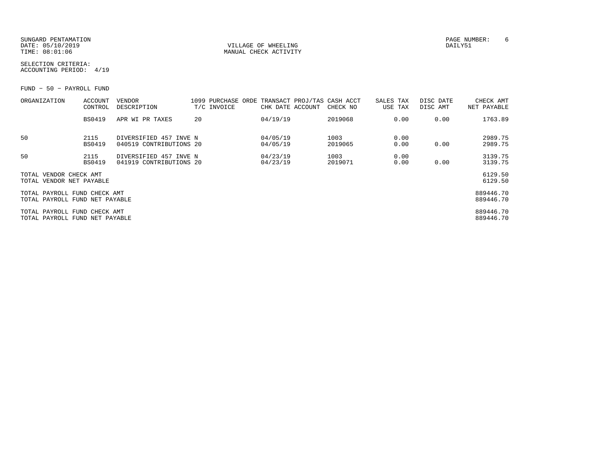SUNGARD PENTAMATION PAGE NUMBER: 6DATE: 05/10/2019 VILLAGE OF WHEELING DAILY51

MANUAL CHECK ACTIVITY

SELECTION CRITERIA:ACCOUNTING PERIOD: 4/19

FUND − 50 − PAYROLL FUND

| ORGANIZATION                                                   | ACCOUNT<br>CONTROL    | <b>VENDOR</b><br>DESCRIPTION                      | 1099 PURCHASE ORDE<br>T/C INVOICE | CHK DATE ACCOUNT     | TRANSACT PROJ/TAS CASH ACCT<br>CHECK NO | SALES TAX<br>USE TAX |              | DISC DATE<br>DISC AMT | CHECK AMT<br>NET PAYABLE |
|----------------------------------------------------------------|-----------------------|---------------------------------------------------|-----------------------------------|----------------------|-----------------------------------------|----------------------|--------------|-----------------------|--------------------------|
|                                                                | <b>BS0419</b>         | APR WI PR TAXES                                   | 20                                | 04/19/19             | 2019068                                 |                      | 0.00         | 0.00                  | 1763.89                  |
| 50                                                             | 2115<br><b>BS0419</b> | DIVERSIFIED 457 INVE N<br>040519 CONTRIBUTIONS 20 |                                   | 04/05/19<br>04/05/19 | 1003<br>2019065                         |                      | 0.00<br>0.00 | 0.00                  | 2989.75<br>2989.75       |
| 50                                                             | 2115<br><b>BS0419</b> | DIVERSIFIED 457 INVE N<br>041919 CONTRIBUTIONS 20 |                                   | 04/23/19<br>04/23/19 | 1003<br>2019071                         |                      | 0.00<br>0.00 | 0.00                  | 3139.75<br>3139.75       |
| TOTAL VENDOR CHECK AMT<br>TOTAL VENDOR NET PAYABLE             |                       |                                                   |                                   |                      |                                         |                      |              |                       | 6129.50<br>6129.50       |
| TOTAL PAYROLL FUND CHECK AMT<br>TOTAL PAYROLL FUND NET PAYABLE |                       |                                                   |                                   |                      |                                         |                      |              |                       | 889446.70<br>889446.70   |
| TOTAL PAYROLL FUND CHECK AMT<br>TOTAL PAYROLL FUND NET PAYABLE |                       |                                                   |                                   |                      |                                         |                      |              |                       | 889446.70<br>889446.70   |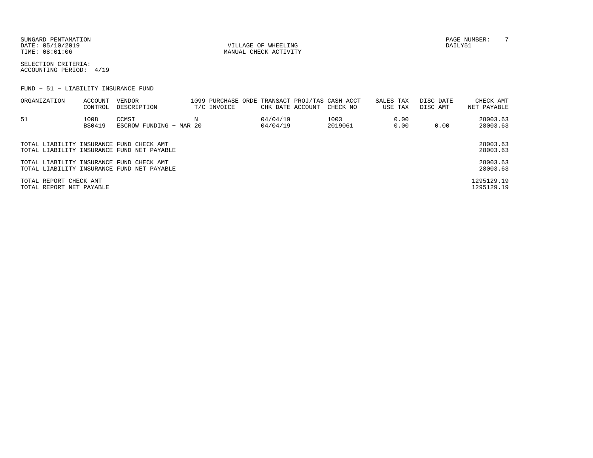SUNGARD PENTAMATION PAGE NUMBER: T DATE: 05/10/2019 VILLAGE OF WHEELING DAILY51

MANUAL CHECK ACTIVITY

SELECTION CRITERIA:ACCOUNTING PERIOD: 4/19

FUND − 51 − LIABILITY INSURANCE FUND

| ORGANIZATION                                       | ACCOUNT<br>CONTROL | VENDOR<br>DESCRIPTION                      | T/C INVOICE | CHK DATE ACCOUNT     | 1099 PURCHASE ORDE TRANSACT PROJ/TAS CASH ACCT<br>CHECK NO | SALES TAX<br>USE TAX |              | DISC DATE<br>DISC AMT | CHECK AMT<br>NET PAYABLE |
|----------------------------------------------------|--------------------|--------------------------------------------|-------------|----------------------|------------------------------------------------------------|----------------------|--------------|-----------------------|--------------------------|
| 51                                                 | 1008<br>BS0419     | CCMSI<br>ESCROW FUNDING - MAR 20           |             | 04/04/19<br>04/04/19 | 1003<br>2019061                                            |                      | 0.00<br>0.00 | 0.00                  | 28003.63<br>28003.63     |
| TOTAL LIABILITY INSURANCE FUND CHECK AMT           |                    | TOTAL LIABILITY INSURANCE FUND NET PAYABLE |             |                      |                                                            |                      |              |                       | 28003.63<br>28003.63     |
| TOTAL LIABILITY INSURANCE FUND CHECK AMT           |                    | TOTAL LIABILITY INSURANCE FUND NET PAYABLE |             |                      |                                                            |                      |              |                       | 28003.63<br>28003.63     |
| TOTAL REPORT CHECK AMT<br>TOTAL REPORT NET PAYABLE |                    |                                            |             |                      |                                                            |                      |              |                       | 1295129.19<br>1295129.19 |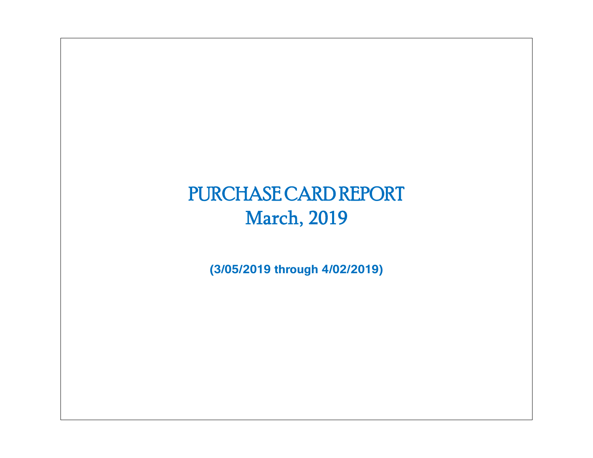# PURCHASE CARD REPORT March, 2019

**(3/05/2019 through 4/02/2019)**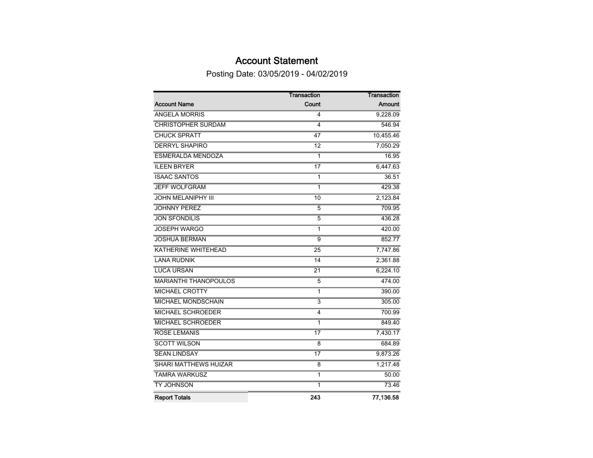## Account Statement

Posting Date: 03/05/2019 - 04/02/2019

|                              | <b>Transaction</b> | <b>Transaction</b> |
|------------------------------|--------------------|--------------------|
| <b>Account Name</b>          | Count              | Amount             |
| <b>ANGELA MORRIS</b>         | 4                  | 9,228.09           |
| <b>CHRISTOPHER SURDAM</b>    | 4                  | 546.94             |
| <b>CHUCK SPRATT</b>          | 47                 | 10,455.46          |
| <b>DERRYL SHAPIRO</b>        | $\overline{12}$    | 7,050.29           |
| <b>ESMERALDA MENDOZA</b>     | 1                  | 16.95              |
| <b>ILEEN BRYER</b>           | 17                 | 6,447.63           |
| <b>ISAAC SANTOS</b>          | 1                  | 36.51              |
| <b>JEFF WOLFGRAM</b>         | $\mathbf 1$        | 429.38             |
| <b>JOHN MELANIPHY III</b>    | 10                 | 2,123.84           |
| <b>JOHNNY PEREZ</b>          | $\overline{5}$     | 709.95             |
| <b>JON SFONDILIS</b>         | $\overline{5}$     | 436.28             |
| <b>JOSEPH WARGO</b>          | $\overline{1}$     | 420.00             |
| <b>JOSHUA BERMAN</b>         | $\overline{9}$     | 852.77             |
| <b>KATHERINE WHITEHEAD</b>   | $\overline{25}$    | 7,747.86           |
| <b>LANA RUDNIK</b>           | 14                 | 2,361.88           |
| <b>LUCA URSAN</b>            | $\overline{21}$    | 6,224.10           |
| <b>MARIANTHI THANOPOULOS</b> | 5                  | 474.00             |
| <b>MICHAEL CROTTY</b>        | 1                  | 390.00             |
| MICHAEL MONDSCHAIN           | 3                  | 305.00             |
| <b>MICHAEL SCHROEDER</b>     | 4                  | 700.99             |
| MICHAEL SCHROEDER            | 1                  | 849.40             |
| <b>ROSE LEMANIS</b>          | $\overline{17}$    | 7,430.17           |
| <b>SCOTT WILSON</b>          | 8                  | 684.89             |
| <b>SEAN LINDSAY</b>          | $\overline{17}$    | 9,873.26           |
| <b>SHARI MATTHEWS HUIZAR</b> | 8                  | 1,217.48           |
| <b>TAMRA WARKUSZ</b>         | 1                  | 50.00              |
| <b>TY JOHNSON</b>            | $\mathbf{1}$       | 73.46              |
| <b>Report Totals</b>         | 243                | 77,136.58          |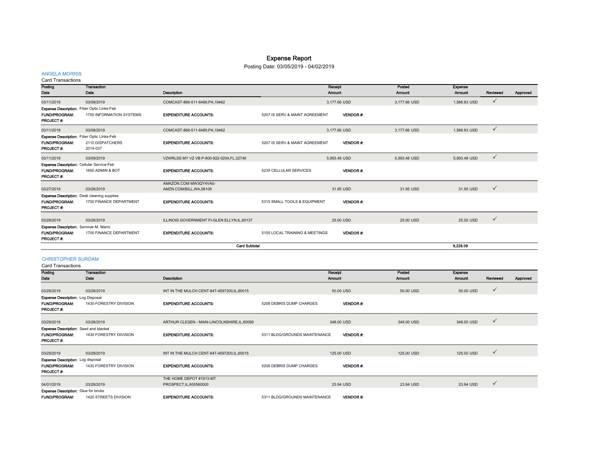## Expense Report

### Posting Date: 03/05/2019 - 04/02/2019

#### ANGELA MORRIS

Card Transactions

| Posting<br>Date                                                                              | Transaction<br>Date                                                           | Description                                     |                                | Receipt<br><b>Amount</b> | Posted<br>Amount | Expense<br>Amount | Reviewed     | Approved |
|----------------------------------------------------------------------------------------------|-------------------------------------------------------------------------------|-------------------------------------------------|--------------------------------|--------------------------|------------------|-------------------|--------------|----------|
| 03/11/2019                                                                                   | 03/08/2019                                                                    | COMCAST-866-511-6489, PA, 19462                 |                                | 3,177.66 USD             | 3,177.66 USD     | 1,588.83 USD      | $\checkmark$ |          |
| <b>Expense Description:</b> Fiber Optic Links-Feb<br><b>FUND/PROGRAM:</b><br>PROJECT#:       | 1750 INFORMATION SYSTEMS                                                      | <b>EXPENDITURE ACCOUNTS:</b>                    | 5207 IS SERV & MAINT AGREEMENT | <b>VENDOR#:</b>          |                  |                   |              |          |
| 03/11/2019                                                                                   | 03/08/2019                                                                    | COMCAST-866-511-6489, PA, 19462                 |                                | 3,177.66 USD             | 3,177.66 USD     | 1,588.83 USD      | $\checkmark$ |          |
| Expense Description: Fiber Optic LInks-Feb<br><b>FUND/PROGRAM:</b><br><b>PROJECT#:</b>       | 2110 DISPATCHERS<br>2014-037                                                  | <b>EXPENDITURE ACCOUNTS:</b>                    | 5207 IS SERV & MAINT AGREEMENT | <b>VENDOR#:</b>          |                  |                   |              |          |
| 03/11/2019                                                                                   | 03/09/2019                                                                    | VZWRLSS MY VZ VB P-800-922-0204.FL.32746        |                                | 5.993.48 USD             | 5.993.48 USD     | 5,993.48 USD      | $\checkmark$ |          |
| <b>Expense Description: Cellular Service-Feb</b><br><b>FUND/PROGRAM:</b><br><b>PROJECT#:</b> | 1600 ADMIN & BOT                                                              | <b>EXPENDITURE ACCOUNTS:</b>                    | 5239 CELLULAR SERVICES         | <b>VENDOR#:</b>          |                  |                   |              |          |
| 03/27/2019                                                                                   | 03/26/2019                                                                    | AMAZON.COM MW3QY4VA0-<br>AMZN.COM/BILL.WA.98109 |                                | 31.95 USD                | 31.95 USD        | 31.95 USD         | $\checkmark$ |          |
| <b>FUND/PROGRAM:</b><br><b>PROJECT#:</b>                                                     | <b>Expense Description:</b> Desk cleaning supplies<br>1700 FINANCE DEPARTMENT | <b>EXPENDITURE ACCOUNTS:</b>                    | 5315 SMALL TOOLS & EQUIPMENT   | <b>VENDOR#:</b>          |                  |                   |              |          |
| 03/28/2019                                                                                   | 03/26/2019                                                                    | ILLINOIS GOVERNMENT FI-GLEN ELLYN, IL, 60137    |                                | 25.00 USD                | 25.00 USD        | 25.00 USD         | $\checkmark$ |          |
| Expense Description: Seminar-M. Marro<br><b>FUND/PROGRAM:</b><br>PROJECT#:                   | 1700 FINANCE DEPARTMENT                                                       | <b>EXPENDITURE ACCOUNTS:</b>                    | 5105 LOCAL TRAINING & MEETINGS | <b>VENDOR#:</b>          |                  |                   |              |          |
|                                                                                              |                                                                               | <b>Card Subtotal</b>                            |                                |                          |                  | 9.228.09          |              |          |

#### CHRISTOPHER SURDAM

Card Transactions

| Posting                                      | Transaction            |                                              |                               | Receipt         | Posted     | Expense       |              |          |
|----------------------------------------------|------------------------|----------------------------------------------|-------------------------------|-----------------|------------|---------------|--------------|----------|
| Date                                         | Date                   | Description                                  |                               | Amount          | Amount     | <b>Amount</b> | Reviewed     | Approved |
|                                              |                        |                                              |                               |                 |            |               |              |          |
| 03/29/2019                                   | 03/28/2019             | INT IN THE MULCH CENT-847-4597200, IL, 60015 |                               | 50.00 USD       | 50.00 USD  | 50.00 USD     | $\checkmark$ |          |
| Expense Description: Log Disposal            |                        |                                              |                               |                 |            |               |              |          |
| <b>FUND/PROGRAM:</b>                         | 1430 FORESTRY DIVISION | <b>EXPENDITURE ACCOUNTS:</b>                 | 5208 DEBRIS DUMP CHARGES      | <b>VENDOR#:</b> |            |               |              |          |
| <b>PROJECT#:</b>                             |                        |                                              |                               |                 |            |               |              |          |
|                                              |                        |                                              |                               |                 |            |               |              |          |
| 03/29/2019                                   | 03/28/2019             | ARTHUR CLESEN - MAIN-LINCOLNSHIRE, IL, 60069 |                               | 348.00 USD      | 348.00 USD | 348.00 USD    | $\checkmark$ |          |
| <b>Expense Description:</b> Seed and blanket |                        |                                              |                               |                 |            |               |              |          |
| <b>FUND/PROGRAM:</b>                         | 1430 FORESTRY DIVISION | <b>EXPENDITURE ACCOUNTS:</b>                 | 5311 BLDG/GROUNDS MAINTENANCE | <b>VENDOR#:</b> |            |               |              |          |
| PROJECT #:                                   |                        |                                              |                               |                 |            |               |              |          |
|                                              |                        |                                              |                               |                 |            |               |              |          |
| 03/29/2019                                   | 03/28/2019             | INT IN THE MULCH CENT-847-4597200, IL, 60015 |                               | 125.00 USD      | 125,00 USD | 125.00 USD    | $\checkmark$ |          |
| <b>Expense Description: Log disposal</b>     |                        |                                              |                               |                 |            |               |              |          |
| <b>FUND/PROGRAM:</b>                         | 1430 FORESTRY DIVISION | <b>EXPENDITURE ACCOUNTS:</b>                 | 5208 DEBRIS DUMP CHARGES      | <b>VENDOR#:</b> |            |               |              |          |
| <b>PROJECT#:</b>                             |                        |                                              |                               |                 |            |               |              |          |
|                                              |                        | THE HOME DEPOT #1913-MT                      |                               |                 |            |               |              |          |
| 04/01/2019                                   | 03/28/2019             | PROSPECT, IL, 600560000                      |                               | 23.94 USD       | 23.94 USD  | 23.94 USD     | $\checkmark$ |          |
| <b>Expense Description:</b> Glue for bricks  |                        |                                              |                               |                 |            |               |              |          |
| <b>FUND/PROGRAM:</b>                         | 1420 STREETS DIVISION  | <b>EXPENDITURE ACCOUNTS:</b>                 | 5311 BLDG/GROUNDS MAINTENANCE | <b>VENDOR#:</b> |            |               |              |          |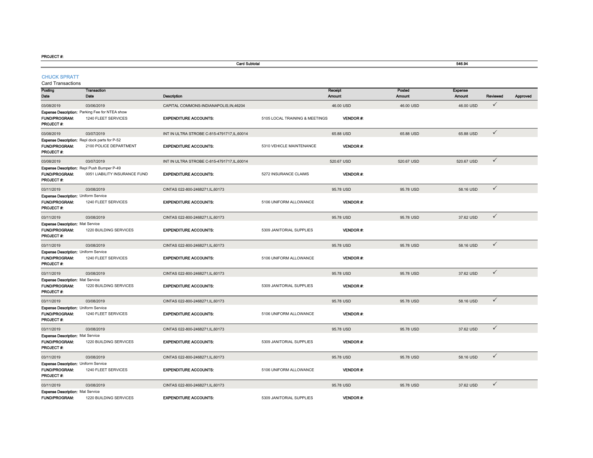FUND/PROGRAM:

1220 BUILDING SERVICES

|                                                                                  |                                                                                |                                              | 546.94                         |                   |                         |                          |              |          |
|----------------------------------------------------------------------------------|--------------------------------------------------------------------------------|----------------------------------------------|--------------------------------|-------------------|-------------------------|--------------------------|--------------|----------|
| <b>CHUCK SPRATT</b><br><b>Card Transactions</b>                                  |                                                                                |                                              |                                |                   |                         |                          |              |          |
| Posting<br>Date                                                                  | <b>Transaction</b><br>Date                                                     | Description                                  |                                | Receipt<br>Amount | Posted<br><b>Amount</b> | Expense<br><b>Amount</b> | Reviewed     | Approved |
| 03/08/2019                                                                       | 03/06/2019                                                                     | CAPITAL COMMONS-INDIANAPOLIS, IN, 46204      |                                | 46.00 USD         | 46.00 USD               | 46.00 USD                | $\checkmark$ |          |
| <b>FUND/PROGRAM:</b><br>PROJECT#:                                                | Expense Description: Parking Fee for NTEA show<br>1240 FLEET SERVICES          | <b>EXPENDITURE ACCOUNTS:</b>                 | 5105 LOCAL TRAINING & MEETINGS | <b>VENDOR#:</b>   |                         |                          |              |          |
| 03/08/2019                                                                       | 03/07/2019                                                                     | INT IN ULTRA STROBE C-815-4791717,IL,60014   |                                | 65.88 USD         | 65.88 USD               | 65.88 USD                | $\checkmark$ |          |
| FUND/PROGRAM:<br>PROJECT #:                                                      | <b>Expense Description:</b> Repl dock parts for P-52<br>2100 POLICE DEPARTMENT | <b>EXPENDITURE ACCOUNTS:</b>                 | 5310 VEHICLE MAINTENANCE       | <b>VENDOR#:</b>   |                         |                          |              |          |
| 03/08/2019                                                                       | 03/07/2019                                                                     | INT IN ULTRA STROBE C-815-4791717, IL, 60014 |                                | 520.67 USD        | 520.67 USD              | 520.67 USD               | $\checkmark$ |          |
| <b>FUND/PROGRAM:</b><br>PROJECT#:                                                | Expense Description: Repl Push Bumper P-49<br>0051 LIABILITY INSURANCE FUND    | <b>EXPENDITURE ACCOUNTS:</b>                 | 5272 INSURANCE CLAIMS          | <b>VENDOR#:</b>   |                         |                          |              |          |
| 03/11/2019                                                                       | 03/08/2019                                                                     | CINTAS 022-800-2468271,IL,60173              |                                | 95.78 USD         | 95.78 USD               | 58.16 USD                | $\checkmark$ |          |
| <b>Expense Description: Uniform Service</b><br><b>FUND/PROGRAM:</b><br>PROJECT#: | 1240 FLEET SERVICES                                                            | <b>EXPENDITURE ACCOUNTS:</b>                 | 5106 UNIFORM ALLOWANCE         | <b>VENDOR#:</b>   |                         |                          |              |          |
| 03/11/2019                                                                       | 03/08/2019                                                                     | CINTAS 022-800-2468271, IL, 60173            |                                | 95.78 USD         | 95.78 USD               | 37.62 USD                | $\checkmark$ |          |
| <b>Expense Description: Mat Service</b><br><b>FUND/PROGRAM:</b><br>PROJECT#:     | 1220 BUILDING SERVICES                                                         | <b>EXPENDITURE ACCOUNTS:</b>                 | 5309 JANITORIAL SUPPLIES       | <b>VENDOR#:</b>   |                         |                          |              |          |
| 03/11/2019                                                                       | 03/08/2019                                                                     | CINTAS 022-800-2468271,IL,60173              |                                | 95.78 USD         | 95.78 USD               | 58.16 USD                | $\checkmark$ |          |
| <b>Expense Description: Uniform Service</b><br><b>FUND/PROGRAM:</b><br>PROJECT#: | 1240 FLEET SERVICES                                                            | <b>EXPENDITURE ACCOUNTS:</b>                 | 5106 UNIFORM ALLOWANCE         | <b>VENDOR#:</b>   |                         |                          |              |          |
| 03/11/2019                                                                       | 03/08/2019                                                                     | CINTAS 022-800-2468271.IL.60173              |                                | 95.78 USD         | 95.78 USD               | 37.62 USD                | $\checkmark$ |          |
| <b>Expense Description: Mat Service</b><br><b>FUND/PROGRAM:</b><br>PROJECT#:     | 1220 BUILDING SERVICES                                                         | <b>EXPENDITURE ACCOUNTS:</b>                 | 5309 JANITORIAL SUPPLIES       | <b>VENDOR#:</b>   |                         |                          |              |          |
| 03/11/2019                                                                       | 03/08/2019                                                                     | CINTAS 022-800-2468271, IL, 60173            |                                | 95.78 USD         | 95.78 USD               | 58.16 USD                | $\checkmark$ |          |
| Expense Description: Uniform Service<br>FUND/PROGRAM:<br>PROJECT#:               | 1240 FLEET SERVICES                                                            | <b>EXPENDITURE ACCOUNTS:</b>                 | 5106 UNIFORM ALLOWANCE         | <b>VENDOR#:</b>   |                         |                          |              |          |
| 03/11/2019                                                                       | 03/08/2019                                                                     | CINTAS 022-800-2468271,IL,60173              |                                | 95.78 USD         | 95.78 USD               | 37.62 USD                | $\checkmark$ |          |
| <b>Expense Description: Mat Service</b><br><b>FUND/PROGRAM:</b><br>PROJECT #:    | 1220 BUILDING SERVICES                                                         | <b>EXPENDITURE ACCOUNTS:</b>                 | 5309 JANITORIAL SUPPLIES       | VENDOR #:         |                         |                          |              |          |
| 03/11/2019                                                                       | 03/08/2019                                                                     | CINTAS 022-800-2468271,IL,60173              |                                | 95.78 USD         | 95.78 USD               | 58.16 USD                | $\checkmark$ |          |
| Expense Description: Uniform Service<br><b>FUND/PROGRAM:</b><br>PROJECT#:        | 1240 FLEET SERVICES                                                            | <b>EXPENDITURE ACCOUNTS:</b>                 | 5106 UNIFORM ALLOWANCE         | VENDOR#:          |                         |                          |              |          |
| 03/11/2019                                                                       | 03/08/2019                                                                     | CINTAS 022-800-2468271,IL,60173              |                                | 95.78 USD         | 95.78 USD               | 37.62 USD                | $\checkmark$ |          |
| <b>Expense Description: Mat Service</b>                                          |                                                                                |                                              |                                |                   |                         |                          |              |          |

EXPENDITURE ACCOUNTS: 5309 JANITORIAL SUPPLIES VENDOR #: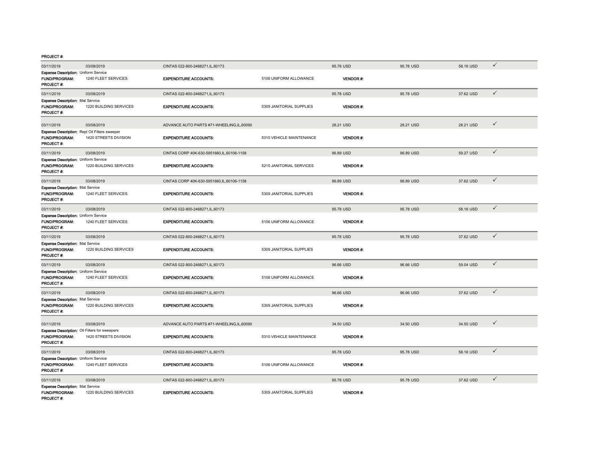| 03/11/2019                                                                              | 03/08/2019             | CINTAS 022-800-2468271, IL, 60173           |                          | 95.78 USD       | 95.78 USD | 58.16 USD | $\checkmark$ |
|-----------------------------------------------------------------------------------------|------------------------|---------------------------------------------|--------------------------|-----------------|-----------|-----------|--------------|
| Expense Description: Uniform Service<br><b>FUND/PROGRAM:</b><br><b>PROJECT#:</b>        | 1240 FLEET SERVICES    | <b>EXPENDITURE ACCOUNTS:</b>                | 5106 UNIFORM ALLOWANCE   | <b>VENDOR#:</b> |           |           |              |
| 03/11/2019                                                                              | 03/08/2019             | CINTAS 022-800-2468271, IL, 60173           |                          | 95.78 USD       | 95.78 USD | 37.62 USD | $\checkmark$ |
| <b>Expense Description: Mat Service</b><br>FUND/PROGRAM:<br><b>PROJECT#:</b>            | 1220 BUILDING SERVICES | <b>EXPENDITURE ACCOUNTS:</b>                | 5309 JANITORIAL SUPPLIES | <b>VENDOR#:</b> |           |           |              |
| 03/11/2019                                                                              | 03/08/2019             | ADVANCE AUTO PARTS #71-WHEELING.IL.60090    |                          | 28.21 USD       | 28.21 USD | 28.21 USD | $\checkmark$ |
| Expense Description: Repl Oil Filters sweeper<br>FUND/PROGRAM:<br>PROJECT #:            | 1420 STREETS DIVISION  | <b>EXPENDITURE ACCOUNTS:</b>                | 5310 VEHICLE MAINTENANCE | <b>VENDOR#:</b> |           |           |              |
| 03/11/2019                                                                              | 03/08/2019             | CINTAS CORP 40K-630-5951660.IL.60106-1158   |                          | 96.89 USD       | 96.89 USD | 59.27 USD | $\checkmark$ |
| <b>Expense Description: Uniform Service</b><br><b>FUND/PROGRAM:</b><br><b>PROJECT#:</b> | 1220 BUILDING SERVICES | <b>EXPENDITURE ACCOUNTS:</b>                | 5215 JANITORIAL SERVICES | <b>VENDOR#:</b> |           |           |              |
| 03/11/2019                                                                              | 03/08/2019             | CINTAS CORP 40K-630-5951660, IL, 60106-1158 |                          | 96.89 USD       | 96.89 USD | 37.62 USD | $\checkmark$ |
| <b>Expense Description: Mat Service</b><br><b>FUND/PROGRAM:</b><br><b>PROJECT#:</b>     | 1240 FLEET SERVICES    | <b>EXPENDITURE ACCOUNTS:</b>                | 5309 JANITORIAL SUPPLIES | <b>VENDOR#:</b> |           |           |              |
| 03/11/2019                                                                              | 03/08/2019             | CINTAS 022-800-2468271, IL, 60173           |                          | 95.78 USD       | 95.78 USD | 58.16 USD | $\checkmark$ |
| Expense Description: Uniform Service<br>FUND/PROGRAM:<br>PROJECT #:                     | 1240 FLEET SERVICES    | <b>EXPENDITURE ACCOUNTS:</b>                | 5106 UNIFORM ALLOWANCE   | <b>VENDOR#:</b> |           |           |              |
| 03/11/2019                                                                              | 03/08/2019             | CINTAS 022-800-2468271, IL, 60173           |                          | 95.78 USD       | 95.78 USD | 37.62 USD | $\checkmark$ |
| <b>Expense Description: Mat Service</b><br>FUND/PROGRAM:<br>PROJECT #:                  | 1220 BUILDING SERVICES | <b>EXPENDITURE ACCOUNTS:</b>                | 5309 JANITORIAL SUPPLIES | <b>VENDOR#:</b> |           |           |              |
| 03/11/2019                                                                              | 03/08/2019             | CINTAS 022-800-2468271, IL, 60173           |                          | 96.66 USD       | 96.66 USD | 59.04 USD | $\checkmark$ |
| <b>Expense Description: Uniform Service</b><br><b>FUND/PROGRAM:</b><br><b>PROJECT#:</b> | 1240 FLEET SERVICES    | <b>EXPENDITURE ACCOUNTS:</b>                | 5106 UNIFORM ALLOWANCE   | <b>VENDOR#:</b> |           |           |              |
| 03/11/2019                                                                              | 03/08/2019             | CINTAS 022-800-2468271, IL, 60173           |                          | 96.66 USD       | 96.66 USD | 37.62 USD | $\checkmark$ |
| <b>Expense Description: Mat Service</b><br><b>FUND/PROGRAM:</b><br><b>PROJECT#:</b>     | 1220 BUILDING SERVICES | <b>EXPENDITURE ACCOUNTS:</b>                | 5309 JANITORIAL SUPPLIES | <b>VENDOR#:</b> |           |           |              |
| 03/11/2019                                                                              | 03/08/2019             | ADVANCE AUTO PARTS #71-WHEELING.IL.60090    |                          | 34.50 USD       | 34.50 USD | 34.50 USD | $\checkmark$ |
| Expense Description: Oil Filters for sweepers<br>FUND/PROGRAM:<br><b>PROJECT #:</b>     | 1420 STREETS DIVISION  | <b>EXPENDITURE ACCOUNTS:</b>                | 5310 VEHICLE MAINTENANCE | <b>VENDOR#:</b> |           |           |              |
| 03/11/2019                                                                              | 03/08/2019             | CINTAS 022-800-2468271, IL, 60173           |                          | 95.78 USD       | 95.78 USD | 58.16 USD | $\checkmark$ |
| <b>Expense Description: Uniform Service</b><br><b>FUND/PROGRAM:</b><br>PROJECT #:       | 1240 FLEET SERVICES    | <b>EXPENDITURE ACCOUNTS:</b>                | 5106 UNIFORM ALLOWANCE   | <b>VENDOR#:</b> |           |           |              |
| 03/11/2019                                                                              | 03/08/2019             | CINTAS 022-800-2468271, IL, 60173           |                          | 95.78 USD       | 95.78 USD | 37.62 USD | $\checkmark$ |
| <b>Expense Description: Mat Service</b><br><b>FUND/PROGRAM:</b><br>PROJECT#:            | 1220 BUILDING SERVICES | <b>EXPENDITURE ACCOUNTS:</b>                | 5309 JANITORIAL SUPPLIES | <b>VENDOR#:</b> |           |           |              |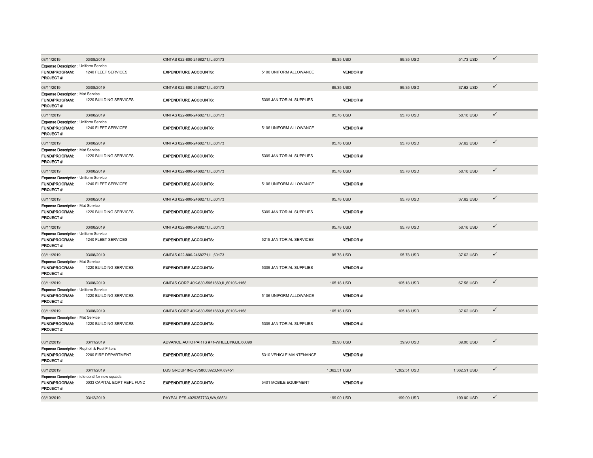| 03/11/2019                                                                                 | 03/08/2019                  | CINTAS 022-800-2468271.IL.60173           |                          | 89.35 USD       | 89.35 USD    | 51.73 USD    | $\checkmark$ |
|--------------------------------------------------------------------------------------------|-----------------------------|-------------------------------------------|--------------------------|-----------------|--------------|--------------|--------------|
| <b>Expense Description: Uniform Service</b><br><b>FUND/PROGRAM:</b><br>PROJECT#:           | 1240 FLEET SERVICES         | <b>EXPENDITURE ACCOUNTS:</b>              | 5106 UNIFORM ALLOWANCE   | <b>VENDOR#:</b> |              |              |              |
| 03/11/2019                                                                                 | 03/08/2019                  | CINTAS 022-800-2468271, IL, 60173         |                          | 89.35 USD       | 89.35 USD    | 37.62 USD    | $\checkmark$ |
| Expense Description: Mat Service<br>FUND/PROGRAM:<br><b>PROJECT#:</b>                      | 1220 BUILDING SERVICES      | <b>EXPENDITURE ACCOUNTS:</b>              | 5309 JANITORIAL SUPPLIES | <b>VENDOR#:</b> |              |              |              |
| 03/11/2019                                                                                 | 03/08/2019                  | CINTAS 022-800-2468271,IL,60173           |                          | 95.78 USD       | 95.78 USD    | 58.16 USD    | $\checkmark$ |
| Expense Description: Uniform Service<br>FUND/PROGRAM:<br>PROJECT#:                         | 1240 FLEET SERVICES         | <b>EXPENDITURE ACCOUNTS:</b>              | 5106 UNIFORM ALLOWANCE   | <b>VENDOR#:</b> |              |              |              |
| 03/11/2019                                                                                 | 03/08/2019                  | CINTAS 022-800-2468271, IL, 60173         |                          | 95.78 USD       | 95.78 USD    | 37.62 USD    | $\checkmark$ |
| <b>Expense Description: Mat Service</b><br>FUND/PROGRAM:<br>PROJECT#:                      | 1220 BUILDING SERVICES      | <b>EXPENDITURE ACCOUNTS:</b>              | 5309 JANITORIAL SUPPLIES | <b>VENDOR#:</b> |              |              |              |
| 03/11/2019                                                                                 | 03/08/2019                  | CINTAS 022-800-2468271, IL, 60173         |                          | 95.78 USD       | 95.78 USD    | 58.16 USD    | $\checkmark$ |
| <b>Expense Description: Uniform Service</b><br><b>FUND/PROGRAM:</b><br>PROJECT #:          | 1240 FLEET SERVICES         | <b>EXPENDITURE ACCOUNTS:</b>              | 5106 UNIFORM ALLOWANCE   | <b>VENDOR#:</b> |              |              |              |
| 03/11/2019                                                                                 | 03/08/2019                  | CINTAS 022-800-2468271, IL, 60173         |                          | 95.78 USD       | 95.78 USD    | 37.62 USD    | $\checkmark$ |
| <b>Expense Description: Mat Service</b><br>FUND/PROGRAM:<br><b>PROJECT#:</b>               | 1220 BUILDING SERVICES      | <b>EXPENDITURE ACCOUNTS:</b>              | 5309 JANITORIAL SUPPLIES | <b>VENDOR#:</b> |              |              |              |
| 03/11/2019                                                                                 | 03/08/2019                  | CINTAS 022-800-2468271, IL, 60173         |                          | 95.78 USD       | 95.78 USD    | 58.16 USD    | $\checkmark$ |
| Expense Description: Uniform Service<br>FUND/PROGRAM:<br><b>PROJECT#:</b>                  | 1240 FLEET SERVICES         | <b>EXPENDITURE ACCOUNTS:</b>              | 5215 JANITORIAL SERVICES | VENDOR#:        |              |              |              |
| 03/11/2019                                                                                 | 03/08/2019                  | CINTAS 022-800-2468271, IL, 60173         |                          | 95.78 USD       | 95.78 USD    | 37.62 USD    | $\checkmark$ |
| <b>Expense Description: Mat Service</b><br>FUND/PROGRAM:<br>PROJECT#:                      | 1220 BUILDING SERVICES      | <b>EXPENDITURE ACCOUNTS:</b>              | 5309 JANITORIAL SUPPLIES | <b>VENDOR#:</b> |              |              |              |
| 03/11/2019                                                                                 | 03/08/2019                  | CINTAS CORP 40K-630-5951660,IL,60106-1158 |                          | 105.18 USD      | 105.18 USD   | 67.56 USD    | $\checkmark$ |
| Expense Description: Uniform Service<br>FUND/PROGRAM:<br>PROJECT#:                         | 1220 BUILDING SERVICES      | <b>EXPENDITURE ACCOUNTS:</b>              | 5106 UNIFORM ALLOWANCE   | <b>VENDOR#:</b> |              |              |              |
| 03/11/2019                                                                                 | 03/08/2019                  | CINTAS CORP 40K-630-5951660,IL,60106-1158 |                          | 105.18 USD      | 105.18 USD   | 37.62 USD    | $\checkmark$ |
| <b>Expense Description: Mat Service</b><br>FUND/PROGRAM:<br>PROJECT #:                     | 1220 BUILDING SERVICES      | <b>EXPENDITURE ACCOUNTS:</b>              | 5309 JANITORIAL SUPPLIES | <b>VENDOR#:</b> |              |              |              |
| 03/12/2019                                                                                 | 03/11/2019                  | ADVANCE AUTO PARTS #71-WHEELING.IL.60090  |                          | 39.90 USD       | 39.90 USD    | 39.90 USD    | $\checkmark$ |
| Expense Description: Repl oil & Fuel Filters<br>FUND/PROGRAM:<br>PROJECT#:                 | 2200 FIRE DEPARTMENT        | <b>EXPENDITURE ACCOUNTS:</b>              | 5310 VEHICLE MAINTENANCE | <b>VENDOR#:</b> |              |              |              |
| 03/12/2019                                                                                 | 03/11/2019                  | LGS GROUP INC-7758003923,NV,89451         |                          | 1,362.51 USD    | 1,362.51 USD | 1,362.51 USD | $\checkmark$ |
| <b>Expense Description:</b> idle contl for new squads<br><b>FUND/PROGRAM:</b><br>PROJECT#: | 0033 CAPITAL EQPT REPL FUND | <b>EXPENDITURE ACCOUNTS:</b>              | 5401 MOBILE EQUIPMENT    | <b>VENDOR#:</b> |              |              |              |
| 03/13/2019                                                                                 | 03/12/2019                  | PAYPAL PFS-4029357733, WA, 98531          |                          | 199.00 USD      | 199.00 USD   | 199.00 USD   | $\checkmark$ |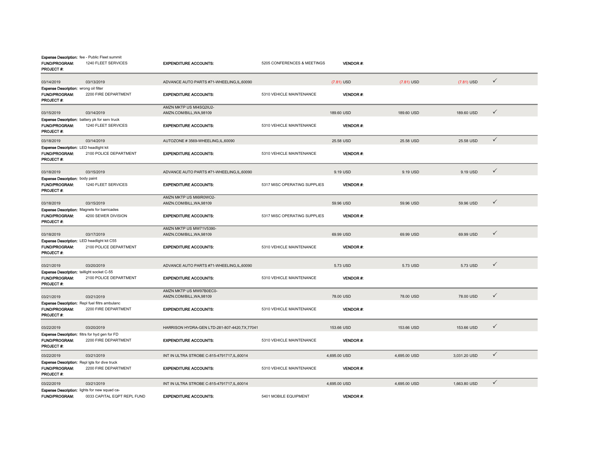| <b>FUND/PROGRAM:</b><br><b>PROJECT#:</b>                                                         | Expense Description: fee - Public Fleet summit<br>1240 FLEET SERVICES         | <b>EXPENDITURE ACCOUNTS:</b>                             | 5205 CONFERENCES & MEETINGS  | <b>VENDOR#:</b>       |              |              |              |
|--------------------------------------------------------------------------------------------------|-------------------------------------------------------------------------------|----------------------------------------------------------|------------------------------|-----------------------|--------------|--------------|--------------|
| 03/14/2019                                                                                       | 03/13/2019                                                                    | ADVANCE AUTO PARTS #71-WHEELING.IL.60090                 |                              | $(7.81)$ USD          | $(7.81)$ USD | $(7.81)$ USD | $\checkmark$ |
| Expense Description: wrong oil filter<br><b>FUND/PROGRAM:</b><br>PROJECT #:                      | 2200 FIRE DEPARTMENT                                                          | <b>EXPENDITURE ACCOUNTS:</b>                             | 5310 VEHICLE MAINTENANCE     | <b>VENDOR#:</b>       |              |              |              |
| 03/15/2019                                                                                       | 03/14/2019                                                                    | AMZN MKTP US MI4SQ2IU2-<br>AMZN.COM/BILL, WA, 98109      |                              | 189,60 USD            | 189,60 USD   | 189.60 USD   | $\checkmark$ |
| <b>FUND/PROGRAM:</b><br>PROJECT #:                                                               | Expense Description: battery pk for serv truck<br>1240 FLEET SERVICES         | <b>EXPENDITURE ACCOUNTS:</b>                             | 5310 VEHICLE MAINTENANCE     | <b>VENDOR#:</b>       |              |              |              |
| 03/18/2019                                                                                       | 03/14/2019                                                                    | AUTOZONE #3569-WHEELING,IL,60090                         |                              | 25.58 USD             | 25.58 USD    | 25.58 USD    | $\checkmark$ |
| <b>Expense Description: LED headlight kit</b><br>FUND/PROGRAM:<br><b>PROJECT #:</b>              | 2100 POLICE DEPARTMENT                                                        | <b>EXPENDITURE ACCOUNTS:</b>                             | 5310 VEHICLE MAINTENANCE     | <b>VENDOR#:</b>       |              |              |              |
| 03/18/2019                                                                                       | 03/15/2019                                                                    | ADVANCE AUTO PARTS #71-WHEELING,IL,60090                 |                              | 9.19 USD              | 9.19 USD     | 9.19 USD     | $\checkmark$ |
| <b>Expense Description:</b> body paint<br>FUND/PROGRAM:<br><b>PROJECT#:</b>                      | 1240 FLEET SERVICES                                                           | <b>EXPENDITURE ACCOUNTS:</b>                             | 5317 MISC OPERATING SUPPLIES | <b>VENDOR#:</b>       |              |              |              |
| 03/18/2019                                                                                       | 03/15/2019                                                                    | AMZN MKTP US MI6IR0WO2-<br>AMZN.COM/BILL, WA, 98109      |                              | 59.96 USD             | 59.96 USD    | 59.96 USD    | $\checkmark$ |
| <b>Expense Description: Magnets for barricades</b><br>FUND/PROGRAM:<br><b>PROJECT #:</b>         | 4200 SEWER DIVISION                                                           | <b>EXPENDITURE ACCOUNTS:</b>                             | 5317 MISC OPERATING SUPPLIES | VENDOR#:              |              |              |              |
|                                                                                                  |                                                                               | AMZN MKTP US MW71V5390-                                  |                              |                       |              |              | $\checkmark$ |
| 03/18/2019<br>Expense Description: LED headlight kit C55<br>FUND/PROGRAM:<br><b>PROJECT #:</b>   | 03/17/2019<br>2100 POLICE DEPARTMENT                                          | AMZN.COM/BILL, WA, 98109<br><b>EXPENDITURE ACCOUNTS:</b> | 5310 VEHICLE MAINTENANCE     | 69.99 USD<br>VENDOR#: | 69.99 USD    | 69.99 USD    |              |
| 03/21/2019                                                                                       | 03/20/2019                                                                    | ADVANCE AUTO PARTS #71-WHEELING,IL,60090                 |                              | 5.73 USD              | 5.73 USD     | 5.73 USD     | $\checkmark$ |
| Expense Description: taillight socket C-55<br>FUND/PROGRAM:<br>PROJECT #:                        | 2100 POLICE DEPARTMENT                                                        | <b>EXPENDITURE ACCOUNTS:</b>                             | 5310 VEHICLE MAINTENANCE     | VENDOR#:              |              |              |              |
| 03/21/2019                                                                                       | 03/21/2019                                                                    | AMZN MKTP US MW97B0EC0-<br>AMZN.COM/BILL, WA, 98109      |                              | 78.00 USD             | 78.00 USD    | 78.00 USD    | ✓            |
| <b>FUND/PROGRAM:</b><br>PROJECT #:                                                               | <b>Expense Description:</b> Repl fuel filtrs ambulanc<br>2200 FIRE DEPARTMENT | <b>EXPENDITURE ACCOUNTS:</b>                             | 5310 VEHICLE MAINTENANCE     | <b>VENDOR#:</b>       |              |              |              |
| 03/22/2019                                                                                       | 03/20/2019                                                                    | HARRISON HYDRA-GEN LTD-281-807-4420, TX, 77041           |                              | 153.66 USD            | 153.66 USD   | 153.66 USD   | $\checkmark$ |
| Expense Description: filtrs for hyd gen for FD<br><b>FUND/PROGRAM:</b><br><b>PROJECT#:</b>       | 2200 FIRE DEPARTMENT                                                          | <b>EXPENDITURE ACCOUNTS:</b>                             | 5310 VEHICLE MAINTENANCE     | <b>VENDOR#:</b>       |              |              |              |
| 03/22/2019                                                                                       | 03/21/2019                                                                    | INT IN ULTRA STROBE C-815-4791717, IL, 60014             |                              | 4,695.00 USD          | 4,695.00 USD | 3,031.20 USD | $\checkmark$ |
| <b>Expense Description:</b> Repl lgts for dive truck<br><b>FUND/PROGRAM:</b><br><b>PROJECT#:</b> | 2200 FIRE DEPARTMENT                                                          | <b>EXPENDITURE ACCOUNTS:</b>                             | 5310 VEHICLE MAINTENANCE     | <b>VENDOR#:</b>       |              |              |              |
| 03/22/2019                                                                                       | 03/21/2019                                                                    | INT IN ULTRA STROBE C-815-4791717, IL, 60014             |                              | 4,695.00 USD          | 4,695.00 USD | 1,663.80 USD | $\checkmark$ |
| <b>FUND/PROGRAM:</b>                                                                             | Expense Description: lights for new squad ca-<br>0033 CAPITAL EQPT REPL FUND  | <b>EXPENDITURE ACCOUNTS:</b>                             | 5401 MOBILE EQUIPMENT        | VENDOR #:             |              |              |              |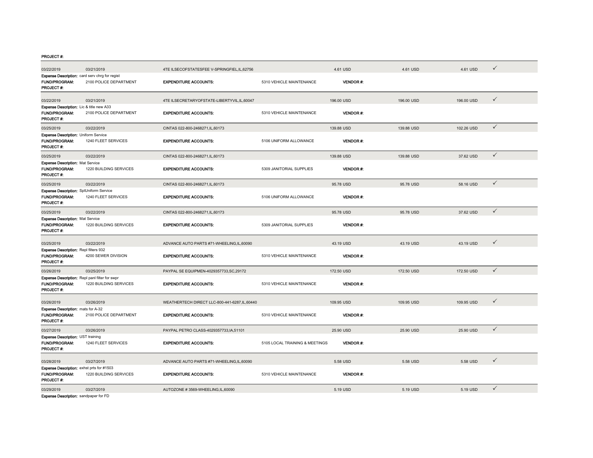| 03/22/2019                                                                          | 03/21/2019             | 4TE ILSECOFSTATESFEE V-SPRINGFIEL,IL,62756   |                                | 4.61 USD        | 4.61 USD   | 4.61 USD   | $\checkmark$ |
|-------------------------------------------------------------------------------------|------------------------|----------------------------------------------|--------------------------------|-----------------|------------|------------|--------------|
| Expense Description: card serv chrg for regist<br><b>FUND/PROGRAM:</b><br>PROJECT#: | 2100 POLICE DEPARTMENT | <b>EXPENDITURE ACCOUNTS:</b>                 | 5310 VEHICLE MAINTENANCE       | <b>VENDOR#:</b> |            |            |              |
| 03/22/2019                                                                          | 03/21/2019             | 4TE ILSECRETARYOFSTATE-LIBERTYVIL,IL,60047   |                                | 196.00 USD      | 196.00 USD | 196.00 USD | $\checkmark$ |
| Expense Description: Lic & title new A33<br>FUND/PROGRAM:<br>PROJECT#:              | 2100 POLICE DEPARTMENT | <b>EXPENDITURE ACCOUNTS:</b>                 | 5310 VEHICLE MAINTENANCE       | VENDOR#:        |            |            |              |
| 03/25/2019                                                                          | 03/22/2019             | CINTAS 022-800-2468271, IL, 60173            |                                | 139.88 USD      | 139.88 USD | 102.26 USD | $\checkmark$ |
| Expense Description: Uniform Service<br><b>FUND/PROGRAM:</b><br>PROJECT#:           | 1240 FLEET SERVICES    | <b>EXPENDITURE ACCOUNTS:</b>                 | 5106 UNIFORM ALLOWANCE         | <b>VENDOR#:</b> |            |            |              |
| 03/25/2019                                                                          | 03/22/2019             | CINTAS 022-800-2468271, IL, 60173            |                                | 139.88 USD      | 139.88 USD | 37.62 USD  | $\checkmark$ |
| <b>Expense Description: Mat Service</b><br>FUND/PROGRAM:<br>PROJECT#:               | 1220 BUILDING SERVICES | <b>EXPENDITURE ACCOUNTS:</b>                 | 5309 JANITORIAL SUPPLIES       | <b>VENDOR#:</b> |            |            |              |
| 03/25/2019                                                                          | 03/22/2019             | CINTAS 022-800-2468271, IL, 60173            |                                | 95.78 USD       | 95.78 USD  | 58.16 USD  | $\checkmark$ |
| <b>Expense Description:</b> SplUniform Service<br>FUND/PROGRAM:<br>PROJECT#:        | 1240 FLEET SERVICES    | <b>EXPENDITURE ACCOUNTS:</b>                 | 5106 UNIFORM ALLOWANCE         | <b>VENDOR#:</b> |            |            |              |
| 03/25/2019                                                                          | 03/22/2019             | CINTAS 022-800-2468271, IL, 60173            |                                | 95.78 USD       | 95.78 USD  | 37.62 USD  | $\checkmark$ |
| <b>Expense Description: Mat Service</b><br>FUND/PROGRAM:<br>PROJECT#:               | 1220 BUILDING SERVICES | <b>EXPENDITURE ACCOUNTS:</b>                 | 5309 JANITORIAL SUPPLIES       | <b>VENDOR#:</b> |            |            |              |
| 03/25/2019                                                                          | 03/22/2019             | ADVANCE AUTO PARTS #71-WHEELING,IL,60090     |                                | 43.19 USD       | 43.19 USD  | 43.19 USD  | $\checkmark$ |
| Expense Description: Repl filters 932<br>FUND/PROGRAM:<br><b>PROJECT#:</b>          | 4200 SEWER DIVISION    | <b>EXPENDITURE ACCOUNTS:</b>                 | 5310 VEHICLE MAINTENANCE       | <b>VENDOR#:</b> |            |            |              |
| 03/26/2019                                                                          | 03/25/2019             | PAYPAL SE EQUIPMEN-4029357733.SC.29172       |                                | 172.50 USD      | 172.50 USD | 172.50 USD | $\checkmark$ |
| Expense Description: Repl panl filter for swpr<br>FUND/PROGRAM:<br>PROJECT#:        | 1220 BUILDING SERVICES | <b>EXPENDITURE ACCOUNTS:</b>                 | 5310 VEHICLE MAINTENANCE       | <b>VENDOR#:</b> |            |            |              |
| 03/26/2019                                                                          | 03/26/2019             | WEATHERTECH DIRECT LLC-800-441-6287,IL,60440 |                                | 109.95 USD      | 109.95 USD | 109.95 USD | $\checkmark$ |
| Expense Description: mats for A-32<br><b>FUND/PROGRAM:</b><br><b>PROJECT#:</b>      | 2100 POLICE DEPARTMENT | <b>EXPENDITURE ACCOUNTS:</b>                 | 5310 VEHICLE MAINTENANCE       | <b>VENDOR#:</b> |            |            |              |
| 03/27/2019                                                                          | 03/26/2019             | PAYPAL PETRO CLASS-4029357733, IA, 51101     |                                | 25.90 USD       | 25.90 USD  | 25.90 USD  | $\checkmark$ |
| Expense Description: UST training<br>FUND/PROGRAM:<br>PROJECT#:                     | 1240 FLEET SERVICES    | <b>EXPENDITURE ACCOUNTS:</b>                 | 5105 LOCAL TRAINING & MEETINGS | <b>VENDOR#:</b> |            |            |              |
| 03/28/2019                                                                          | 03/27/2019             | ADVANCE AUTO PARTS #71-WHEELING,IL,60090     |                                | 5.58 USD        | 5.58 USD   | 5.58 USD   | $\checkmark$ |
| <b>Expense Description:</b> exhst prts for #1503<br>FUND/PROGRAM:<br>PROJECT#:      | 1220 BUILDING SERVICES | <b>EXPENDITURE ACCOUNTS:</b>                 | 5310 VEHICLE MAINTENANCE       | <b>VENDOR#:</b> |            |            |              |
| 03/29/2019<br><b>Expense Description:</b> sandpaper for FD                          | 03/27/2019             | AUTOZONE #3569-WHEELING,IL,60090             |                                | 5.19 USD        | 5.19 USD   | 5.19 USD   | $\checkmark$ |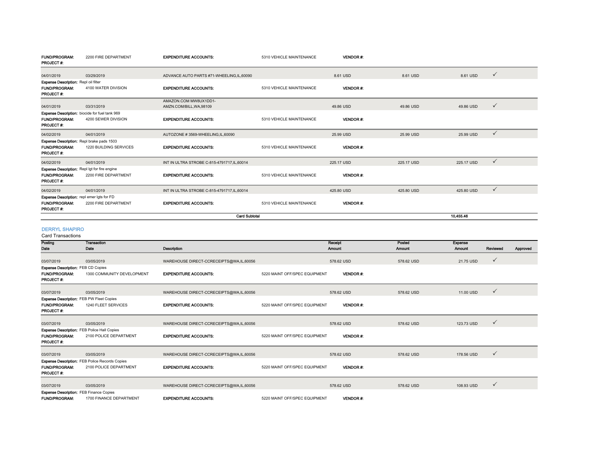| <b>FUND/PROGRAM:</b><br><b>PROJECT#:</b>   | 2200 FIRE DEPARTMENT                                 | <b>EXPENDITURE ACCOUNTS:</b>                 | 5310 VEHICLE MAINTENANCE | <b>VENDOR#:</b> |            |            |              |
|--------------------------------------------|------------------------------------------------------|----------------------------------------------|--------------------------|-----------------|------------|------------|--------------|
| 04/01/2019                                 | 03/29/2019                                           | ADVANCE AUTO PARTS #71-WHEELING.IL.60090     |                          | 8.61 USD        | 8.61 USD   | 8.61 USD   | $\checkmark$ |
| Expense Description: Repl oil filter       |                                                      |                                              |                          |                 |            |            |              |
| <b>FUND/PROGRAM:</b><br><b>PROJECT#:</b>   | 4100 WATER DIVISION                                  | <b>EXPENDITURE ACCOUNTS:</b>                 | 5310 VEHICLE MAINTENANCE | <b>VENDOR#:</b> |            |            |              |
|                                            |                                                      | AMAZON.COM MW8UX1DD1-                        |                          |                 |            |            |              |
| 04/01/2019                                 | 03/31/2019                                           | AMZN.COM/BILL.WA.98109                       |                          | 49.86 USD       | 49.86 USD  | 49.86 USD  | $\checkmark$ |
|                                            | Expense Description: biocide for fuel tank 969       |                                              |                          |                 |            |            |              |
| <b>FUND/PROGRAM:</b><br><b>PROJECT#:</b>   | 4200 SEWER DIVISION                                  | <b>EXPENDITURE ACCOUNTS:</b>                 | 5310 VEHICLE MAINTENANCE | <b>VENDOR#:</b> |            |            |              |
| 04/02/2019                                 | 04/01/2019                                           | AUTOZONE #3569-WHEELING,IL,60090             |                          | 25.99 USD       | 25.99 USD  | 25.99 USD  | $\checkmark$ |
|                                            | Expense Description: Repl brake pads 1503            |                                              |                          |                 |            |            |              |
| <b>FUND/PROGRAM:</b><br>PROJECT#:          | 1220 BUILDING SERVICES                               | <b>EXPENDITURE ACCOUNTS:</b>                 | 5310 VEHICLE MAINTENANCE | <b>VENDOR#:</b> |            |            |              |
| 04/02/2019                                 | 04/01/2019                                           | INT IN ULTRA STROBE C-815-4791717, IL, 60014 |                          | 225.17 USD      | 225.17 USD | 225.17 USD | $\checkmark$ |
|                                            | <b>Expense Description:</b> Repl lgt for fire engine |                                              |                          |                 |            |            |              |
| <b>FUND/PROGRAM:</b><br>PROJECT#:          | 2200 FIRE DEPARTMENT                                 | <b>EXPENDITURE ACCOUNTS:</b>                 | 5310 VEHICLE MAINTENANCE | <b>VENDOR#:</b> |            |            |              |
| 04/02/2019                                 | 04/01/2019                                           | INT IN ULTRA STROBE C-815-4791717, IL, 60014 |                          | 425.80 USD      | 425.80 USD | 425.80 USD | $\checkmark$ |
| Expense Description: repl emer lgts for FD |                                                      |                                              |                          |                 |            |            |              |
| <b>FUND/PROGRAM:</b><br><b>PROJECT#:</b>   | 2200 FIRE DEPARTMENT                                 | <b>EXPENDITURE ACCOUNTS:</b>                 | 5310 VEHICLE MAINTENANCE | <b>VENDOR#:</b> |            |            |              |
|                                            |                                                      | <b>Card Subtotal</b>                         |                          |                 |            | 10,455.46  |              |

#### DERRYL SHAPIRO

Card Transactions

| Posting                                            | Transaction                                           |                                         |                               | Receipt         | Posted     | Expense       |              |          |
|----------------------------------------------------|-------------------------------------------------------|-----------------------------------------|-------------------------------|-----------------|------------|---------------|--------------|----------|
| Date                                               | Date                                                  | Description                             |                               | <b>Amount</b>   | Amount     | <b>Amount</b> | Reviewed     | Approved |
|                                                    |                                                       |                                         |                               |                 |            |               |              |          |
| 03/07/2019                                         | 03/05/2019                                            | WAREHOUSE DIRECT-CCRECEIPTS@WA,IL,60056 |                               | 578.62 USD      | 578.62 USD | 21.75 USD     | ✓            |          |
| <b>Expense Description: FEB CD Copies</b>          |                                                       |                                         |                               |                 |            |               |              |          |
| <b>FUND/PROGRAM:</b><br><b>PROJECT#:</b>           | 1300 COMMUNITY DEVELOPMENT                            | <b>EXPENDITURE ACCOUNTS:</b>            | 5220 MAINT OFF/SPEC EQUIPMENT | <b>VENDOR#:</b> |            |               |              |          |
| 03/07/2019                                         | 03/05/2019                                            | WAREHOUSE DIRECT-CCRECEIPTS@WA,IL,60056 |                               | 578.62 USD      | 578.62 USD | 11.00 USD     | $\checkmark$ |          |
| Expense Description: FEB PW Fleet Copies           |                                                       |                                         |                               |                 |            |               |              |          |
| <b>FUND/PROGRAM:</b><br><b>PROJECT#:</b>           | 1240 FLEET SERVICES                                   | <b>EXPENDITURE ACCOUNTS:</b>            | 5220 MAINT OFF/SPEC EQUIPMENT | <b>VENDOR#:</b> |            |               |              |          |
| 03/07/2019                                         | 03/05/2019                                            | WAREHOUSE DIRECT-CCRECEIPTS@WA,IL,60056 |                               | 578.62 USD      | 578.62 USD | 123.73 USD    | $\checkmark$ |          |
| <b>Expense Description: FEB Police Hall Copies</b> |                                                       |                                         |                               |                 |            |               |              |          |
| <b>FUND/PROGRAM:</b>                               | 2100 POLICE DEPARTMENT                                | <b>EXPENDITURE ACCOUNTS:</b>            | 5220 MAINT OFF/SPEC EQUIPMENT | <b>VENDOR#:</b> |            |               |              |          |
| PROJECT#:                                          |                                                       |                                         |                               |                 |            |               |              |          |
|                                                    |                                                       |                                         |                               |                 |            |               |              |          |
| 03/07/2019                                         | 03/05/2019                                            | WAREHOUSE DIRECT-CCRECEIPTS@WA,IL,60056 |                               | 578.62 USD      | 578.62 USD | 178.56 USD    | ✓            |          |
|                                                    | <b>Expense Description: FEB Police Records Copies</b> |                                         |                               |                 |            |               |              |          |
| <b>FUND/PROGRAM:</b>                               | 2100 POLICE DEPARTMENT                                | <b>EXPENDITURE ACCOUNTS:</b>            | 5220 MAINT OFF/SPEC EQUIPMENT | <b>VENDOR#:</b> |            |               |              |          |
| <b>PROJECT #:</b>                                  |                                                       |                                         |                               |                 |            |               |              |          |
|                                                    |                                                       |                                         |                               |                 |            |               |              |          |
| 03/07/2019                                         | 03/05/2019                                            | WAREHOUSE DIRECT-CCRECEIPTS@WA,IL,60056 |                               | 578.62 USD      | 578.62 USD | 108.93 USD    | $\checkmark$ |          |
| <b>Expense Description: FEB Finance Copies</b>     |                                                       |                                         |                               |                 |            |               |              |          |
| <b>FUND/PROGRAM:</b>                               | 1700 FINANCE DEPARTMENT                               | <b>EXPENDITURE ACCOUNTS:</b>            | 5220 MAINT OFF/SPEC EQUIPMENT | <b>VENDOR#:</b> |            |               |              |          |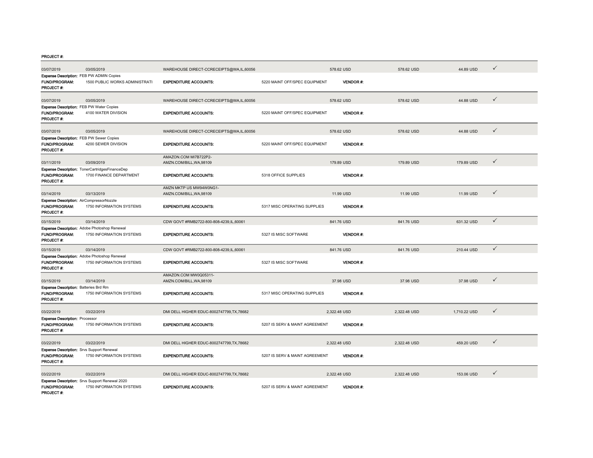| 03/07/2019                                                                             | 03/05/2019                                                                 | WAREHOUSE DIRECT-CCRECEIPTS@WA,IL,60056             |                                | 578.62 USD      | 578.62 USD   | 44.89 USD    | $\checkmark$ |
|----------------------------------------------------------------------------------------|----------------------------------------------------------------------------|-----------------------------------------------------|--------------------------------|-----------------|--------------|--------------|--------------|
| <b>FUND/PROGRAM:</b><br>PROJECT#:                                                      | Expense Description: FEB PW ADMIN Copies<br>1500 PUBLIC WORKS ADMINISTRATI | <b>EXPENDITURE ACCOUNTS:</b>                        | 5220 MAINT OFF/SPEC EQUIPMENT  | <b>VENDOR#:</b> |              |              |              |
| 03/07/2019                                                                             | 03/05/2019                                                                 | WAREHOUSE DIRECT-CCRECEIPTS@WA,IL,60056             |                                | 578.62 USD      | 578.62 USD   | 44.88 USD    | $\checkmark$ |
| Expense Description: FEB PW Water Copies<br><b>FUND/PROGRAM:</b><br><b>PROJECT#:</b>   | 4100 WATER DIVISION                                                        | <b>EXPENDITURE ACCOUNTS:</b>                        | 5220 MAINT OFF/SPEC EQUIPMENT  | VENDOR#:        |              |              |              |
| 03/07/2019                                                                             | 03/05/2019                                                                 | WAREHOUSE DIRECT-CCRECEIPTS@WA,IL,60056             |                                | 578.62 USD      | 578.62 USD   | 44.88 USD    | $\checkmark$ |
| FUND/PROGRAM:<br>PROJECT #:                                                            | <b>Expense Description: FEB PW Sewer Copies</b><br>4200 SEWER DIVISION     | <b>EXPENDITURE ACCOUNTS:</b>                        | 5220 MAINT OFF/SPEC EQUIPMENT  | VENDOR#:        |              |              |              |
| 03/11/2019                                                                             | 03/09/2019                                                                 | AMAZON.COM MI7B722P2-<br>AMZN.COM/BILL, WA, 98109   |                                | 179.89 USD      | 179.89 USD   | 179.89 USD   | $\checkmark$ |
| FUND/PROGRAM:<br><b>PROJECT#:</b>                                                      | Expense Description: TonerCartridgesFinanceDep<br>1700 FINANCE DEPARTMENT  | <b>EXPENDITURE ACCOUNTS:</b>                        | 5318 OFFICE SUPPLIES           | VENDOR#:        |              |              |              |
| 03/14/2019                                                                             | 03/13/2019                                                                 | AMZN MKTP US MW94W0NG1-<br>AMZN.COM/BILL, WA, 98109 |                                | 11.99 USD       | 11.99 USD    | 11.99 USD    | $\checkmark$ |
| Expense Description: AirCompressorNozzle<br>FUND/PROGRAM:<br><b>PROJECT#:</b>          | 1750 INFORMATION SYSTEMS                                                   | <b>EXPENDITURE ACCOUNTS:</b>                        | 5317 MISC OPERATING SUPPLIES   | VENDOR#:        |              |              |              |
| 03/15/2019                                                                             | 03/14/2019                                                                 | CDW GOVT #RMB2722-800-808-4239,IL,60061             |                                | 841.76 USD      | 841.76 USD   | 631.32 USD   | $\checkmark$ |
| <b>FUND/PROGRAM:</b><br>PROJECT #:                                                     | Expense Description: Adobe Photoshop Renewal<br>1750 INFORMATION SYSTEMS   | <b>EXPENDITURE ACCOUNTS:</b>                        | 5327 IS MISC SOFTWARE          | <b>VENDOR#:</b> |              |              |              |
| 03/15/2019                                                                             | 03/14/2019                                                                 | CDW GOVT #RMB2722-800-808-4239.IL.60061             |                                | 841.76 USD      | 841.76 USD   | 210.44 USD   | $\checkmark$ |
| FUND/PROGRAM:<br>PROJECT #:                                                            | Expense Description: Adobe Photoshop Renewal<br>1750 INFORMATION SYSTEMS   | <b>EXPENDITURE ACCOUNTS:</b>                        | 5327 IS MISC SOFTWARE          | <b>VENDOR#:</b> |              |              |              |
| 03/15/2019                                                                             | 03/14/2019                                                                 | AMAZON.COM MW0Q05311-<br>AMZN.COM/BILL, WA, 98109   |                                | 37.98 USD       | 37.98 USD    | 37.98 USD    | $\checkmark$ |
| Expense Description: Batteries Brd Rm<br>FUND/PROGRAM:<br><b>PROJECT #:</b>            | 1750 INFORMATION SYSTEMS                                                   | <b>EXPENDITURE ACCOUNTS:</b>                        | 5317 MISC OPERATING SUPPLIES   | <b>VENDOR#:</b> |              |              |              |
| 03/22/2019                                                                             | 03/22/2019                                                                 | DMI DELL HIGHER EDUC-8002747799.TX.78682            |                                | 2,322.48 USD    | 2.322.48 USD | 1,710.22 USD | $\checkmark$ |
| <b>Expense Description: Processor</b><br>FUND/PROGRAM:<br><b>PROJECT #:</b>            | 1750 INFORMATION SYSTEMS                                                   | <b>EXPENDITURE ACCOUNTS:</b>                        | 5207 IS SERV & MAINT AGREEMENT | <b>VENDOR#:</b> |              |              |              |
| 03/22/2019                                                                             | 03/22/2019                                                                 | DMI DELL HIGHER EDUC-8002747799,TX,78682            |                                | 2,322.48 USD    | 2,322.48 USD | 459.20 USD   | $\checkmark$ |
| <b>Expense Description:</b> Srvs Support Renewal<br>FUND/PROGRAM:<br><b>PROJECT #:</b> | 1750 INFORMATION SYSTEMS                                                   | <b>EXPENDITURE ACCOUNTS:</b>                        | 5207 IS SERV & MAINT AGREEMENT | <b>VENDOR#:</b> |              |              |              |
| 03/22/2019                                                                             | 03/22/2019                                                                 | DMI DELL HIGHER EDUC-8002747799.TX.78682            |                                | 2,322.48 USD    | 2,322.48 USD | 153.06 USD   | $\checkmark$ |
| FUND/PROGRAM:<br><b>PROJECT#:</b>                                                      | Expense Description: Srvs Support Renewal 2020<br>1750 INFORMATION SYSTEMS | <b>EXPENDITURE ACCOUNTS:</b>                        | 5207 IS SERV & MAINT AGREEMENT | <b>VENDOR#:</b> |              |              |              |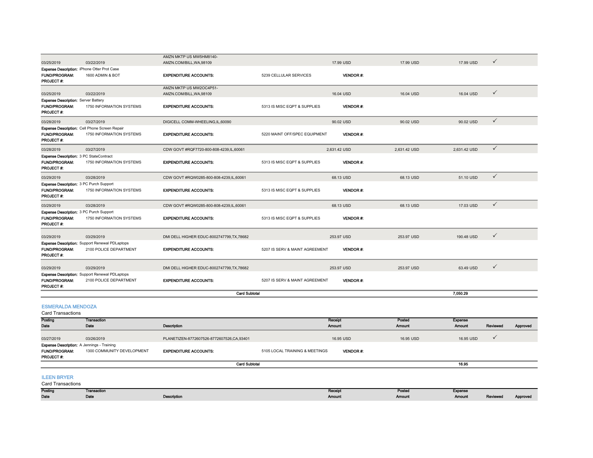|                                                                    |                                                                 | AMZN MKTP US MW5HM8140-                  |                                |                 |              |              |              |
|--------------------------------------------------------------------|-----------------------------------------------------------------|------------------------------------------|--------------------------------|-----------------|--------------|--------------|--------------|
| 03/25/2019                                                         | 03/22/2019                                                      | AMZN.COM/BILL, WA, 98109                 |                                | 17.99 USD       | 17.99 USD    | 17.99 USD    | $\checkmark$ |
| FUND/PROGRAM:                                                      | Expense Description: iPhone Otter Prot Case<br>1600 ADMIN & BOT | <b>EXPENDITURE ACCOUNTS:</b>             | 5239 CELLULAR SERVICES         | <b>VENDOR#:</b> |              |              |              |
| <b>PROJECT#:</b>                                                   |                                                                 |                                          |                                |                 |              |              |              |
|                                                                    |                                                                 | AMZN MKTP US MW2OC4P51-                  |                                |                 |              |              |              |
| 03/25/2019                                                         | 03/22/2019                                                      | AMZN.COM/BILL, WA, 98109                 |                                | 16.04 USD       | 16.04 USD    | 16.04 USD    | $\checkmark$ |
| <b>Expense Description: Server Battery</b><br><b>FUND/PROGRAM:</b> | 1750 INFORMATION SYSTEMS                                        | <b>EXPENDITURE ACCOUNTS:</b>             | 5313 IS MISC EQPT & SUPPLIES   | <b>VENDOR#:</b> |              |              |              |
| <b>PROJECT#:</b>                                                   |                                                                 |                                          |                                |                 |              |              |              |
| 03/28/2019                                                         | 03/27/2019                                                      | DIGICELL COMM-WHEELING, IL, 60090        |                                | 90.02 USD       | 90.02 USD    | 90.02 USD    | $\checkmark$ |
|                                                                    | Expense Description: Cell Phone Screen Repair                   |                                          |                                |                 |              |              |              |
| <b>FUND/PROGRAM:</b><br>PROJECT#:                                  | 1750 INFORMATION SYSTEMS                                        | <b>EXPENDITURE ACCOUNTS:</b>             | 5220 MAINT OFF/SPEC EQUIPMENT  | <b>VENDOR#:</b> |              |              |              |
| 03/28/2019                                                         | 03/27/2019                                                      | CDW GOVT #RQF7720-800-808-4239,IL,60061  |                                | 2,631.42 USD    | 2.631.42 USD | 2,631.42 USD | $\checkmark$ |
| Expense Description: 3 PC StateContract                            |                                                                 |                                          |                                |                 |              |              |              |
| <b>FUND/PROGRAM:</b><br>PROJECT#:                                  | 1750 INFORMATION SYSTEMS                                        | <b>EXPENDITURE ACCOUNTS:</b>             | 5313 IS MISC EQPT & SUPPLIES   | <b>VENDOR#:</b> |              |              |              |
| 03/29/2019                                                         | 03/28/2019                                                      | CDW GOVT #RQW0285-800-808-4239,IL,60061  |                                | 68.13 USD       | 68.13 USD    | 51.10 USD    | $\checkmark$ |
| Expense Description: 3 PC Purch Support                            |                                                                 |                                          |                                |                 |              |              |              |
| <b>FUND/PROGRAM:</b><br>PROJECT#:                                  | 1750 INFORMATION SYSTEMS                                        | <b>EXPENDITURE ACCOUNTS:</b>             | 5313 IS MISC EQPT & SUPPLIES   | <b>VENDOR#:</b> |              |              |              |
| 03/29/2019                                                         | 03/28/2019                                                      | CDW GOVT #RQW0285-800-808-4239,IL,60061  |                                | 68.13 USD       | 68.13 USD    | 17.03 USD    | $\checkmark$ |
| Expense Description: 3 PC Purch Support                            |                                                                 |                                          |                                |                 |              |              |              |
| <b>FUND/PROGRAM:</b><br>PROJECT#:                                  | 1750 INFORMATION SYSTEMS                                        | <b>EXPENDITURE ACCOUNTS:</b>             | 5313 IS MISC EQPT & SUPPLIES   | <b>VENDOR#:</b> |              |              |              |
| 03/29/2019                                                         | 03/29/2019                                                      | DMI DELL HIGHER EDUC-8002747799.TX.78682 |                                | 253.97 USD      | 253.97 USD   | 190.48 USD   | $\checkmark$ |
|                                                                    | <b>Expense Description:</b> Support Renewal PDLaptops           |                                          |                                |                 |              |              |              |
| FUND/PROGRAM:<br>PROJECT#:                                         | 2100 POLICE DEPARTMENT                                          | <b>EXPENDITURE ACCOUNTS:</b>             | 5207 IS SERV & MAINT AGREEMENT | <b>VENDOR#:</b> |              |              |              |
| 03/29/2019                                                         | 03/29/2019                                                      | DMI DELL HIGHER EDUC-8002747799,TX,78682 |                                | 253.97 USD      | 253.97 USD   | 63.49 USD    | $\checkmark$ |
|                                                                    | <b>Expense Description:</b> Support Renewal PDLaptops           |                                          |                                |                 |              |              |              |
| <b>FUND/PROGRAM:</b><br>PROJECT#:                                  | 2100 POLICE DEPARTMENT                                          | <b>EXPENDITURE ACCOUNTS:</b>             | 5207 IS SERV & MAINT AGREEMENT | <b>VENDOR#:</b> |              |              |              |
|                                                                    |                                                                 | <b>Card Subtotal</b>                     |                                |                 |              | 7.050.29     |              |
| <b>ESMERALDA MENDOZA</b><br>Card Transactions                      |                                                                 |                                          |                                |                 |              |              |              |

| Posting                                           | <b>Transaction</b>         |                                           |                                | Receipt         | Posted        | <b>Expense</b> |              |          |
|---------------------------------------------------|----------------------------|-------------------------------------------|--------------------------------|-----------------|---------------|----------------|--------------|----------|
| Date                                              | Date                       | Description                               | Amount                         |                 | <b>Amount</b> | <b>Amount</b>  | Reviewed     | Approved |
| 03/27/2019                                        | 03/26/2019                 | PLANETIZEN-8772607526-8772607526,CA,93401 |                                | 16.95 USD       | 16.95 USD     | 16.95 USD      | $\checkmark$ |          |
| <b>Expense Description: A Jennings - Training</b> |                            |                                           |                                |                 |               |                |              |          |
| <b>FUND/PROGRAM:</b>                              | 1300 COMMUNITY DEVELOPMENT | <b>EXPENDITURE ACCOUNTS:</b>              | 5105 LOCAL TRAINING & MEETINGS | <b>VENDOR#:</b> |               |                |              |          |
| <b>PROJECT#:</b>                                  |                            |                                           |                                |                 |               |                |              |          |
|                                                   |                            | <b>Card Subtotal</b>                      |                                |                 |               | 16.95          |              |          |
|                                                   |                            |                                           |                                |                 |               |                |              |          |
| <b>ILEEN BRYER</b>                                |                            |                                           |                                |                 |               |                |              |          |
| <b>Card Transactions</b>                          |                            |                                           |                                |                 |               |                |              |          |

Posting Date Transaction Date Description Receipt Amount Posted Amount Expense Reviewed Approved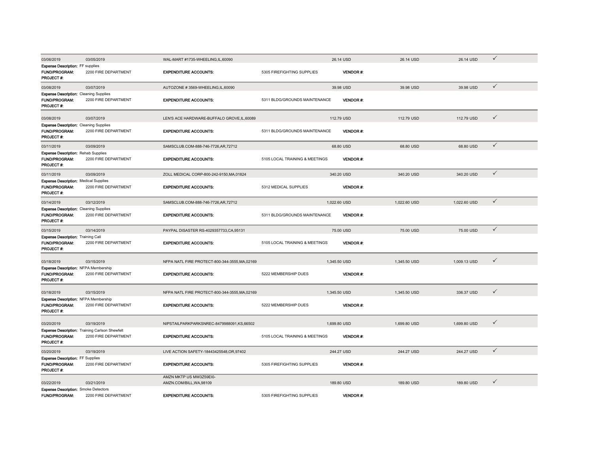| 03/06/2019                                                            | 03/05/2019                                     | WAL-MART #1735-WHEELING.IL.60090               |                                | 26.14 USD        | 26.14 USD    | 26.14 USD    | $\checkmark$ |
|-----------------------------------------------------------------------|------------------------------------------------|------------------------------------------------|--------------------------------|------------------|--------------|--------------|--------------|
| <b>Expense Description: FF supplies</b>                               |                                                |                                                |                                |                  |              |              |              |
| <b>FUND/PROGRAM:</b>                                                  | 2200 FIRE DEPARTMENT                           | <b>EXPENDITURE ACCOUNTS:</b>                   | 5305 FIREFIGHTING SUPPLIES     | <b>VENDOR#:</b>  |              |              |              |
| PROJECT #:                                                            |                                                |                                                |                                |                  |              |              |              |
| 03/08/2019                                                            | 03/07/2019                                     | AUTOZONE #3569-WHEELING,IL,60090               |                                | 39.98 USD        | 39.98 USD    | 39.98 USD    | $\checkmark$ |
| <b>Expense Description: Cleaning Supplies</b>                         |                                                |                                                |                                |                  |              |              |              |
| <b>FUND/PROGRAM:</b>                                                  | 2200 FIRE DEPARTMENT                           | <b>EXPENDITURE ACCOUNTS:</b>                   | 5311 BLDG/GROUNDS MAINTENANCE  | <b>VENDOR#:</b>  |              |              |              |
| PROJECT #:                                                            |                                                |                                                |                                |                  |              |              |              |
|                                                                       |                                                |                                                |                                |                  |              |              | $\checkmark$ |
| 03/08/2019                                                            | 03/07/2019                                     | LEN'S ACE HARDWARE-BUFFALO GROVE,IL,60089      |                                | 112.79 USD       | 112.79 USD   | 112.79 USD   |              |
| <b>Expense Description: Cleaning Supplies</b><br>FUND/PROGRAM:        | 2200 FIRE DEPARTMENT                           | <b>EXPENDITURE ACCOUNTS:</b>                   | 5311 BLDG/GROUNDS MAINTENANCE  | <b>VENDOR#:</b>  |              |              |              |
| PROJECT#:                                                             |                                                |                                                |                                |                  |              |              |              |
|                                                                       |                                                |                                                |                                |                  |              |              | $\checkmark$ |
| 03/11/2019                                                            | 03/09/2019                                     | SAMSCLUB.COM-888-746-7726,AR,72712             |                                | 68.80 USD        | 68.80 USD    | 68.80 USD    |              |
| <b>Expense Description: Rehab Supplies</b><br>FUND/PROGRAM:           | 2200 FIRE DEPARTMENT                           | <b>EXPENDITURE ACCOUNTS:</b>                   | 5105 LOCAL TRAINING & MEETINGS | <b>VENDOR#:</b>  |              |              |              |
| PROJECT#:                                                             |                                                |                                                |                                |                  |              |              |              |
|                                                                       |                                                |                                                |                                |                  |              |              | $\checkmark$ |
| 03/11/2019                                                            | 03/09/2019                                     | ZOLL MEDICAL CORP-800-242-9150, MA, 01824      |                                | 340.20 USD       | 340.20 USD   | 340.20 USD   |              |
| <b>Expense Description: Medical Supplies</b><br>FUND/PROGRAM:         | 2200 FIRE DEPARTMENT                           | <b>EXPENDITURE ACCOUNTS:</b>                   | 5312 MEDICAL SUPPLIES          | VENDOR#:         |              |              |              |
| PROJECT#:                                                             |                                                |                                                |                                |                  |              |              |              |
|                                                                       |                                                |                                                |                                |                  |              |              | $\checkmark$ |
| 03/14/2019                                                            | 03/12/2019                                     | SAMSCLUB.COM-888-746-7726,AR,72712             |                                | 1,022.60 USD     | 1,022.60 USD | 1,022.60 USD |              |
| <b>Expense Description: Cleaning Supplies</b><br><b>FUND/PROGRAM:</b> |                                                |                                                |                                | <b>VENDOR#:</b>  |              |              |              |
| PROJECT #:                                                            | 2200 FIRE DEPARTMENT                           | <b>EXPENDITURE ACCOUNTS:</b>                   | 5311 BLDG/GROUNDS MAINTENANCE  |                  |              |              |              |
|                                                                       |                                                |                                                |                                |                  |              |              |              |
| 03/15/2019                                                            | 03/14/2019                                     | PAYPAL DISASTER RS-4029357733, CA, 95131       |                                | 75.00 USD        | 75.00 USD    | 75.00 USD    | $\checkmark$ |
| <b>Expense Description: Training Cali</b>                             |                                                |                                                |                                |                  |              |              |              |
| <b>FUND/PROGRAM:</b><br><b>PROJECT#:</b>                              | 2200 FIRE DEPARTMENT                           | <b>EXPENDITURE ACCOUNTS:</b>                   | 5105 LOCAL TRAINING & MEETINGS | <b>VENDOR#:</b>  |              |              |              |
|                                                                       |                                                |                                                |                                |                  |              |              |              |
| 03/18/2019                                                            | 03/15/2019                                     | NFPA NATL FIRE PROTECT-800-344-3555, MA, 02169 |                                | 1,345.50 USD     | 1,345.50 USD | 1,009.13 USD | $\checkmark$ |
| Expense Description: NFPA Membership                                  |                                                |                                                |                                |                  |              |              |              |
| <b>FUND/PROGRAM:</b>                                                  | 2200 FIRE DEPARTMENT                           | <b>EXPENDITURE ACCOUNTS:</b>                   | 5222 MEMBERSHIP DUES           | <b>VENDOR#:</b>  |              |              |              |
| PROJECT #:                                                            |                                                |                                                |                                |                  |              |              |              |
|                                                                       |                                                |                                                |                                |                  |              |              |              |
| 03/18/2019                                                            | 03/15/2019                                     | NFPA NATL FIRE PROTECT-800-344-3555, MA, 02169 |                                | 1,345.50 USD     | 1,345.50 USD | 336.37 USD   | $\checkmark$ |
| Expense Description: NFPA Membership                                  |                                                |                                                |                                | <b>VENDOR#:</b>  |              |              |              |
| FUND/PROGRAM:<br>PROJECT#:                                            | 2200 FIRE DEPARTMENT                           | <b>EXPENDITURE ACCOUNTS:</b>                   | 5222 MEMBERSHIP DUES           |                  |              |              |              |
|                                                                       |                                                |                                                |                                |                  |              |              |              |
| 03/20/2019                                                            | 03/19/2019                                     | NIPSTAILPARKPARKSNREC-8479988091,KS,66502      |                                | 1,699.80 USD     | 1,699.80 USD | 1,699.80 USD | ✓            |
|                                                                       | Expense Description: Training Carlson Shewfelt |                                                |                                |                  |              |              |              |
| FUND/PROGRAM:                                                         | 2200 FIRE DEPARTMENT                           | <b>EXPENDITURE ACCOUNTS:</b>                   | 5105 LOCAL TRAINING & MEETINGS | <b>VENDOR#:</b>  |              |              |              |
| <b>PROJECT#:</b>                                                      |                                                |                                                |                                |                  |              |              |              |
| 03/20/2019                                                            | 03/19/2019                                     | LIVE ACTION SAFETY-18443425548, OR, 97402      |                                | 244.27 USD       | 244.27 USD   | 244.27 USD   | $\checkmark$ |
| <b>Expense Description: FF Supplies</b>                               |                                                |                                                |                                |                  |              |              |              |
| <b>FUND/PROGRAM:</b>                                                  | 2200 FIRE DEPARTMENT                           | <b>EXPENDITURE ACCOUNTS:</b>                   | 5305 FIREFIGHTING SUPPLIES     | <b>VENDOR#:</b>  |              |              |              |
| PROJECT#:                                                             |                                                |                                                |                                |                  |              |              |              |
|                                                                       |                                                | AMZN MKTP US MW3Z59EI0-                        |                                |                  |              |              |              |
| 03/22/2019                                                            | 03/21/2019                                     | AMZN.COM/BILL, WA, 98109                       |                                | 189.80 USD       | 189.80 USD   | 189.80 USD   | ✓            |
| <b>Expense Description:</b> Smoke Detectors                           |                                                |                                                |                                |                  |              |              |              |
| <b>FUND/PROGRAM:</b>                                                  | 2200 FIRE DEPARTMENT                           | <b>EXPENDITURE ACCOUNTS:</b>                   | 5305 FIREFIGHTING SUPPLIES     | <b>VENDOR #:</b> |              |              |              |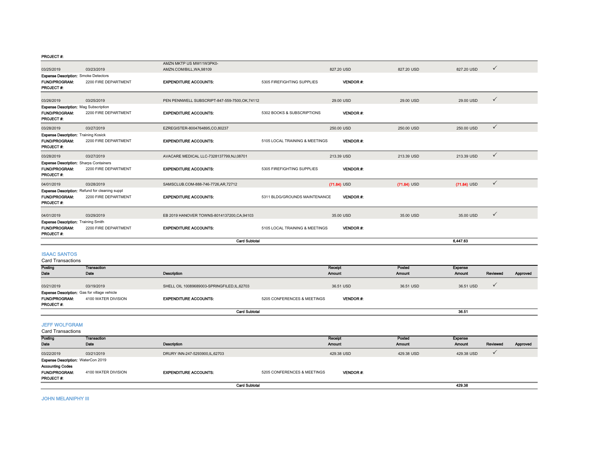|                                                                                         |                                                       | AMZN MKTP US MW11W3PK0-                        |                                |                 |               |                               |  |
|-----------------------------------------------------------------------------------------|-------------------------------------------------------|------------------------------------------------|--------------------------------|-----------------|---------------|-------------------------------|--|
| 03/25/2019                                                                              | 03/23/2019                                            | AMZN.COM/BILL.WA.98109                         |                                | 827.20 USD      | 827,20 USD    | $\checkmark$<br>827.20 USD    |  |
| <b>Expense Description:</b> Smoke Detectors                                             |                                                       |                                                |                                |                 |               |                               |  |
| <b>FUND/PROGRAM:</b><br><b>PROJECT#:</b>                                                | 2200 FIRE DEPARTMENT                                  | <b>EXPENDITURE ACCOUNTS:</b>                   | 5305 FIREFIGHTING SUPPLIES     | <b>VENDOR#:</b> |               |                               |  |
| 03/26/2019                                                                              | 03/25/2019                                            | PEN PENNWELL SUBSCRIPT-847-559-7500, OK, 74112 |                                | 29.00 USD       | 29.00 USD     | $\checkmark$<br>29.00 USD     |  |
| <b>Expense Description: Mag Subscription</b>                                            |                                                       |                                                |                                |                 |               |                               |  |
| <b>FUND/PROGRAM:</b><br>PROJECT#:                                                       | 2200 FIRE DEPARTMENT                                  | <b>EXPENDITURE ACCOUNTS:</b>                   | 5302 BOOKS & SUBSCRIPTIONS     | <b>VENDOR#:</b> |               |                               |  |
| 03/28/2019                                                                              | 03/27/2019                                            | EZREGISTER-8004764895,CO,80237                 |                                | 250.00 USD      | 250.00 USD    | $\checkmark$<br>250.00 USD    |  |
| <b>Expense Description: Training Kosick</b><br><b>FUND/PROGRAM:</b><br><b>PROJECT#:</b> | 2200 FIRE DEPARTMENT                                  | <b>EXPENDITURE ACCOUNTS:</b>                   | 5105 LOCAL TRAINING & MEETINGS | <b>VENDOR#:</b> |               |                               |  |
| 03/28/2019                                                                              | 03/27/2019                                            | AVACARE MEDICAL LLC-7328137799,NJ,08701        |                                | 213.39 USD      | 213.39 USD    | $\checkmark$<br>213.39 USD    |  |
| <b>Expense Description: Sharps Containers</b>                                           |                                                       |                                                |                                |                 |               |                               |  |
| <b>FUND/PROGRAM:</b><br><b>PROJECT#:</b>                                                | 2200 FIRE DEPARTMENT                                  | <b>EXPENDITURE ACCOUNTS:</b>                   | 5305 FIREFIGHTING SUPPLIES     | <b>VENDOR#:</b> |               |                               |  |
| 04/01/2019                                                                              | 03/28/2019                                            | SAMSCLUB.COM-888-746-7726,AR,72712             |                                | $(71.84)$ USD   | $(71.84)$ USD | $\checkmark$<br>$(71.84)$ USD |  |
|                                                                                         | <b>Expense Description:</b> Refund for cleaning suppl |                                                |                                |                 |               |                               |  |
| <b>FUND/PROGRAM:</b><br>PROJECT#:                                                       | 2200 FIRE DEPARTMENT                                  | <b>EXPENDITURE ACCOUNTS:</b>                   | 5311 BLDG/GROUNDS MAINTENANCE  | VENDOR#:        |               |                               |  |
| 04/01/2019                                                                              | 03/29/2019                                            | EB 2019 HANOVER TOWNS-8014137200, CA, 94103    |                                | 35.00 USD       | 35.00 USD     | $\checkmark$<br>35.00 USD     |  |
| <b>Expense Description: Training Smith</b>                                              |                                                       |                                                |                                |                 |               |                               |  |
| <b>FUND/PROGRAM:</b><br>PROJECT#:                                                       | 2200 FIRE DEPARTMENT                                  | <b>EXPENDITURE ACCOUNTS:</b>                   | 5105 LOCAL TRAINING & MEETINGS | <b>VENDOR#:</b> |               |                               |  |
|                                                                                         |                                                       | <b>Card Subtotal</b>                           |                                |                 |               | 6.447.63                      |  |
| <b>ISAAC SANTOS</b><br><b>Card Transactions</b>                                         |                                                       |                                                |                                |                 |               |                               |  |

| Caru Hansacuons                                     |                      |                                              |                             |                 |           |                |          |          |
|-----------------------------------------------------|----------------------|----------------------------------------------|-----------------------------|-----------------|-----------|----------------|----------|----------|
| Posting                                             | <b>Transaction</b>   |                                              |                             | <b>Receipt</b>  | Posted    | <b>Expense</b> |          |          |
| Date                                                | Date                 | Description                                  |                             | <b>Amount</b>   | Amount    | <b>Amount</b>  | Reviewed | Approved |
| 03/21/2019                                          | 03/19/2019           | SHELL OIL 10089689003-SPRINGFILED, IL, 62703 |                             | 36.51 USD       | 36.51 USD | 36.51 USD      |          |          |
| <b>Expense Description:</b> Gas for village vehicle |                      |                                              |                             |                 |           |                |          |          |
| <b>FUND/PROGRAM:</b>                                | 4100 WATER DIVISION  | <b>EXPENDITURE ACCOUNTS:</b>                 | 5205 CONFERENCES & MEETINGS | <b>VENDOR#:</b> |           |                |          |          |
| <b>PROJECT#:</b>                                    |                      |                                              |                             |                 |           |                |          |          |
|                                                     | <b>Card Subtotal</b> |                                              |                             |                 |           | 36.51          |          |          |

JEFF WOLFGRAM Card Transactions

| Garu Transacuons                         |                     |                                |                             |                 |            |            |          |          |
|------------------------------------------|---------------------|--------------------------------|-----------------------------|-----------------|------------|------------|----------|----------|
| Posting                                  | <b>Transaction</b>  |                                |                             | Receipt         | Posted     | Expense    |          |          |
| Date                                     | Date                | Description                    |                             | <b>Amount</b>   | Amount     | Amount     | Reviewed | Approved |
| 03/22/2019                               | 03/21/2019          | DRURY INN-247-5293900,IL,62703 |                             | 429.38 USD      | 429.38 USD | 429.38 USD |          |          |
| Expense Description: WaterCon 2019       |                     |                                |                             |                 |            |            |          |          |
| <b>Accounting Codes</b>                  |                     |                                |                             |                 |            |            |          |          |
| <b>FUND/PROGRAM:</b><br><b>PROJECT#:</b> | 4100 WATER DIVISION | <b>EXPENDITURE ACCOUNTS:</b>   | 5205 CONFERENCES & MEETINGS | <b>VENDOR#:</b> |            |            |          |          |
| <b>Card Subtotal</b>                     |                     |                                |                             |                 |            | 429.38     |          |          |

JOHN MELANIPHY III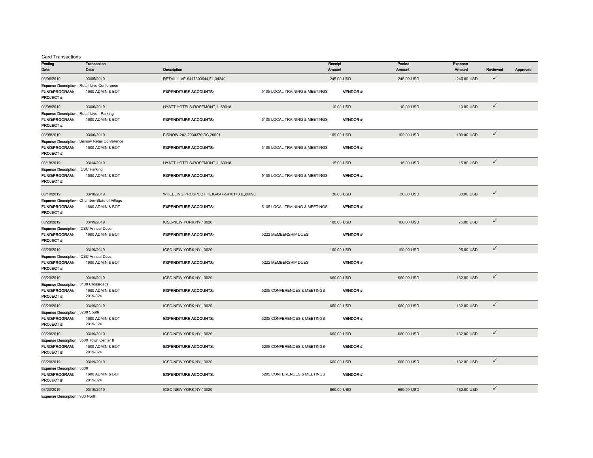Card Transactions

| Posting<br>Date                                                      | Transaction<br>Date                                  | Description                                 |                                | Receipt<br>Amount |                 | Posted<br><b>Amount</b> | Expense<br>Amount | Reviewed     | Approved |
|----------------------------------------------------------------------|------------------------------------------------------|---------------------------------------------|--------------------------------|-------------------|-----------------|-------------------------|-------------------|--------------|----------|
| 03/06/2019                                                           | 03/05/2019                                           | RETAIL LIVE-9417303644,FL,34240             |                                | 245.00 USD        |                 | 245.00 USD              | 245.00 USD        | $\checkmark$ |          |
|                                                                      | <b>Expense Description: Retail Live Conference</b>   |                                             |                                |                   |                 |                         |                   |              |          |
| <b>FUND/PROGRAM:</b><br>PROJECT#:                                    | 1600 ADMIN & BOT                                     | <b>EXPENDITURE ACCOUNTS:</b>                | 5105 LOCAL TRAINING & MEETINGS |                   | <b>VENDOR#:</b> |                         |                   |              |          |
| 03/08/2019                                                           | 03/06/2019                                           | HYATT HOTELS-ROSEMONT, IL, 60018            |                                |                   | 10.00 USD       | 10.00 USD               | 10.00 USD         | $\checkmark$ |          |
| <b>Expense Description: Retail Live - Parking</b>                    |                                                      |                                             |                                |                   |                 |                         |                   |              |          |
| FUND/PROGRAM:<br>PROJECT#:                                           | 1600 ADMIN & BOT                                     | <b>EXPENDITURE ACCOUNTS:</b>                | 5105 LOCAL TRAINING & MEETINGS |                   | VENDOR#:        |                         |                   |              |          |
| 03/08/2019                                                           | 03/06/2019                                           | BISNOW-202-2930370,DC,20001                 |                                | 109.00 USD        |                 | 109.00 USD              | 109.00 USD        | $\checkmark$ |          |
|                                                                      | Expense Description: Bisnow Retail Conference        |                                             |                                |                   |                 |                         |                   |              |          |
| FUND/PROGRAM:<br>PROJECT#:                                           | 1600 ADMIN & BOT                                     | <b>EXPENDITURE ACCOUNTS:</b>                | 5105 LOCAL TRAINING & MEETINGS |                   | <b>VENDOR#:</b> |                         |                   |              |          |
| 03/18/2019                                                           | 03/14/2019                                           | HYATT HOTELS-ROSEMONT, IL, 60018            |                                |                   | 15.00 USD       | 15.00 USD               | 15.00 USD         | $\checkmark$ |          |
| <b>Expense Description: ICSC Parking</b>                             |                                                      |                                             |                                |                   |                 |                         |                   |              |          |
| <b>FUND/PROGRAM:</b><br>PROJECT#:                                    | 1600 ADMIN & BOT                                     | <b>EXPENDITURE ACCOUNTS:</b>                | 5105 LOCAL TRAINING & MEETINGS |                   | <b>VENDOR#:</b> |                         |                   |              |          |
| 03/19/2019                                                           | 03/18/2019                                           | WHEELING PROSPECT HEIG-847-5410170,IL,60090 |                                |                   | 30.00 USD       | 30.00 USD               | 30.00 USD         | $\checkmark$ |          |
|                                                                      | <b>Expense Description:</b> Chamber-State of Village |                                             |                                |                   |                 |                         |                   |              |          |
| FUND/PROGRAM:<br>PROJECT#:                                           | 1600 ADMIN & BOT                                     | <b>EXPENDITURE ACCOUNTS:</b>                | 5105 LOCAL TRAINING & MEETINGS |                   | <b>VENDOR#:</b> |                         |                   |              |          |
| 03/20/2019                                                           | 03/19/2019                                           | ICSC-NEW YORK, NY, 10020                    |                                | 100.00 USD        |                 | 100.00 USD              | 75.00 USD         | $\checkmark$ |          |
| <b>Expense Description: ICSC Annual Dues</b><br><b>FUND/PROGRAM:</b> |                                                      | <b>EXPENDITURE ACCOUNTS:</b>                |                                |                   | <b>VENDOR#:</b> |                         |                   |              |          |
| PROJECT#:                                                            | 1600 ADMIN & BOT                                     |                                             | 5222 MEMBERSHIP DUES           |                   |                 |                         |                   |              |          |
| 03/20/2019                                                           | 03/19/2019                                           | ICSC-NEW YORK, NY, 10020                    |                                | 100.00 USD        |                 | 100.00 USD              | 25.00 USD         | $\checkmark$ |          |
| Expense Description: ICSC Annual Dues<br><b>FUND/PROGRAM:</b>        | 1600 ADMIN & BOT                                     | <b>EXPENDITURE ACCOUNTS:</b>                | 5222 MEMBERSHIP DUES           |                   | <b>VENDOR#:</b> |                         |                   |              |          |
| PROJECT#:                                                            |                                                      |                                             |                                |                   |                 |                         |                   |              |          |
| 03/20/2019                                                           | 03/19/2019                                           | ICSC-NEW YORK, NY, 10020                    |                                | 660.00 USD        |                 | 660.00 USD              | 132.00 USD        | $\checkmark$ |          |
| <b>Expense Description: 3100 Crossroads</b>                          | 1600 ADMIN & BOT                                     |                                             | 5205 CONFERENCES & MEETINGS    |                   |                 |                         |                   |              |          |
| FUND/PROGRAM:<br>PROJECT#:                                           | 2019-024                                             | <b>EXPENDITURE ACCOUNTS:</b>                |                                |                   | <b>VENDOR#:</b> |                         |                   |              |          |
| 03/20/2019                                                           | 03/19/2019                                           | ICSC-NEW YORK, NY, 10020                    |                                | 660.00 USD        |                 | 660.00 USD              | 132.00 USD        | $\checkmark$ |          |
| Expense Description: 3200 South                                      |                                                      |                                             |                                |                   |                 |                         |                   |              |          |
| FUND/PROGRAM:<br>PROJECT #:                                          | 1600 ADMIN & BOT<br>2019-024                         | <b>EXPENDITURE ACCOUNTS:</b>                | 5205 CONFERENCES & MEETINGS    |                   | <b>VENDOR#:</b> |                         |                   |              |          |
| 03/20/2019                                                           | 03/19/2019                                           | ICSC-NEW YORK, NY, 10020                    |                                | 660.00 USD        |                 | 660.00 USD              | 132.00 USD        | $\checkmark$ |          |
| Expense Description: 3500 Town Center II                             |                                                      |                                             |                                |                   |                 |                         |                   |              |          |
| FUND/PROGRAM:<br>PROJECT #:                                          | 1600 ADMIN & BOT<br>2019-024                         | <b>EXPENDITURE ACCOUNTS:</b>                | 5205 CONFERENCES & MEETINGS    |                   | <b>VENDOR#:</b> |                         |                   |              |          |
| 03/20/2019                                                           | 03/19/2019                                           | ICSC-NEW YORK, NY, 10020                    |                                | 660.00 USD        |                 | 660.00 USD              | 132.00 USD        | $\checkmark$ |          |
| Expense Description: 3600                                            |                                                      |                                             |                                |                   |                 |                         |                   |              |          |
| <b>FUND/PROGRAM:</b><br>PROJECT#:                                    | 1600 ADMIN & BOT<br>2019-024                         | <b>EXPENDITURE ACCOUNTS:</b>                | 5205 CONFERENCES & MEETINGS    |                   | <b>VENDOR#:</b> |                         |                   |              |          |
| 03/20/2019                                                           | 03/19/2019                                           | ICSC-NEW YORK, NY, 10020                    |                                | 660.00 USD        |                 | 660.00 USD              | 132.00 USD        | $\checkmark$ |          |
|                                                                      |                                                      |                                             |                                |                   |                 |                         |                   |              |          |

Expense Description: 900 North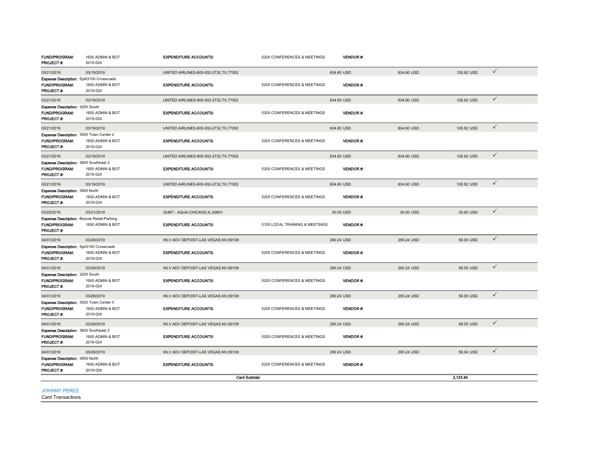| FUND/PROGRAM:<br><b>PROJECT#:</b>                                                      | 1600 ADMIN & BOT<br>2019-024 | <b>EXPENDITURE ACCOUNTS:</b>            | 5205 CONFERENCES & MEETINGS    |            | <b>VENDOR#:</b> |            |            |              |
|----------------------------------------------------------------------------------------|------------------------------|-----------------------------------------|--------------------------------|------------|-----------------|------------|------------|--------------|
| 03/21/2019                                                                             | 03/19/2019                   | UNITED AIRLINES-800-932-2732, TX, 77002 |                                | 634.60 USD |                 | 634.60 USD | 126.92 USD | $\checkmark$ |
| Expense Description: Split3100 Crossroads<br><b>FUND/PROGRAM:</b><br>PROJECT#:         | 1600 ADMIN & BOT<br>2019-024 | <b>EXPENDITURE ACCOUNTS:</b>            | 5205 CONFERENCES & MEETINGS    |            | VENDOR #:       |            |            |              |
| 03/21/2019                                                                             | 03/19/2019                   | UNITED AIRLINES-800-932-2732, TX, 77002 |                                | 634.60 USD |                 | 634.60 USD | 126.92 USD | $\checkmark$ |
| Expense Description: 3200 South<br><b>FUND/PROGRAM:</b><br><b>PROJECT#:</b>            | 1600 ADMIN & BOT<br>2019-024 | <b>EXPENDITURE ACCOUNTS:</b>            | 5205 CONFERENCES & MEETINGS    |            | <b>VENDOR#:</b> |            |            |              |
| 03/21/2019                                                                             | 03/19/2019                   | UNITED AIRLINES-800-932-2732, TX, 77002 |                                | 634.60 USD |                 | 634.60 USD | 126.92 USD | $\checkmark$ |
| Expense Description: 3500 Town Center 2<br>FUND/PROGRAM:<br><b>PROJECT#:</b>           | 1600 ADMIN & BOT<br>2019-024 | <b>EXPENDITURE ACCOUNTS:</b>            | 5205 CONFERENCES & MEETINGS    |            | <b>VENDOR#:</b> |            |            |              |
| 03/21/2019                                                                             | 03/19/2019                   | UNITED AIRLINES-800-932-2732.TX.77002   |                                | 634.60 USD |                 | 634.60 USD | 126.92 USD | $\checkmark$ |
| Expense Description: 3600 Southeast 2<br>FUND/PROGRAM:<br>PROJECT#:                    | 1600 ADMIN & BOT<br>2019-024 | <b>EXPENDITURE ACCOUNTS:</b>            | 5205 CONFERENCES & MEETINGS    |            | <b>VENDOR#:</b> |            |            |              |
| 03/21/2019                                                                             | 03/19/2019                   | UNITED AIRLINES-800-932-2732, TX, 77002 |                                | 634.60 USD |                 | 634.60 USD | 126.92 USD | $\checkmark$ |
| Expense Description: 3900 North<br>FUND/PROGRAM:<br><b>PROJECT#:</b>                   | 1600 ADMIN & BOT<br>2019-024 | <b>EXPENDITURE ACCOUNTS:</b>            | 5205 CONFERENCES & MEETINGS    |            | <b>VENDOR#:</b> |            |            |              |
| 03/25/2019                                                                             | 03/21/2019                   | 32487 - AQUA-CHICAGO, IL, 60601         |                                | 30.00 USD  |                 | 30.00 USD  | 30.00 USD  | $\checkmark$ |
| <b>Expense Description:</b> Bisnow Retail-Parking<br>FUND/PROGRAM:<br><b>PROJECT#:</b> | 1600 ADMIN & BOT             | <b>EXPENDITURE ACCOUNTS:</b>            | 5105 LOCAL TRAINING & MEETINGS |            | <b>VENDOR#:</b> |            |            |              |
| 04/01/2019                                                                             | 03/28/2019                   | WLV ADV DEPOSIT-LAS VEGAS.NV.89109      |                                | 290.24 USD |                 | 290.24 USD | 58.05 USD  | $\checkmark$ |
| Expense Description: Spli3100 Crossroads<br>FUND/PROGRAM:<br><b>PROJECT#:</b>          | 1600 ADMIN & BOT<br>2019-024 | <b>EXPENDITURE ACCOUNTS:</b>            | 5205 CONFERENCES & MEETINGS    |            | <b>VENDOR#:</b> |            |            |              |
| 04/01/2019                                                                             | 03/28/2019                   | WLV ADV DEPOSIT-LAS VEGAS.NV.89109      |                                | 290.24 USD |                 | 290.24 USD | 58.05 USD  | $\checkmark$ |
| <b>Expense Description: 3200 South</b><br><b>FUND/PROGRAM:</b><br>PROJECT#:            | 1600 ADMIN & BOT<br>2019-024 | <b>EXPENDITURE ACCOUNTS:</b>            | 5205 CONFERENCES & MEETINGS    |            | <b>VENDOR#:</b> |            |            |              |
| 04/01/2019                                                                             | 03/28/2019                   | WLV ADV DEPOSIT-LAS VEGAS, NV, 89109    |                                | 290.24 USD |                 | 290.24 USD | 58.05 USD  | $\checkmark$ |
| Expense Description: 3500 Town Center II<br><b>FUND/PROGRAM:</b><br><b>PROJECT#:</b>   | 1600 ADMIN & BOT<br>2019-024 | <b>EXPENDITURE ACCOUNTS:</b>            | 5205 CONFERENCES & MEETINGS    |            | <b>VENDOR#:</b> |            |            |              |
| 04/01/2019                                                                             | 03/28/2019                   | WLV ADV DEPOSIT-LAS VEGAS, NV, 89109    |                                | 290.24 USD |                 | 290.24 USD | 58.05 USD  | $\checkmark$ |
| Expense Description: 3600 Southeast 2<br>FUND/PROGRAM:<br><b>PROJECT#:</b>             | 1600 ADMIN & BOT<br>2019-024 | <b>EXPENDITURE ACCOUNTS:</b>            | 5205 CONFERENCES & MEETINGS    |            | <b>VENDOR#:</b> |            |            |              |
| 04/01/2019                                                                             | 03/28/2019                   | WLV ADV DEPOSIT-LAS VEGAS.NV.89109      |                                | 290.24 USD |                 | 290.24 USD | 58.04 USD  | $\checkmark$ |
| Expense Description: 3900 North<br><b>FUND/PROGRAM:</b><br>PROJECT #:                  | 1600 ADMIN & BOT<br>2019-024 | <b>EXPENDITURE ACCOUNTS:</b>            | 5205 CONFERENCES & MEETINGS    |            | <b>VENDOR#:</b> |            |            |              |
|                                                                                        |                              | <b>Card Subtotal</b>                    |                                |            |                 |            | 2.123.84   |              |
| <b>JOHNNY PEREZ</b>                                                                    |                              |                                         |                                |            |                 |            |            |              |

Card Transactions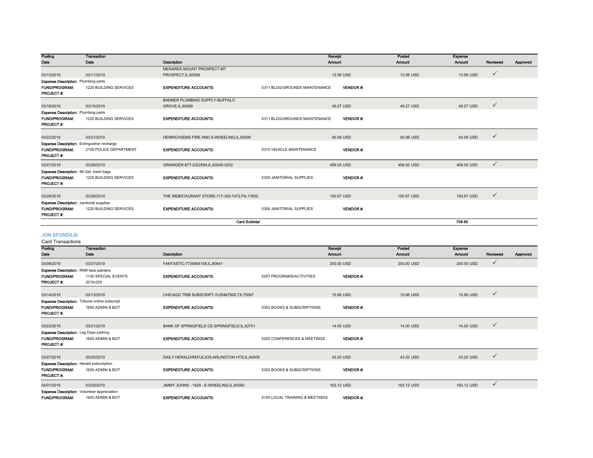| Posting                                                                               | <b>Transaction</b>     |                                             |                               | Receipt         | Posted     | <b>Expense</b> |              |          |
|---------------------------------------------------------------------------------------|------------------------|---------------------------------------------|-------------------------------|-----------------|------------|----------------|--------------|----------|
| Date                                                                                  | Date                   | Description                                 |                               | Amount          | Amount     | Amount         | Reviewed     | Approved |
|                                                                                       |                        | MENARDS MOUNT PROSPECT-MT                   |                               |                 |            |                |              |          |
| 03/13/2019                                                                            | 03/11/2019             | PROSPECT, IL, 60056                         |                               | 13.58 USD       | 13.58 USD  | 13.58 USD      | $\checkmark$ |          |
| <b>Expense Description: Plumbing parts</b>                                            |                        |                                             |                               |                 |            |                |              |          |
| <b>FUND/PROGRAM:</b><br><b>PROJECT#:</b>                                              | 1220 BUILDING SERVICES | <b>EXPENDITURE ACCOUNTS:</b>                | 5311 BLDG/GROUNDS MAINTENANCE | <b>VENDOR#:</b> |            |                |              |          |
|                                                                                       |                        | BANNER PLUMBING SUPPLY-BUFFALO              |                               |                 |            |                |              |          |
| 03/18/2019                                                                            | 03/15/2019             | GROVE, IL, 60089                            |                               | 49.27 USD       | 49.27 USD  | 49.27 USD      | $\checkmark$ |          |
| <b>Expense Description: Plumbing parts</b>                                            |                        |                                             |                               |                 |            |                |              |          |
| <b>FUND/PROGRAM:</b><br>PROJECT#:                                                     | 1220 BUILDING SERVICES | <b>EXPENDITURE ACCOUNTS:</b>                | 5311 BLDG/GROUNDS MAINTENANCE | VENDOR#:        |            |                |              |          |
|                                                                                       |                        |                                             |                               |                 |            |                | $\checkmark$ |          |
| 03/22/2019                                                                            | 03/21/2019             | HENRICHSENS FIRE AND S-WHEELING, IL, 60090  |                               | 40.08 USD       | 40.08 USD  | 40.08 USD      |              |          |
| <b>Expense Description:</b> Extinguisher recharge                                     |                        |                                             |                               |                 |            |                |              |          |
| <b>FUND/PROGRAM:</b><br><b>PROJECT#:</b>                                              | 2100 POLICE DEPARTMENT | <b>EXPENDITURE ACCOUNTS:</b>                | 5310 VEHICLE MAINTENANCE      | VENDOR#:        |            |                |              |          |
| 03/27/2019                                                                            | 03/26/2019             | GRAINGER-877-2022594,IL,60045-5202          |                               | 456.05 USD      | 456.05 USD | 456.05 USD     | $\checkmark$ |          |
| Expense Description: 96 Gal. trash bags                                               |                        |                                             |                               |                 |            |                |              |          |
| <b>FUND/PROGRAM:</b><br><b>PROJECT#:</b>                                              | 1220 BUILDING SERVICES | <b>EXPENDITURE ACCOUNTS:</b>                | 5309 JANITORIAL SUPPLIES      | <b>VENDOR#:</b> |            |                |              |          |
| 03/28/2019                                                                            | 03/26/2019             | THE WEBSTAURANT STORE-717-392-7472.PA.17602 |                               | 150.97 USD      | 150.97 USD | 150.97 USD     | $\checkmark$ |          |
|                                                                                       |                        |                                             |                               |                 |            |                |              |          |
| <b>Expense Description:</b> Janitorial supplies<br><b>FUND/PROGRAM:</b><br>PROJECT #: | 1220 BUILDING SERVICES | <b>EXPENDITURE ACCOUNTS:</b>                | 5309 JANITORIAL SUPPLIES      | <b>VENDOR#:</b> |            |                |              |          |
|                                                                                       |                        | <b>Card Subtotal</b>                        |                               |                 |            | 709.95         |              |          |

#### JON SFONDILIS

Card Transactions

| Posting                                                              | <b>Transaction</b>                                   |                                              |                                | Receipt         | Posted     | Expense       |              |          |
|----------------------------------------------------------------------|------------------------------------------------------|----------------------------------------------|--------------------------------|-----------------|------------|---------------|--------------|----------|
| Date                                                                 | Date                                                 | Description                                  |                                | Amount          | Amount     | <b>Amount</b> | Reviewed     | Approved |
| 03/08/2019                                                           | 03/07/2019                                           | FANTASTIC-7736854158,IL,60641                |                                | 200,00 USD      | 200.00 USD | 200.00 USD    | $\checkmark$ |          |
| <b>Expense Description: RNR face painters</b>                        |                                                      |                                              |                                |                 |            |               |              |          |
| <b>FUND/PROGRAM:</b>                                                 | 1140 SPECIAL EVENTS                                  | <b>EXPENDITURE ACCOUNTS:</b>                 | 5297 PROGRAMS/ACTIVITIES       | <b>VENDOR#:</b> |            |               |              |          |
| <b>PROJECT#:</b>                                                     | 2019-029                                             |                                              |                                |                 |            |               |              |          |
| 03/14/2019                                                           | 03/13/2019                                           | CHICAGO TRIB SUBSCRIPT-3125467900.TX.75067   |                                | 15.96 USD       | 15.96 USD  | 15.96 USD     | $\checkmark$ |          |
|                                                                      | <b>Expense Description:</b> Tribune online subscript |                                              |                                |                 |            |               |              |          |
| <b>FUND/PROGRAM:</b>                                                 | 1600 ADMIN & BOT                                     | <b>EXPENDITURE ACCOUNTS:</b>                 | 5302 BOOKS & SUBSCRIPTIONS     | <b>VENDOR#:</b> |            |               |              |          |
| <b>PROJECT#:</b>                                                     |                                                      |                                              |                                |                 |            |               |              |          |
| 03/22/2019                                                           | 03/21/2019                                           | BANK OF SPRINGFIELD CE-SPRINGFIELD.IL.62701  |                                | 14.00 USD       | 14.00 USD  | 14.00 USD     | $\checkmark$ |          |
|                                                                      |                                                      |                                              |                                |                 |            |               |              |          |
| <b>Expense Description:</b> Leg Days parking<br><b>FUND/PROGRAM:</b> |                                                      | <b>EXPENDITURE ACCOUNTS:</b>                 |                                | <b>VENDOR#:</b> |            |               |              |          |
| <b>PROJECT#:</b>                                                     | 1600 ADMIN & BOT                                     |                                              | 5205 CONFERENCES & MEETINGS    |                 |            |               |              |          |
| 03/27/2019                                                           | 03/25/2019                                           | DAILY HERALD/REFLEJOS-ARLINGTON HTS.IL.60005 |                                | 43.20 USD       | 43.20 USD  | 43.20 USD     | $\checkmark$ |          |
| <b>Expense Description: Herald subscription</b>                      |                                                      |                                              |                                |                 |            |               |              |          |
| <b>FUND/PROGRAM:</b>                                                 | 1600 ADMIN & BOT                                     | <b>EXPENDITURE ACCOUNTS:</b>                 | 5302 BOOKS & SUBSCRIPTIONS     | <b>VENDOR#:</b> |            |               |              |          |
| <b>PROJECT#:</b>                                                     |                                                      |                                              |                                |                 |            |               |              |          |
| 04/01/2019                                                           | 03/29/2019                                           | JIMMY JOHNS - 1629 - E-WHEELING.IL.60090     |                                | 163.12 USD      | 163.12 USD | 163.12 USD    | $\checkmark$ |          |
| <b>Expense Description:</b> Volunteer appreciation                   |                                                      |                                              |                                |                 |            |               |              |          |
| <b>FUND/PROGRAM:</b>                                                 | 1600 ADMIN & BOT                                     | <b>EXPENDITURE ACCOUNTS:</b>                 | 5105 LOCAL TRAINING & MEETINGS | <b>VENDOR#:</b> |            |               |              |          |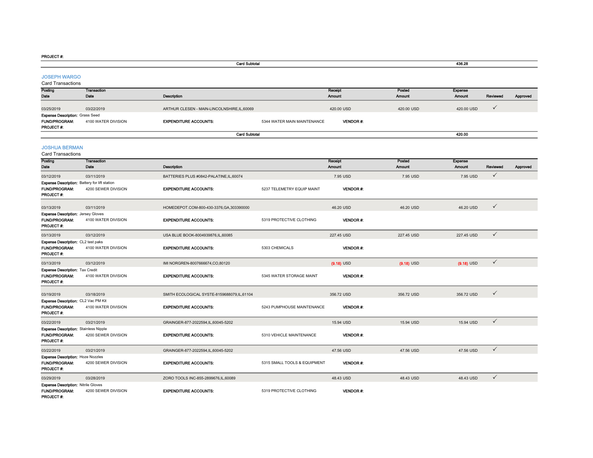PROJECT #:

|                                                                             |                     | <b>Card Subtotal</b>                         |                              |                 |               | 436.28         |              |          |
|-----------------------------------------------------------------------------|---------------------|----------------------------------------------|------------------------------|-----------------|---------------|----------------|--------------|----------|
| <b>JOSEPH WARGO</b><br><b>Card Transactions</b>                             |                     |                                              |                              |                 |               |                |              |          |
| Posting                                                                     | <b>Transaction</b>  |                                              |                              | Receipt         | Posted        | <b>Expense</b> |              |          |
| Date                                                                        | Date                | Description                                  |                              | Amount          | Amount        | Amount         | Reviewed     | Approved |
| 03/25/2019                                                                  | 03/22/2019          | ARTHUR CLESEN - MAIN-LINCOLNSHIRE, IL, 60069 |                              | 420.00 USD      | 420.00 USD    | 420.00 USD     | ✓            |          |
| <b>Expense Description: Grass Seed</b><br><b>FUND/PROGRAM:</b><br>PROJECT#: | 4100 WATER DIVISION | <b>EXPENDITURE ACCOUNTS:</b>                 | 5344 WATER MAIN MAINTENANCE  | <b>VENDOR#:</b> |               |                |              |          |
|                                                                             |                     | <b>Card Subtotal</b>                         |                              |                 |               | 420.00         |              |          |
| <b>JOSHUA BERMAN</b><br>Card Transactions                                   |                     |                                              |                              |                 |               |                |              |          |
| Posting                                                                     | Transaction         |                                              |                              | Receipt         | Posted        | Expense        |              |          |
| Date                                                                        | Date                | Description                                  |                              | Amount          | <b>Amount</b> | <b>Amount</b>  | Reviewed     | Approved |
| 03/12/2019                                                                  | 03/11/2019          | BATTERIES PLUS #0842-PALATINE,IL,60074       |                              | 7.95 USD        | 7.95 USD      | 7.95 USD       | ✓            |          |
| <b>Expense Description: Battery for lift station</b>                        |                     |                                              |                              |                 |               |                |              |          |
| FUND/PROGRAM:<br><b>PROJECT#:</b>                                           | 4200 SEWER DIVISION | <b>EXPENDITURE ACCOUNTS:</b>                 | 5237 TELEMETRY EQUIP MAINT   | <b>VENDOR#:</b> |               |                |              |          |
| 03/13/2019                                                                  | 03/11/2019          | HOMEDEPOT.COM-800-430-3376,GA,303390000      |                              | 46.20 USD       | 46.20 USD     | 46.20 USD      | $\checkmark$ |          |
| <b>Expense Description: Jersey Gloves</b>                                   |                     |                                              |                              |                 |               |                |              |          |
| FUND/PROGRAM:<br>PROJECT#:                                                  | 4100 WATER DIVISION | <b>EXPENDITURE ACCOUNTS:</b>                 | 5319 PROTECTIVE CLOTHING     | <b>VENDOR#:</b> |               |                |              |          |
| 03/13/2019                                                                  | 03/12/2019          | USA BLUE BOOK-8004939876,IL,60085            |                              | 227.45 USD      | 227.45 USD    | 227.45 USD     | $\checkmark$ |          |
| <b>Expense Description: CL2 test paks</b><br>FUND/PROGRAM:<br>PROJECT#:     | 4100 WATER DIVISION | <b>EXPENDITURE ACCOUNTS:</b>                 | 5303 CHEMICALS               | VENDOR#:        |               |                |              |          |
| 03/13/2019                                                                  | 03/12/2019          | IMI NORGREN-8007666674, CO,80120             |                              | $(9.18)$ USD    | $(9.18)$ USD  | $(9.18)$ USD   | $\checkmark$ |          |
| Expense Description: Tax Credit<br>FUND/PROGRAM:<br>PROJECT#:               | 4100 WATER DIVISION | <b>EXPENDITURE ACCOUNTS:</b>                 | 5345 WATER STORAGE MAINT     | VENDOR#:        |               |                |              |          |
| 03/19/2019                                                                  | 03/18/2019          | SMITH ECOLOGICAL SYSTE-8159688079,IL,61104   |                              | 356.72 USD      | 356.72 USD    | 356.72 USD     | $\checkmark$ |          |
| Expense Description: CL2 Vac PM Kit<br>FUND/PROGRAM:<br>PROJECT#:           | 4100 WATER DIVISION | <b>EXPENDITURE ACCOUNTS:</b>                 | 5243 PUMPHOUSE MAINTENANCE   | VENDOR#:        |               |                |              |          |
| 03/22/2019                                                                  | 03/21/2019          | GRAINGER-877-2022594,IL,60045-5202           |                              | 15.94 USD       | 15.94 USD     | 15.94 USD      | $\checkmark$ |          |
| <b>Expense Description: Stainless Nipple</b>                                |                     |                                              |                              |                 |               |                |              |          |
| <b>FUND/PROGRAM:</b><br>PROJECT #:                                          | 4200 SEWER DIVISION | <b>EXPENDITURE ACCOUNTS:</b>                 | 5310 VEHICLE MAINTENANCE     | <b>VENDOR#:</b> |               |                |              |          |
| 03/22/2019                                                                  | 03/21/2019          | GRAINGER-877-2022594,IL,60045-5202           |                              | 47.56 USD       | 47.56 USD     | 47.56 USD      | $\checkmark$ |          |
| Expense Description: Hoze Nozzles<br>FUND/PROGRAM:<br>PROJECT#:             | 4200 SEWER DIVISION | <b>EXPENDITURE ACCOUNTS:</b>                 | 5315 SMALL TOOLS & EQUIPMENT | <b>VENDOR#:</b> |               |                |              |          |
| 03/29/2019                                                                  | 03/28/2019          | ZORO TOOLS INC-855-2899676,IL,60089          |                              | 48.43 USD       | 48.43 USD     | 48.43 USD      | $\checkmark$ |          |
| <b>Expense Description: Nitrile Gloves</b><br>FUND/PROGRAM:                 | 4200 SEWER DIVISION | <b>EXPENDITURE ACCOUNTS:</b>                 | 5319 PROTECTIVE CLOTHING     | <b>VENDOR#:</b> |               |                |              |          |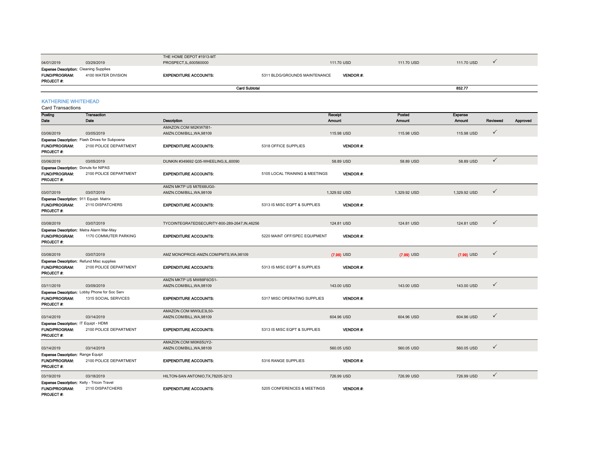|                                                                                         |                                                                          | THE HOME DEPOT #1913-MT                           |                                |                 |              |               | $\checkmark$ |          |
|-----------------------------------------------------------------------------------------|--------------------------------------------------------------------------|---------------------------------------------------|--------------------------------|-----------------|--------------|---------------|--------------|----------|
| 04/01/2019                                                                              | 03/29/2019                                                               | PROSPECT, IL, 600560000                           |                                | 111.70 USD      | 111.70 USD   | 111.70 USD    |              |          |
| <b>Expense Description: Cleaning Supplies</b><br>FUND/PROGRAM:<br>PROJECT#:             | 4100 WATER DIVISION                                                      | <b>EXPENDITURE ACCOUNTS:</b>                      | 5311 BLDG/GROUNDS MAINTENANCE  | VENDOR#:        |              |               |              |          |
|                                                                                         |                                                                          | <b>Card Subtotal</b>                              |                                |                 |              | 852.77        |              |          |
|                                                                                         |                                                                          |                                                   |                                |                 |              |               |              |          |
| <b>KATHERINE WHITEHEAD</b>                                                              |                                                                          |                                                   |                                |                 |              |               |              |          |
| <b>Card Transactions</b>                                                                |                                                                          |                                                   |                                |                 |              |               |              |          |
| Posting                                                                                 | <b>Transaction</b>                                                       |                                                   |                                | Receipt         | Posted       | Expense       |              |          |
| Date                                                                                    | Date                                                                     | Description                                       |                                | <b>Amount</b>   | Amount       | <b>Amount</b> | Reviewed     | Approved |
|                                                                                         |                                                                          | AMAZON.COM MI2KW7I81-                             |                                |                 |              |               | $\checkmark$ |          |
| 03/06/2019                                                                              | 03/05/2019                                                               | AMZN.COM/BILL, WA, 98109                          |                                | 115.98 USD      | 115.98 USD   | 115.98 USD    |              |          |
| FUND/PROGRAM:<br>PROJECT #:                                                             | Expense Description: Flash Drives for Subpoena<br>2100 POLICE DEPARTMENT | <b>EXPENDITURE ACCOUNTS:</b>                      | 5318 OFFICE SUPPLIES           | VENDOR#:        |              |               |              |          |
|                                                                                         | 03/05/2019                                                               | DUNKIN #349692 Q35-WHEELING,IL,60090              |                                | 58.89 USD       | 58.89 USD    | 58.89 USD     | $\checkmark$ |          |
| 03/06/2019<br><b>Expense Description: Donuts for NIPAS</b>                              |                                                                          |                                                   |                                |                 |              |               |              |          |
| <b>FUND/PROGRAM:</b><br>PROJECT#:                                                       | 2100 POLICE DEPARTMENT                                                   | <b>EXPENDITURE ACCOUNTS:</b>                      | 5105 LOCAL TRAINING & MEETINGS | <b>VENDOR#:</b> |              |               |              |          |
|                                                                                         |                                                                          | AMZN MKTP US MI7E68UG0-                           |                                |                 |              |               |              |          |
| 03/07/2019                                                                              | 03/07/2019                                                               | AMZN.COM/BILL, WA, 98109                          |                                | 1,329.92 USD    | 1.329.92 USD | 1,329.92 USD  | $\checkmark$ |          |
| Expense Description: 911 Equipt-Matrix                                                  |                                                                          |                                                   |                                |                 |              |               |              |          |
| FUND/PROGRAM:<br>PROJECT #:                                                             | 2110 DISPATCHERS                                                         | <b>EXPENDITURE ACCOUNTS:</b>                      | 5313 IS MISC EQPT & SUPPLIES   | VENDOR #:       |              |               |              |          |
| 03/08/2019                                                                              | 03/07/2019                                                               | TYCOINTEGRATEDSECURITY-800-289-2647,IN,46256      |                                | 124.81 USD      | 124.81 USD   | 124.81 USD    | $\checkmark$ |          |
| Expense Description: Metra Alarm Mar-May                                                |                                                                          |                                                   |                                |                 |              |               |              |          |
| FUND/PROGRAM:<br><b>PROJECT#:</b>                                                       | 1170 COMMUTER PARKING                                                    | <b>EXPENDITURE ACCOUNTS:</b>                      | 5220 MAINT OFF/SPEC EQUIPMENT  | VENDOR#.        |              |               |              |          |
| 03/08/2019                                                                              | 03/07/2019                                                               | AMZ MONOPRICE-AMZN.COM/PMTS, WA, 98109            |                                | $(7.99)$ USD    | $(7.99)$ USD | $(7.99)$ USD  | $\checkmark$ |          |
| Expense Description: Refund Misc supplies                                               |                                                                          |                                                   |                                |                 |              |               |              |          |
| FUND/PROGRAM:<br>PROJECT #:                                                             | 2100 POLICE DEPARTMENT                                                   | <b>EXPENDITURE ACCOUNTS:</b>                      | 5313 IS MISC EQPT & SUPPLIES   | VENDOR#.        |              |               |              |          |
|                                                                                         |                                                                          | AMZN MKTP US MW88F6OS1-                           |                                |                 |              |               |              |          |
| 03/11/2019                                                                              | 03/09/2019                                                               | AMZN.COM/BILL, WA, 98109                          |                                | 143.00 USD      | 143.00 USD   | 143.00 USD    | $\checkmark$ |          |
| FUND/PROGRAM:<br>PROJECT #:                                                             | Expense Description: Lobby Phone for Soc Serv<br>1315 SOCIAL SERVICES    | <b>EXPENDITURE ACCOUNTS:</b>                      | 5317 MISC OPERATING SUPPLIES   | VENDOR #:       |              |               |              |          |
| 03/14/2019                                                                              | 03/14/2019                                                               | AMAZON.COM MW0LE3L50-<br>AMZN.COM/BILL, WA, 98109 |                                | 604.96 USD      | 604.96 USD   | 604.96 USD    | $\checkmark$ |          |
| Expense Description: IT Equipt - HDMI                                                   |                                                                          |                                                   |                                |                 |              |               |              |          |
| <b>FUND/PROGRAM:</b><br>PROJECT #:                                                      | 2100 POLICE DEPARTMENT                                                   | <b>EXPENDITURE ACCOUNTS:</b>                      | 5313 IS MISC EQPT & SUPPLIES   | <b>VENDOR#:</b> |              |               |              |          |
|                                                                                         |                                                                          | AMAZON.COM MI0K65UY2-                             |                                |                 |              |               |              |          |
| 03/14/2019                                                                              | 03/14/2019                                                               | AMZN.COM/BILL, WA, 98109                          |                                | 560.05 USD      | 560.05 USD   | 560.05 USD    | $\checkmark$ |          |
| <b>Expense Description: Range Equipt</b><br>FUND/PROGRAM:<br>PROJECT #:                 | 2100 POLICE DEPARTMENT                                                   | <b>EXPENDITURE ACCOUNTS:</b>                      | 5316 RANGE SUPPLIES            | VENDOR#:        |              |               |              |          |
| 03/19/2019                                                                              | 03/18/2019                                                               | HILTON-SAN ANTONIO, TX, 78205-3213                |                                | 726.99 USD      | 726.99 USD   | 726.99 USD    | $\checkmark$ |          |
| <b>Expense Description: Kelly - Tricon Travel</b><br><b>FUND/PROGRAM:</b><br>PROJECT #: | 2110 DISPATCHERS                                                         | <b>EXPENDITURE ACCOUNTS:</b>                      | 5205 CONFERENCES & MEETINGS    | <b>VENDOR#:</b> |              |               |              |          |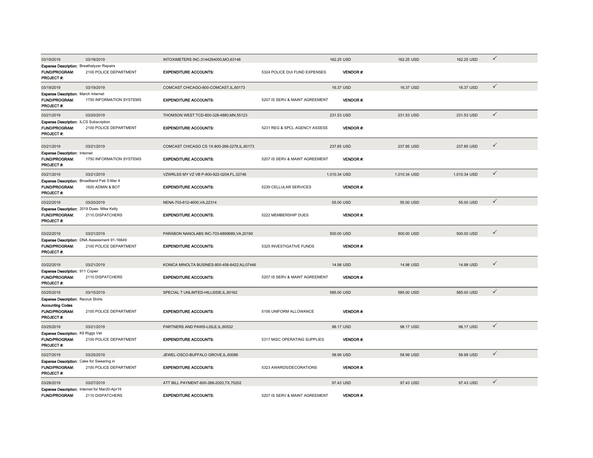| 03/19/2019                                                                                                 | 03/18/2019                                                             | INTOXIMETERS INC-3144294000, MO, 63146        |                                | 162.25 USD      | 162.25 USD   | 162.25 USD   | $\checkmark$ |
|------------------------------------------------------------------------------------------------------------|------------------------------------------------------------------------|-----------------------------------------------|--------------------------------|-----------------|--------------|--------------|--------------|
| <b>Expense Description: Breathalyzer Repairs</b><br><b>FUND/PROGRAM:</b><br>PROJECT#:                      | 2100 POLICE DEPARTMENT                                                 | <b>EXPENDITURE ACCOUNTS:</b>                  | 5324 POLICE DUI FUND EXPENSES  | <b>VENDOR#:</b> |              |              |              |
| 03/19/2019                                                                                                 | 03/19/2019                                                             | COMCAST CHICAGO-800-COMCAST, IL, 60173        |                                | 16.37 USD       | 16.37 USD    | 16.37 USD    | $\checkmark$ |
| Expense Description: March Internet<br><b>FUND/PROGRAM:</b><br>PROJECT #:                                  | 1750 INFORMATION SYSTEMS                                               | <b>EXPENDITURE ACCOUNTS:</b>                  | 5207 IS SERV & MAINT AGREEMENT | <b>VENDOR#:</b> |              |              |              |
| 03/21/2019                                                                                                 | 03/20/2019                                                             | THOMSON WEST TCD-800-328-4880, MN, 55123      |                                | 231.53 USD      | 231.53 USD   | 231.53 USD   | $\checkmark$ |
| <b>Expense Description: ILCS Subscription</b><br><b>FUND/PROGRAM:</b><br>PROJECT#:                         | 2100 POLICE DEPARTMENT                                                 | <b>EXPENDITURE ACCOUNTS:</b>                  | 5231 REG & SPCL AGENCY ASSESS  | <b>VENDOR#:</b> |              |              |              |
| 03/21/2019                                                                                                 | 03/21/2019                                                             | COMCAST CHICAGO CS 1X-800-266-2278.IL.60173   |                                | 237.85 USD      | 237.85 USD   | 237.85 USD   | $\checkmark$ |
| <b>Expense Description: Internet</b><br><b>FUND/PROGRAM:</b><br>PROJECT#:                                  | 1750 INFORMATION SYSTEMS                                               | <b>EXPENDITURE ACCOUNTS:</b>                  | 5207 IS SERV & MAINT AGREEMENT | <b>VENDOR#:</b> |              |              |              |
| 03/21/2019                                                                                                 | 03/21/2019                                                             | VZWRLSS MY VZ VB P-800-922-0204.FL.32746      |                                | 1.010.34 USD    | 1.010.34 USD | 1.010.34 USD | $\checkmark$ |
| Expense Description: Broadband Feb 5-Mar 4<br><b>FUND/PROGRAM:</b><br>PROJECT#:                            | 1600 ADMIN & BOT                                                       | <b>EXPENDITURE ACCOUNTS:</b>                  | 5239 CELLULAR SERVICES         | <b>VENDOR#:</b> |              |              |              |
| 03/22/2019                                                                                                 | 03/20/2019                                                             | NENA-703-812-4600, VA, 22314                  |                                | 55.00 USD       | 55.00 USD    | 55.00 USD    | $\checkmark$ |
| Expense Description: 2019 Dues- Mike Kelly<br><b>FUND/PROGRAM:</b><br>PROJECT #:                           | 2110 DISPATCHERS                                                       | <b>EXPENDITURE ACCOUNTS:</b>                  | 5222 MEMBERSHIP DUES           | <b>VENDOR#:</b> |              |              |              |
| 03/22/2019                                                                                                 | 03/21/2019                                                             | PARABON NANOLABS INC-703-6899689, VA, 20190   |                                | 500.00 USD      | 500.00 USD   | 500.00 USD   | $\checkmark$ |
| <b>FUND/PROGRAM:</b><br>PROJECT #:                                                                         | Expense Description: DNA Assessment 91-16649<br>2100 POLICE DEPARTMENT | <b>EXPENDITURE ACCOUNTS:</b>                  | 5325 INVESTIGATIVE FUNDS       | <b>VENDOR#:</b> |              |              |              |
| 03/22/2019                                                                                                 | 03/21/2019                                                             | KONICA MINOLTA BUSINES-800-456-6422, NJ,07446 |                                | 14.98 USD       | 14.98 USD    | 14.98 USD    | $\checkmark$ |
| <b>Expense Description: 911 Copier</b><br><b>FUND/PROGRAM:</b><br>PROJECT#:                                | 2110 DISPATCHERS                                                       | <b>EXPENDITURE ACCOUNTS:</b>                  | 5207 IS SERV & MAINT AGREEMENT | <b>VENDOR#:</b> |              |              |              |
| 03/25/2019                                                                                                 | 03/15/2019                                                             | SPECIAL T UNLIMTED-HILLSIDE, IL, 60162        |                                | 585.00 USD      | 585.00 USD   | 585.00 USD   | $\checkmark$ |
| <b>Expense Description: Recruit Shirts</b><br><b>Accounting Codes</b><br><b>FUND/PROGRAM:</b><br>PROJECT#: | 2100 POLICE DEPARTMENT                                                 | <b>EXPENDITURE ACCOUNTS:</b>                  | 5106 UNIFORM ALLOWANCE         | <b>VENDOR#:</b> |              |              |              |
| 03/25/2019                                                                                                 | 03/21/2019                                                             | PARTNERS AND PAWS-LISLE.IL.60532              |                                | 98.17 USD       | 98.17 USD    | 98.17 USD    | $\checkmark$ |
| Expense Description: K9 Riggs Vet<br><b>FUND/PROGRAM:</b><br>PROJECT#:                                     | 2100 POLICE DEPARTMENT                                                 | <b>EXPENDITURE ACCOUNTS:</b>                  | 5317 MISC OPERATING SUPPLIES   | <b>VENDOR#:</b> |              |              |              |
| 03/27/2019                                                                                                 | 03/25/2019                                                             | JEWEL-OSCO-BUFFALO GROVE, IL, 60089           |                                | 58.99 USD       | 58.99 USD    | 58.99 USD    | $\checkmark$ |
| <b>Expense Description:</b> Cake for Swearing in<br><b>FUND/PROGRAM:</b><br>PROJECT#:                      | 2100 POLICE DEPARTMENT                                                 | <b>EXPENDITURE ACCOUNTS:</b>                  | 5323 AWARDS/DECORATIONS        | <b>VENDOR#:</b> |              |              |              |
| 03/28/2019                                                                                                 | 03/27/2019                                                             | ATT BILL PAYMENT-800-288-2020.TX.75202        |                                | 97.43 USD       | 97.43 USD    | 97.43 USD    | $\checkmark$ |
| <b>FUND/PROGRAM:</b>                                                                                       | Expense Description: Internet for Mar20-Apr19<br>2110 DISPATCHERS      | <b>EXPENDITURE ACCOUNTS:</b>                  | 5207 IS SERV & MAINT AGREEMENT | <b>VENDOR#:</b> |              |              |              |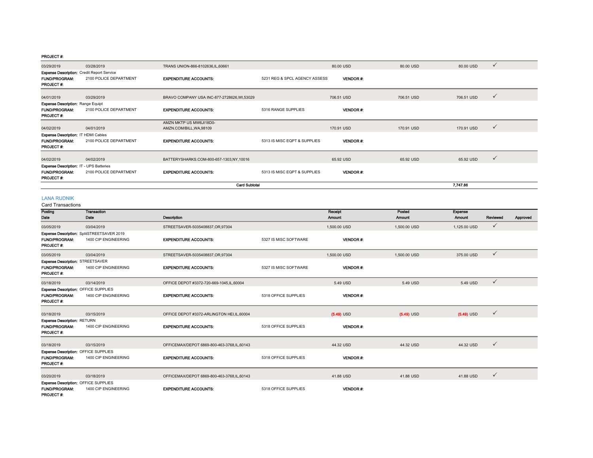| 03/29/2019                                        | 03/28/2019             | TRANS UNION-866-8102636, IL, 60661          |                               | 80.00 USD       | 80.00 USD  | 80.00 USD  | $\checkmark$ |
|---------------------------------------------------|------------------------|---------------------------------------------|-------------------------------|-----------------|------------|------------|--------------|
| <b>Expense Description: Credit Report Service</b> |                        |                                             |                               |                 |            |            |              |
| <b>FUND/PROGRAM:</b>                              | 2100 POLICE DEPARTMENT | <b>EXPENDITURE ACCOUNTS:</b>                | 5231 REG & SPCL AGENCY ASSESS | <b>VENDOR#:</b> |            |            |              |
| <b>PROJECT#:</b>                                  |                        |                                             |                               |                 |            |            |              |
| 04/01/2019                                        | 03/29/2019             | BRAVO COMPANY USA INC-877-2728626, WI,53029 |                               | 706.51 USD      | 706.51 USD | 706.51 USD | $\checkmark$ |
| <b>Expense Description: Range Equipt</b>          |                        |                                             |                               |                 |            |            |              |
| <b>FUND/PROGRAM:</b>                              | 2100 POLICE DEPARTMENT | <b>EXPENDITURE ACCOUNTS:</b>                | 5316 RANGE SUPPLIES           | <b>VENDOR#:</b> |            |            |              |
| <b>PROJECT#:</b>                                  |                        |                                             |                               |                 |            |            |              |
|                                                   |                        | AMZN MKTP US MW6JI18D0-                     |                               |                 |            |            |              |
| 04/02/2019                                        | 04/01/2019             | AMZN.COM/BILL, WA, 98109                    |                               | 170.91 USD      | 170.91 USD | 170.91 USD | $\checkmark$ |
| Expense Description: IT HDMI Cables               |                        |                                             |                               |                 |            |            |              |
| <b>FUND/PROGRAM:</b>                              | 2100 POLICE DEPARTMENT | <b>EXPENDITURE ACCOUNTS:</b>                | 5313 IS MISC EQPT & SUPPLIES  | <b>VENDOR#:</b> |            |            |              |
| <b>PROJECT#:</b>                                  |                        |                                             |                               |                 |            |            |              |
|                                                   |                        |                                             |                               |                 |            |            |              |
| 04/02/2019                                        | 04/02/2019             | BATTERYSHARKS.COM-800-657-1303,NY,10016     |                               | 65.92 USD       | 65.92 USD  | 65.92 USD  | $\checkmark$ |
| <b>Expense Description: IT - UPS Batteries</b>    |                        |                                             |                               |                 |            |            |              |
| <b>FUND/PROGRAM:</b><br>PROJECT#:                 | 2100 POLICE DEPARTMENT | <b>EXPENDITURE ACCOUNTS:</b>                | 5313 IS MISC EQPT & SUPPLIES  | <b>VENDOR#:</b> |            |            |              |
|                                                   |                        |                                             | 7,747.86                      |                 |            |            |              |

#### LANA RUDNIK

Card Transactions

| Posting                                                                           | <b>Transaction</b>                         |                                            |                       | Receipt         | Posted       | <b>Expense</b> |              |          |
|-----------------------------------------------------------------------------------|--------------------------------------------|--------------------------------------------|-----------------------|-----------------|--------------|----------------|--------------|----------|
| Date                                                                              | Date                                       | Description                                |                       | Amount          | Amount       | Amount         | Reviewed     | Approved |
| 03/05/2019                                                                        | 03/04/2019                                 | STREETSAVER-5035408837,OR,97304            |                       | 1,500,00 USD    | 1,500,00 USD | 1,125.00 USD   | $\checkmark$ |          |
|                                                                                   | Expense Description: SplitSTREETSAVER 2019 |                                            |                       |                 |              |                |              |          |
| <b>FUND/PROGRAM:</b><br><b>PROJECT#:</b>                                          | 1400 CIP ENGINEERING                       | <b>EXPENDITURE ACCOUNTS:</b>               | 5327 IS MISC SOFTWARE | <b>VENDOR#:</b> |              |                |              |          |
| 03/05/2019                                                                        | 03/04/2019                                 | STREETSAVER-5035408837,OR,97304            |                       | 1,500.00 USD    | 1,500.00 USD | 375.00 USD     | $\checkmark$ |          |
| <b>Expense Description: STREETSAVER</b>                                           |                                            |                                            |                       |                 |              |                |              |          |
| <b>FUND/PROGRAM:</b><br>PROJECT#:                                                 | 1400 CIP ENGINEERING                       | <b>EXPENDITURE ACCOUNTS:</b>               | 5327 IS MISC SOFTWARE | <b>VENDOR#:</b> |              |                |              |          |
| 03/18/2019                                                                        | 03/14/2019                                 | OFFICE DEPOT #3372-720-669-1045,IL,60004   |                       | 5.49 USD        | 5.49 USD     | 5.49 USD       | $\checkmark$ |          |
| Expense Description: OFFICE SUPPLIES                                              |                                            |                                            |                       |                 |              |                |              |          |
| <b>FUND/PROGRAM:</b><br><b>PROJECT#:</b>                                          | 1400 CIP ENGINEERING                       | <b>EXPENDITURE ACCOUNTS:</b>               | 5318 OFFICE SUPPLIES  | <b>VENDOR#:</b> |              |                |              |          |
| 03/18/2019                                                                        | 03/15/2019                                 | OFFICE DEPOT #3372-ARLINGTON HEI,IL,60004  |                       | $(5.49)$ USD    | $(5.49)$ USD | $(5.49)$ USD   | $\checkmark$ |          |
| <b>Expense Description: RETURN</b>                                                |                                            |                                            |                       |                 |              |                |              |          |
| <b>FUND/PROGRAM:</b><br>PROJECT#:                                                 | 1400 CIP ENGINEERING                       | <b>EXPENDITURE ACCOUNTS:</b>               | 5318 OFFICE SUPPLIES  | <b>VENDOR#:</b> |              |                |              |          |
| 03/18/2019                                                                        | 03/15/2019                                 | OFFICEMAX/DEPOT 6869-800-463-3768.IL.60143 |                       | 44.32 USD       | 44.32 USD    | 44.32 USD      | $\checkmark$ |          |
| Expense Description: OFFICE SUPPLIES                                              |                                            |                                            |                       |                 |              |                |              |          |
| <b>FUND/PROGRAM:</b><br>PROJECT#:                                                 | 1400 CIP ENGINEERING                       | <b>EXPENDITURE ACCOUNTS:</b>               | 5318 OFFICE SUPPLIES  | <b>VENDOR#:</b> |              |                |              |          |
| 03/20/2019                                                                        | 03/18/2019                                 | OFFICEMAX/DEPOT 6869-800-463-3768,IL,60143 |                       | 41.88 USD       | 41.88 USD    | 41.88 USD      | $\checkmark$ |          |
|                                                                                   |                                            |                                            |                       |                 |              |                |              |          |
| <b>Expense Description: OFFICE SUPPLIES</b><br><b>FUND/PROGRAM:</b><br>PROJECT #: | 1400 CIP ENGINEERING                       | <b>EXPENDITURE ACCOUNTS:</b>               | 5318 OFFICE SUPPLIES  | <b>VENDOR#:</b> |              |                |              |          |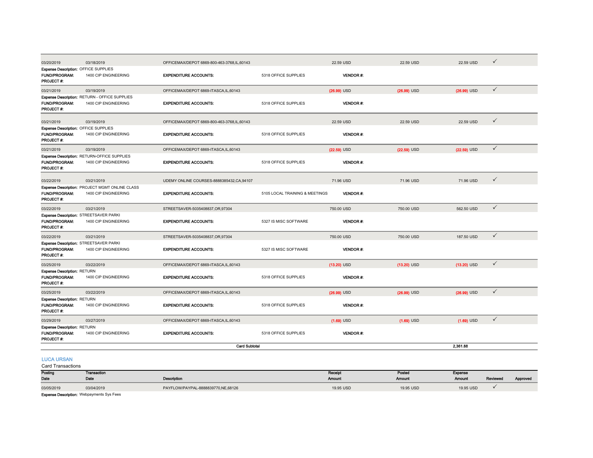| Expense Description: OFFICE SUPPLIES<br>1400 CIP ENGINEERING<br>FUND/PROGRAM:<br><b>EXPENDITURE ACCOUNTS:</b><br>5318 OFFICE SUPPLIES<br><b>VENDOR#:</b><br>PROJECT#:<br>$\checkmark$<br>03/21/2019<br>03/19/2019<br>OFFICEMAX/DEPOT 6869-ITASCA,IL,60143<br>$(26.99)$ USD<br>$(26.99)$ USD<br>$(26.99)$ USD<br>Expense Description: RETURN - OFFICE SUPPLIES<br><b>FUND/PROGRAM:</b><br>1400 CIP ENGINEERING<br><b>EXPENDITURE ACCOUNTS:</b><br>5318 OFFICE SUPPLIES<br>VENDOR#:<br>PROJECT#:<br>$\checkmark$<br>22.59 USD<br>03/21/2019<br>03/19/2019<br>OFFICEMAX/DEPOT 6869-800-463-3768.IL.60143<br>22.59 USD<br>22.59 USD<br>Expense Description: OFFICE SUPPLIES<br><b>FUND/PROGRAM:</b><br>1400 CIP ENGINEERING<br><b>EXPENDITURE ACCOUNTS:</b><br>5318 OFFICE SUPPLIES<br>VENDOR#:<br>PROJECT#:<br>$\checkmark$<br>03/21/2019<br>03/19/2019<br>$(22.59)$ USD<br>$(22.59)$ USD<br>OFFICEMAX/DEPOT 6869-ITASCA,IL,60143<br>$(22.59)$ USD<br>Expense Description: RETURN-OFFICE SUPPLIES<br><b>FUND/PROGRAM:</b><br>1400 CIP ENGINEERING<br><b>EXPENDITURE ACCOUNTS:</b><br>5318 OFFICE SUPPLIES<br><b>VENDOR#:</b><br>PROJECT #:<br>$\checkmark$<br>71.96 USD<br>03/22/2019<br>03/21/2019<br>UDEMY ONLINE COURSES-8888385432, CA, 94107<br>71.96 USD<br>71.96 USD<br>Expense Description: PROJECT MGMT ONLINE CLASS<br><b>FUND/PROGRAM:</b><br>1400 CIP ENGINEERING<br><b>EXPENDITURE ACCOUNTS:</b><br><b>VENDOR#:</b><br>5105 LOCAL TRAINING & MEETINGS<br>PROJECT #:<br>$\checkmark$<br>03/22/2019<br>562.50 USD<br>03/21/2019<br>STREETSAVER-5035408837.OR.97304<br>750,00 USD<br>750.00 USD<br>Expense Description: STREETSAVER PARKI<br>FUND/PROGRAM:<br>1400 CIP ENGINEERING<br><b>EXPENDITURE ACCOUNTS:</b><br><b>VENDOR#:</b><br>5327 IS MISC SOFTWARE<br>PROJECT#:<br>$\checkmark$<br>03/22/2019<br>03/21/2019<br>STREETSAVER-5035408837,OR,97304<br>750.00 USD<br>750.00 USD<br>187.50 USD<br>Expense Description: STREETSAVER PARKI<br><b>FUND/PROGRAM:</b><br>1400 CIP ENGINEERING<br><b>EXPENDITURE ACCOUNTS:</b><br>5327 IS MISC SOFTWARE<br><b>VENDOR#:</b><br>PROJECT#:<br>$\checkmark$<br>03/22/2019<br>03/25/2019<br>OFFICEMAX/DEPOT 6869-ITASCA.IL.60143<br>$(13.20)$ USD<br>$(13.20)$ USD<br>$(13.20)$ USD<br><b>Expense Description: RETURN</b><br><b>FUND/PROGRAM:</b><br>1400 CIP ENGINEERING<br><b>VENDOR#:</b><br><b>EXPENDITURE ACCOUNTS:</b><br>5318 OFFICE SUPPLIES<br>PROJECT #:<br>$\checkmark$<br>03/25/2019<br>03/22/2019<br>OFFICEMAX/DEPOT 6869-ITASCA,IL,60143<br>$(26.99)$ USD<br>$(26.99)$ USD<br>$(26.99)$ USD<br><b>Expense Description: RETURN</b><br>FUND/PROGRAM:<br>VENDOR#:<br>1400 CIP ENGINEERING<br><b>EXPENDITURE ACCOUNTS:</b><br>5318 OFFICE SUPPLIES<br>PROJECT#:<br>$\checkmark$<br>03/29/2019<br>03/27/2019<br>OFFICEMAX/DEPOT 6869-ITASCA.IL.60143<br>$(1.69)$ USD<br>$(1.69)$ USD<br>$(1.69)$ USD<br><b>Expense Description: RETURN</b><br>FUND/PROGRAM:<br>1400 CIP ENGINEERING<br><b>EXPENDITURE ACCOUNTS:</b><br>5318 OFFICE SUPPLIES<br>VENDOR #:<br>PROJECT#:<br><b>Card Subtotal</b><br>2.361.88 | 03/20/2019 | 03/18/2019 | OFFICEMAX/DEPOT 6869-800-463-3768,IL,60143 | 22.59 USD | 22.59 USD | 22.59 USD | ✓ |
|----------------------------------------------------------------------------------------------------------------------------------------------------------------------------------------------------------------------------------------------------------------------------------------------------------------------------------------------------------------------------------------------------------------------------------------------------------------------------------------------------------------------------------------------------------------------------------------------------------------------------------------------------------------------------------------------------------------------------------------------------------------------------------------------------------------------------------------------------------------------------------------------------------------------------------------------------------------------------------------------------------------------------------------------------------------------------------------------------------------------------------------------------------------------------------------------------------------------------------------------------------------------------------------------------------------------------------------------------------------------------------------------------------------------------------------------------------------------------------------------------------------------------------------------------------------------------------------------------------------------------------------------------------------------------------------------------------------------------------------------------------------------------------------------------------------------------------------------------------------------------------------------------------------------------------------------------------------------------------------------------------------------------------------------------------------------------------------------------------------------------------------------------------------------------------------------------------------------------------------------------------------------------------------------------------------------------------------------------------------------------------------------------------------------------------------------------------------------------------------------------------------------------------------------------------------------------------------------------------------------------------------------------------------------------------------------------------------------------------------------------------------------------------------------------------------------------------------------------------------------------------------------------------------------------------------------------------------------------------------------------------------------------------------------------------------------|------------|------------|--------------------------------------------|-----------|-----------|-----------|---|
|                                                                                                                                                                                                                                                                                                                                                                                                                                                                                                                                                                                                                                                                                                                                                                                                                                                                                                                                                                                                                                                                                                                                                                                                                                                                                                                                                                                                                                                                                                                                                                                                                                                                                                                                                                                                                                                                                                                                                                                                                                                                                                                                                                                                                                                                                                                                                                                                                                                                                                                                                                                                                                                                                                                                                                                                                                                                                                                                                                                                                                                                      |            |            |                                            |           |           |           |   |
|                                                                                                                                                                                                                                                                                                                                                                                                                                                                                                                                                                                                                                                                                                                                                                                                                                                                                                                                                                                                                                                                                                                                                                                                                                                                                                                                                                                                                                                                                                                                                                                                                                                                                                                                                                                                                                                                                                                                                                                                                                                                                                                                                                                                                                                                                                                                                                                                                                                                                                                                                                                                                                                                                                                                                                                                                                                                                                                                                                                                                                                                      |            |            |                                            |           |           |           |   |
|                                                                                                                                                                                                                                                                                                                                                                                                                                                                                                                                                                                                                                                                                                                                                                                                                                                                                                                                                                                                                                                                                                                                                                                                                                                                                                                                                                                                                                                                                                                                                                                                                                                                                                                                                                                                                                                                                                                                                                                                                                                                                                                                                                                                                                                                                                                                                                                                                                                                                                                                                                                                                                                                                                                                                                                                                                                                                                                                                                                                                                                                      |            |            |                                            |           |           |           |   |
|                                                                                                                                                                                                                                                                                                                                                                                                                                                                                                                                                                                                                                                                                                                                                                                                                                                                                                                                                                                                                                                                                                                                                                                                                                                                                                                                                                                                                                                                                                                                                                                                                                                                                                                                                                                                                                                                                                                                                                                                                                                                                                                                                                                                                                                                                                                                                                                                                                                                                                                                                                                                                                                                                                                                                                                                                                                                                                                                                                                                                                                                      |            |            |                                            |           |           |           |   |
|                                                                                                                                                                                                                                                                                                                                                                                                                                                                                                                                                                                                                                                                                                                                                                                                                                                                                                                                                                                                                                                                                                                                                                                                                                                                                                                                                                                                                                                                                                                                                                                                                                                                                                                                                                                                                                                                                                                                                                                                                                                                                                                                                                                                                                                                                                                                                                                                                                                                                                                                                                                                                                                                                                                                                                                                                                                                                                                                                                                                                                                                      |            |            |                                            |           |           |           |   |
|                                                                                                                                                                                                                                                                                                                                                                                                                                                                                                                                                                                                                                                                                                                                                                                                                                                                                                                                                                                                                                                                                                                                                                                                                                                                                                                                                                                                                                                                                                                                                                                                                                                                                                                                                                                                                                                                                                                                                                                                                                                                                                                                                                                                                                                                                                                                                                                                                                                                                                                                                                                                                                                                                                                                                                                                                                                                                                                                                                                                                                                                      |            |            |                                            |           |           |           |   |
|                                                                                                                                                                                                                                                                                                                                                                                                                                                                                                                                                                                                                                                                                                                                                                                                                                                                                                                                                                                                                                                                                                                                                                                                                                                                                                                                                                                                                                                                                                                                                                                                                                                                                                                                                                                                                                                                                                                                                                                                                                                                                                                                                                                                                                                                                                                                                                                                                                                                                                                                                                                                                                                                                                                                                                                                                                                                                                                                                                                                                                                                      |            |            |                                            |           |           |           |   |
|                                                                                                                                                                                                                                                                                                                                                                                                                                                                                                                                                                                                                                                                                                                                                                                                                                                                                                                                                                                                                                                                                                                                                                                                                                                                                                                                                                                                                                                                                                                                                                                                                                                                                                                                                                                                                                                                                                                                                                                                                                                                                                                                                                                                                                                                                                                                                                                                                                                                                                                                                                                                                                                                                                                                                                                                                                                                                                                                                                                                                                                                      |            |            |                                            |           |           |           |   |
|                                                                                                                                                                                                                                                                                                                                                                                                                                                                                                                                                                                                                                                                                                                                                                                                                                                                                                                                                                                                                                                                                                                                                                                                                                                                                                                                                                                                                                                                                                                                                                                                                                                                                                                                                                                                                                                                                                                                                                                                                                                                                                                                                                                                                                                                                                                                                                                                                                                                                                                                                                                                                                                                                                                                                                                                                                                                                                                                                                                                                                                                      |            |            |                                            |           |           |           |   |
|                                                                                                                                                                                                                                                                                                                                                                                                                                                                                                                                                                                                                                                                                                                                                                                                                                                                                                                                                                                                                                                                                                                                                                                                                                                                                                                                                                                                                                                                                                                                                                                                                                                                                                                                                                                                                                                                                                                                                                                                                                                                                                                                                                                                                                                                                                                                                                                                                                                                                                                                                                                                                                                                                                                                                                                                                                                                                                                                                                                                                                                                      |            |            |                                            |           |           |           |   |
|                                                                                                                                                                                                                                                                                                                                                                                                                                                                                                                                                                                                                                                                                                                                                                                                                                                                                                                                                                                                                                                                                                                                                                                                                                                                                                                                                                                                                                                                                                                                                                                                                                                                                                                                                                                                                                                                                                                                                                                                                                                                                                                                                                                                                                                                                                                                                                                                                                                                                                                                                                                                                                                                                                                                                                                                                                                                                                                                                                                                                                                                      |            |            |                                            |           |           |           |   |
|                                                                                                                                                                                                                                                                                                                                                                                                                                                                                                                                                                                                                                                                                                                                                                                                                                                                                                                                                                                                                                                                                                                                                                                                                                                                                                                                                                                                                                                                                                                                                                                                                                                                                                                                                                                                                                                                                                                                                                                                                                                                                                                                                                                                                                                                                                                                                                                                                                                                                                                                                                                                                                                                                                                                                                                                                                                                                                                                                                                                                                                                      |            |            |                                            |           |           |           |   |
|                                                                                                                                                                                                                                                                                                                                                                                                                                                                                                                                                                                                                                                                                                                                                                                                                                                                                                                                                                                                                                                                                                                                                                                                                                                                                                                                                                                                                                                                                                                                                                                                                                                                                                                                                                                                                                                                                                                                                                                                                                                                                                                                                                                                                                                                                                                                                                                                                                                                                                                                                                                                                                                                                                                                                                                                                                                                                                                                                                                                                                                                      |            |            |                                            |           |           |           |   |
|                                                                                                                                                                                                                                                                                                                                                                                                                                                                                                                                                                                                                                                                                                                                                                                                                                                                                                                                                                                                                                                                                                                                                                                                                                                                                                                                                                                                                                                                                                                                                                                                                                                                                                                                                                                                                                                                                                                                                                                                                                                                                                                                                                                                                                                                                                                                                                                                                                                                                                                                                                                                                                                                                                                                                                                                                                                                                                                                                                                                                                                                      |            |            |                                            |           |           |           |   |
|                                                                                                                                                                                                                                                                                                                                                                                                                                                                                                                                                                                                                                                                                                                                                                                                                                                                                                                                                                                                                                                                                                                                                                                                                                                                                                                                                                                                                                                                                                                                                                                                                                                                                                                                                                                                                                                                                                                                                                                                                                                                                                                                                                                                                                                                                                                                                                                                                                                                                                                                                                                                                                                                                                                                                                                                                                                                                                                                                                                                                                                                      |            |            |                                            |           |           |           |   |
|                                                                                                                                                                                                                                                                                                                                                                                                                                                                                                                                                                                                                                                                                                                                                                                                                                                                                                                                                                                                                                                                                                                                                                                                                                                                                                                                                                                                                                                                                                                                                                                                                                                                                                                                                                                                                                                                                                                                                                                                                                                                                                                                                                                                                                                                                                                                                                                                                                                                                                                                                                                                                                                                                                                                                                                                                                                                                                                                                                                                                                                                      |            |            |                                            |           |           |           |   |
|                                                                                                                                                                                                                                                                                                                                                                                                                                                                                                                                                                                                                                                                                                                                                                                                                                                                                                                                                                                                                                                                                                                                                                                                                                                                                                                                                                                                                                                                                                                                                                                                                                                                                                                                                                                                                                                                                                                                                                                                                                                                                                                                                                                                                                                                                                                                                                                                                                                                                                                                                                                                                                                                                                                                                                                                                                                                                                                                                                                                                                                                      |            |            |                                            |           |           |           |   |
|                                                                                                                                                                                                                                                                                                                                                                                                                                                                                                                                                                                                                                                                                                                                                                                                                                                                                                                                                                                                                                                                                                                                                                                                                                                                                                                                                                                                                                                                                                                                                                                                                                                                                                                                                                                                                                                                                                                                                                                                                                                                                                                                                                                                                                                                                                                                                                                                                                                                                                                                                                                                                                                                                                                                                                                                                                                                                                                                                                                                                                                                      |            |            |                                            |           |           |           |   |
|                                                                                                                                                                                                                                                                                                                                                                                                                                                                                                                                                                                                                                                                                                                                                                                                                                                                                                                                                                                                                                                                                                                                                                                                                                                                                                                                                                                                                                                                                                                                                                                                                                                                                                                                                                                                                                                                                                                                                                                                                                                                                                                                                                                                                                                                                                                                                                                                                                                                                                                                                                                                                                                                                                                                                                                                                                                                                                                                                                                                                                                                      |            |            |                                            |           |           |           |   |
|                                                                                                                                                                                                                                                                                                                                                                                                                                                                                                                                                                                                                                                                                                                                                                                                                                                                                                                                                                                                                                                                                                                                                                                                                                                                                                                                                                                                                                                                                                                                                                                                                                                                                                                                                                                                                                                                                                                                                                                                                                                                                                                                                                                                                                                                                                                                                                                                                                                                                                                                                                                                                                                                                                                                                                                                                                                                                                                                                                                                                                                                      |            |            |                                            |           |           |           |   |

#### LUCA URSAN

Card Transactions

| Posting                                    | <b>Transaction</b> |                                    | Receipt   | Posted    | Expense       |          |          |
|--------------------------------------------|--------------------|------------------------------------|-----------|-----------|---------------|----------|----------|
| Date                                       | Date               | Description                        | Amount    | Amount    | <b>Amount</b> | Reviewed | Approved |
| 03/05/2019                                 | 03/04/2019         | PAYFLOW/PAYPAL-8888839770,NE,68126 | 19.95 USD | 19.95 USD | 19.95 USD     |          |          |
| Evnence Decorrintion: Webpayments Sys Eggs |                    |                                    |           |           |               |          |          |

**Expense Description: Webpayments Sys Fees**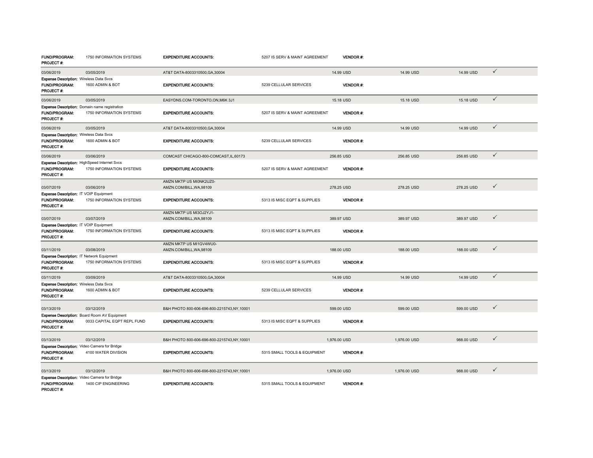| FUND/PROGRAM:<br><b>PROJECT#:</b>                                                    | 1750 INFORMATION SYSTEMS                                                    | <b>EXPENDITURE ACCOUNTS:</b>                        | 5207 IS SERV & MAINT AGREEMENT | VENDOR #:       |              |            |              |
|--------------------------------------------------------------------------------------|-----------------------------------------------------------------------------|-----------------------------------------------------|--------------------------------|-----------------|--------------|------------|--------------|
| 03/06/2019                                                                           | 03/05/2019                                                                  | AT&T DATA-8003310500.GA.30004                       |                                | 14.99 USD       | 14.99 USD    | 14.99 USD  | $\checkmark$ |
| <b>Expense Description: Wireless Data Svcs</b><br>FUND/PROGRAM:<br><b>PROJECT#:</b>  | 1600 ADMIN & BOT                                                            | <b>EXPENDITURE ACCOUNTS:</b>                        | 5239 CELLULAR SERVICES         | <b>VENDOR#:</b> |              |            |              |
| 03/06/2019                                                                           | 03/05/2019                                                                  | EASYDNS.COM-TORONTO.ON.M6K 3J1                      |                                | 15.18 USD       | 15.18 USD    | 15.18 USD  | $\checkmark$ |
| <b>FUND/PROGRAM:</b><br>PROJECT #:                                                   | Expense Description: Domain name registration<br>1750 INFORMATION SYSTEMS   | <b>EXPENDITURE ACCOUNTS:</b>                        | 5207 IS SERV & MAINT AGREEMENT | <b>VENDOR#:</b> |              |            |              |
| 03/06/2019                                                                           | 03/05/2019                                                                  | AT&T DATA-8003310500.GA.30004                       |                                | 14.99 USD       | 14.99 USD    | 14.99 USD  | $\checkmark$ |
| <b>Expense Description: Wireless Data Svcs</b><br>FUND/PROGRAM:<br><b>PROJECT#:</b>  | 1600 ADMIN & BOT                                                            | <b>EXPENDITURE ACCOUNTS:</b>                        | 5239 CELLULAR SERVICES         | <b>VENDOR#:</b> |              |            |              |
| 03/06/2019                                                                           | 03/06/2019                                                                  | COMCAST CHICAGO-800-COMCAST, IL, 60173              |                                | 256.85 USD      | 256.85 USD   | 256.85 USD | $\checkmark$ |
| FUND/PROGRAM:<br><b>PROJECT#:</b>                                                    | Expense Description: HighSpeed Internet Svcs<br>1750 INFORMATION SYSTEMS    | <b>EXPENDITURE ACCOUNTS:</b>                        | 5207 IS SERV & MAINT AGREEMENT | <b>VENDOR#:</b> |              |            |              |
| 03/07/2019                                                                           | 03/06/2019                                                                  | AMZN MKTP US MI0NK2UZ0-<br>AMZN.COM/BILL, WA, 98109 |                                | 278.25 USD      | 278.25 USD   | 278.25 USD | $\checkmark$ |
| Expense Description: IT VOIP Equipment                                               |                                                                             |                                                     |                                |                 |              |            |              |
| FUND/PROGRAM:<br><b>PROJECT#:</b>                                                    | 1750 INFORMATION SYSTEMS                                                    | <b>EXPENDITURE ACCOUNTS:</b>                        | 5313 IS MISC EQPT & SUPPLIES   | <b>VENDOR#:</b> |              |            |              |
| 03/07/2019                                                                           | 03/07/2019                                                                  | AMZN MKTP US MI3OJ2YJ1-<br>AMZN.COM/BILL, WA, 98109 |                                | 389.97 USD      | 389.97 USD   | 389.97 USD | $\checkmark$ |
| Expense Description: IT VOIP Equipment<br>FUND/PROGRAM:<br><b>PROJECT#:</b>          | 1750 INFORMATION SYSTEMS                                                    | <b>EXPENDITURE ACCOUNTS:</b>                        | 5313 IS MISC EQPT & SUPPLIES   | <b>VENDOR#:</b> |              |            |              |
| 03/11/2019                                                                           | 03/08/2019                                                                  | AMZN MKTP US MI1GV4WU0-<br>AMZN.COM/BILL, WA, 98109 |                                | 188.00 USD      | 188,00 USD   | 188.00 USD | $\checkmark$ |
| Expense Description: IT Network Equipment<br>FUND/PROGRAM:<br>PROJECT #:             | 1750 INFORMATION SYSTEMS                                                    | <b>EXPENDITURE ACCOUNTS:</b>                        | 5313 IS MISC EQPT & SUPPLIES   | <b>VENDOR#:</b> |              |            |              |
| 03/11/2019                                                                           | 03/09/2019                                                                  | AT&T DATA-8003310500.GA.30004                       |                                | 14.99 USD       | 14.99 USD    | 14.99 USD  | $\checkmark$ |
| Expense Description: Wireless Data Svcs<br><b>FUND/PROGRAM:</b><br><b>PROJECT #:</b> | 1600 ADMIN & BOT                                                            | <b>EXPENDITURE ACCOUNTS:</b>                        | 5239 CELLULAR SERVICES         | <b>VENDOR#:</b> |              |            |              |
| 03/13/2019                                                                           | 03/12/2019                                                                  | B&H PHOTO 800-606-696-800-2215743.NY.10001          |                                | 599.00 USD      | 599.00 USD   | 599.00 USD | $\checkmark$ |
| <b>FUND/PROGRAM:</b><br>PROJECT#:                                                    | Expense Description: Board Room AV Equipment<br>0033 CAPITAL EQPT REPL FUND | <b>EXPENDITURE ACCOUNTS:</b>                        | 5313 IS MISC EQPT & SUPPLIES   | VENDOR#:        |              |            |              |
| 03/13/2019                                                                           | 03/12/2019                                                                  | B&H PHOTO 800-606-696-800-2215743,NY,10001          |                                | 1,976.00 USD    | 1,976.00 USD | 988.00 USD | $\checkmark$ |
| <b>FUND/PROGRAM:</b><br><b>PROJECT#:</b>                                             | <b>Expense Description:</b> Video Camera for Bridge<br>4100 WATER DIVISION  | <b>EXPENDITURE ACCOUNTS:</b>                        | 5315 SMALL TOOLS & EQUIPMENT   | <b>VENDOR#:</b> |              |            |              |
| 03/13/2019                                                                           | 03/12/2019                                                                  | B&H PHOTO 800-606-696-800-2215743,NY,10001          |                                | 1,976.00 USD    | 1,976.00 USD | 988.00 USD | $\checkmark$ |
| FUND/PROGRAM:<br>PROJECT#:                                                           | Expense Description: Video Camera for Bridge<br>1400 CIP ENGINEERING        | <b>EXPENDITURE ACCOUNTS:</b>                        | 5315 SMALL TOOLS & EQUIPMENT   | <b>VENDOR#:</b> |              |            |              |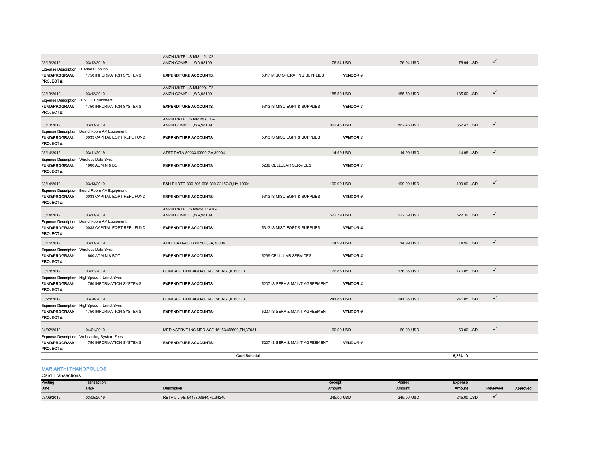|                                                                                      |                                                                                 | AMZN MKTP US MI8LL2UX2-                             |                                |                  |            |            |              |
|--------------------------------------------------------------------------------------|---------------------------------------------------------------------------------|-----------------------------------------------------|--------------------------------|------------------|------------|------------|--------------|
| 03/13/2019                                                                           | 03/12/2019                                                                      | AMZN.COM/BILL, WA, 98109                            |                                | 76.94 USD        | 76.94 USD  | 76.94 USD  | $\checkmark$ |
| <b>Expense Description: IT Misc Supplies</b>                                         |                                                                                 |                                                     |                                |                  |            |            |              |
| FUND/PROGRAM:<br>PROJECT #:                                                          | 1750 INFORMATION SYSTEMS                                                        | <b>EXPENDITURE ACCOUNTS:</b>                        | 5317 MISC OPERATING SUPPLIES   | <b>VENDOR#:</b>  |            |            |              |
|                                                                                      |                                                                                 | AMZN MKTP US MI4929UE2-                             |                                |                  |            |            |              |
| 03/13/2019                                                                           | 03/12/2019                                                                      | AMZN.COM/BILL, WA, 98109                            |                                | 185.50 USD       | 185.50 USD | 185.50 USD | $\checkmark$ |
| Expense Description: IT VOIP Equipment                                               |                                                                                 |                                                     |                                |                  |            |            |              |
| FUND/PROGRAM:<br>PROJECT#:                                                           | 1750 INFORMATION SYSTEMS                                                        | <b>EXPENDITURE ACCOUNTS:</b>                        | 5313 IS MISC EQPT & SUPPLIES   | <b>VENDOR #:</b> |            |            |              |
|                                                                                      |                                                                                 | AMZN MKTP US MI8IM3UR2-                             |                                |                  |            |            |              |
| 03/13/2019                                                                           | 03/13/2019                                                                      | AMZN.COM/BILL.WA.98109                              |                                | 862.43 USD       | 862.43 USD | 862.43 USD | $\checkmark$ |
| FUND/PROGRAM:<br><b>PROJECT#:</b>                                                    | Expense Description: Board Room AV Equipment<br>0033 CAPITAL EQPT REPL FUND     | <b>EXPENDITURE ACCOUNTS:</b>                        | 5313 IS MISC EQPT & SUPPLIES   | <b>VENDOR#:</b>  |            |            |              |
| 03/14/2019                                                                           | 03/11/2019                                                                      | AT&T DATA-8003310500, GA, 30004                     |                                | 14.99 USD        | 14.99 USD  | 14.99 USD  | $\checkmark$ |
| Expense Description: Wireless Data Svcs                                              |                                                                                 |                                                     |                                |                  |            |            |              |
| <b>FUND/PROGRAM:</b><br>PROJECT #:                                                   | 1600 ADMIN & BOT                                                                | <b>EXPENDITURE ACCOUNTS:</b>                        | 5239 CELLULAR SERVICES         | VENDOR#:         |            |            |              |
| 03/14/2019                                                                           | 03/13/2019                                                                      | B&H PHOTO 800-606-696-800-2215743,NY,10001          |                                | 199.99 USD       | 199.99 USD | 199.99 USD | $\checkmark$ |
|                                                                                      | Expense Description: Board Room AV Equipment                                    |                                                     |                                |                  |            |            |              |
| FUND/PROGRAM:<br>PROJECT #:                                                          | 0033 CAPITAL EQPT REPL FUND                                                     | <b>EXPENDITURE ACCOUNTS:</b>                        | 5313 IS MISC EQPT & SUPPLIES   | VENDOR#:         |            |            |              |
| 03/14/2019                                                                           | 03/13/2019                                                                      | AMZN MKTP US MW5ET1410-<br>AMZN.COM/BILL, WA, 98109 |                                | 622.39 USD       | 622.39 USD | 622.39 USD | $\checkmark$ |
|                                                                                      | Expense Description: Board Room AV Equipment                                    |                                                     |                                |                  |            |            |              |
| <b>FUND/PROGRAM:</b><br><b>PROJECT#:</b>                                             | 0033 CAPITAL EQPT REPL FUND                                                     | <b>EXPENDITURE ACCOUNTS:</b>                        | 5313 IS MISC EQPT & SUPPLIES   | <b>VENDOR#:</b>  |            |            |              |
| 03/15/2019                                                                           | 03/13/2019                                                                      | AT&T DATA-8003310500.GA.30004                       |                                | 14.99 USD        | 14.99 USD  | 14.99 USD  | $\checkmark$ |
| <b>Expense Description: Wireless Data Svcs</b><br><b>FUND/PROGRAM:</b><br>PROJECT #: | 1600 ADMIN & BOT                                                                | <b>EXPENDITURE ACCOUNTS:</b>                        | 5239 CELLULAR SERVICES         | <b>VENDOR#:</b>  |            |            |              |
| 03/18/2019                                                                           | 03/17/2019                                                                      | COMCAST CHICAGO-800-COMCAST, IL, 60173              |                                | 176.85 USD       | 176.85 USD | 176.85 USD | $\checkmark$ |
| FUND/PROGRAM:<br><b>PROJECT#:</b>                                                    | <b>Expense Description: HighSpeed Internet Svcs</b><br>1750 INFORMATION SYSTEMS | <b>EXPENDITURE ACCOUNTS:</b>                        | 5207 IS SERV & MAINT AGREEMENT | <b>VENDOR#:</b>  |            |            |              |
| 03/28/2019                                                                           | 03/28/2019                                                                      | COMCAST CHICAGO-800-COMCAST, IL, 60173              |                                | 241.85 USD       | 241.85 USD | 241.85 USD | $\checkmark$ |
| FUND/PROGRAM:<br>PROJECT #:                                                          | <b>Expense Description: HighSpeed Internet Svcs</b><br>1750 INFORMATION SYSTEMS | <b>EXPENDITURE ACCOUNTS:</b>                        | 5207 IS SERV & MAINT AGREEMENT | <b>VENDOR #.</b> |            |            |              |
| 04/02/2019                                                                           | 04/01/2019                                                                      | MEDIASERVE INC MEDIASE-16153456600, TN, 37031       |                                | 60.00 USD        | 60.00 USD  | 60.00 USD  | $\checkmark$ |
|                                                                                      | <b>Expense Description: Webcasting System Fees</b>                              |                                                     |                                |                  |            |            |              |
| FUND/PROGRAM:<br>PROJECT#:                                                           | 1750 INFORMATION SYSTEMS                                                        | <b>EXPENDITURE ACCOUNTS:</b>                        | 5207 IS SERV & MAINT AGREEMENT | <b>VENDOR #.</b> |            |            |              |
|                                                                                      |                                                                                 | <b>Card Subtotal</b>                                |                                |                  |            | 6,224.10   |              |
| <b>MARIANTHI THANOPOULOS</b><br>Card Transactions                                    |                                                                                 |                                                     |                                |                  |            |            |              |

Posting Date Transaction Date **Description** Receipt Amount Posted Amount Expense Reviewed Approved  $\sim$  03/06/2019 03/05/2019 03/05/2019 RETAIL LIVE-9417303644,FL,34240 245.00 USD 245.00 USD 245.00 USD 245.00 USD  $\sim$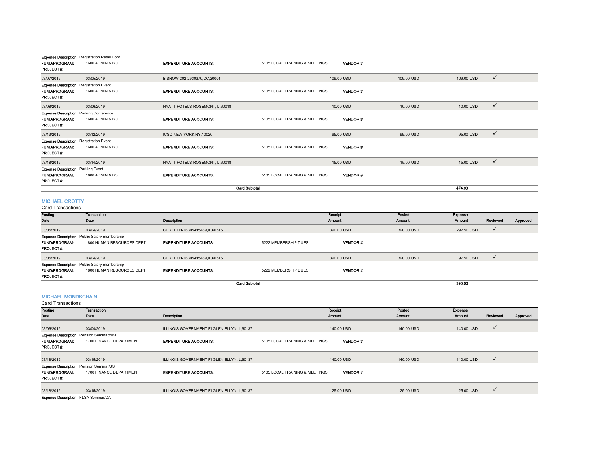|                                                                                            |                                                                          | <b>Card Subtotal</b>             |                                |                 |            | 474.00                     |  |
|--------------------------------------------------------------------------------------------|--------------------------------------------------------------------------|----------------------------------|--------------------------------|-----------------|------------|----------------------------|--|
| <b>FUND/PROGRAM:</b><br>PROJECT#:                                                          | 1600 ADMIN & BOT                                                         | <b>EXPENDITURE ACCOUNTS:</b>     | 5105 LOCAL TRAINING & MEETINGS | <b>VENDOR#:</b> |            |                            |  |
| 03/18/2019<br><b>Expense Description: Parking Event</b>                                    | 03/14/2019                                                               | HYATT HOTELS-ROSEMONT, IL, 60018 |                                | 15.00 USD       | 15.00 USD  | $\checkmark$<br>15.00 USD  |  |
| <b>Expense Description: Registration Event</b><br><b>FUND/PROGRAM:</b><br>PROJECT#:        | 1600 ADMIN & BOT                                                         | <b>EXPENDITURE ACCOUNTS:</b>     | 5105 LOCAL TRAINING & MEETINGS | <b>VENDOR#:</b> |            |                            |  |
| 03/13/2019                                                                                 | 03/12/2019                                                               | ICSC-NEW YORK, NY, 10020         |                                | 95.00 USD       | 95.00 USD  | $\checkmark$<br>95.00 USD  |  |
| <b>Expense Description: Parking Conference</b><br><b>FUND/PROGRAM:</b><br><b>PROJECT#:</b> | 1600 ADMIN & BOT                                                         | <b>EXPENDITURE ACCOUNTS:</b>     | 5105 LOCAL TRAINING & MEETINGS | <b>VENDOR#:</b> |            |                            |  |
| 03/08/2019                                                                                 | 03/06/2019                                                               | HYATT HOTELS-ROSEMONT, IL, 60018 |                                | 10.00 USD       | 10.00 USD  | $\checkmark$<br>10.00 USD  |  |
| <b>Expense Description: Registration Event</b><br><b>FUND/PROGRAM:</b><br>PROJECT#:        | 1600 ADMIN & BOT                                                         | <b>EXPENDITURE ACCOUNTS:</b>     | 5105 LOCAL TRAINING & MEETINGS | <b>VENDOR#:</b> |            |                            |  |
| 03/07/2019                                                                                 | 03/05/2019                                                               | BISNOW-202-2930370.DC.20001      |                                | 109.00 USD      | 109.00 USD | $\checkmark$<br>109.00 USD |  |
| <b>FUND/PROGRAM:</b><br>PROJECT#:                                                          | <b>Expense Description:</b> Registration Retail Conf<br>1600 ADMIN & BOT | <b>EXPENDITURE ACCOUNTS:</b>     | 5105 LOCAL TRAINING & MEETINGS | <b>VENDOR#:</b> |            |                            |  |

#### MICHAEL CROTTY

| Card Transactions    |                                                      |                               |                      |                 |            |            |          |          |
|----------------------|------------------------------------------------------|-------------------------------|----------------------|-----------------|------------|------------|----------|----------|
| Posting              | Transaction                                          |                               |                      | Receipt         | Posted     | Expense    |          |          |
| Date                 | Date                                                 | Description                   |                      | Amount          | Amount     | Amount     | Reviewed | Approved |
| 03/05/2019           | 03/04/2019                                           | CITYTECH-16305415489.IL.60516 |                      | 390.00 USD      | 390.00 USD | 292.50 USD |          |          |
|                      | <b>Expense Description: Public Salary membership</b> |                               |                      |                 |            |            |          |          |
| <b>FUND/PROGRAM:</b> | 1800 HUMAN RESOURCES DEPT                            | <b>EXPENDITURE ACCOUNTS:</b>  | 5222 MEMBERSHIP DUES | <b>VENDOR#:</b> |            |            |          |          |
| <b>PROJECT#:</b>     |                                                      |                               |                      |                 |            |            |          |          |
| 03/05/2019           | 03/04/2019                                           | CITYTECH-16305415489,IL,60516 |                      | 390.00 USD      | 390.00 USD | 97.50 USD  |          |          |
|                      | <b>Expense Description: Public Salary membership</b> |                               |                      |                 |            |            |          |          |
| <b>FUND/PROGRAM:</b> | 1800 HUMAN RESOURCES DEPT                            | <b>EXPENDITURE ACCOUNTS:</b>  | 5222 MEMBERSHIP DUES | <b>VENDOR#:</b> |            |            |          |          |
| <b>PROJECT#:</b>     |                                                      |                               |                      |                 |            |            |          |          |
|                      |                                                      |                               | <b>Card Subtotal</b> |                 |            | 390.00     |          |          |

#### MICHAEL MONDSCHAIN

| <b>Card Transactions</b>                    |                         |                                              |                                |                 |            |               |              |          |
|---------------------------------------------|-------------------------|----------------------------------------------|--------------------------------|-----------------|------------|---------------|--------------|----------|
| Posting                                     | Transaction             |                                              |                                | Receipt         | Posted     | Expense       |              |          |
| Date                                        | Date                    | Description                                  |                                | <b>Amount</b>   | Amount     | <b>Amount</b> | Reviewed     | Approved |
|                                             |                         |                                              |                                |                 |            |               |              |          |
| 03/06/2019                                  | 03/04/2019              | ILLINOIS GOVERNMENT FI-GLEN ELLYN, IL, 60137 |                                | 140.00 USD      | 140.00 USD | 140.00 USD    | $\checkmark$ |          |
| Expense Description: Pension Seminar/MM     |                         |                                              |                                |                 |            |               |              |          |
| <b>FUND/PROGRAM:</b>                        | 1700 FINANCE DEPARTMENT | <b>EXPENDITURE ACCOUNTS:</b>                 | 5105 LOCAL TRAINING & MEETINGS | <b>VENDOR#:</b> |            |               |              |          |
| <b>PROJECT#:</b>                            |                         |                                              |                                |                 |            |               |              |          |
|                                             |                         |                                              |                                |                 |            |               |              |          |
| 03/18/2019                                  | 03/15/2019              | ILLINOIS GOVERNMENT FI-GLEN ELLYN, IL, 60137 |                                | 140.00 USD      | 140.00 USD | 140.00 USD    | $\checkmark$ |          |
| Expense Description: Pension Seminar/BS     |                         |                                              |                                |                 |            |               |              |          |
| <b>FUND/PROGRAM:</b>                        | 1700 FINANCE DEPARTMENT | <b>EXPENDITURE ACCOUNTS:</b>                 | 5105 LOCAL TRAINING & MEETINGS | <b>VENDOR#:</b> |            |               |              |          |
| <b>PROJECT#:</b>                            |                         |                                              |                                |                 |            |               |              |          |
|                                             |                         |                                              |                                |                 |            |               |              |          |
| 03/18/2019                                  | 03/15/2019              | ILLINOIS GOVERNMENT FI-GLEN ELLYN, IL, 60137 |                                | 25.00 USD       | 25.00 USD  | 25.00 USD     | $\checkmark$ |          |
| <b>Expense Description: FLSA Seminar/DA</b> |                         |                                              |                                |                 |            |               |              |          |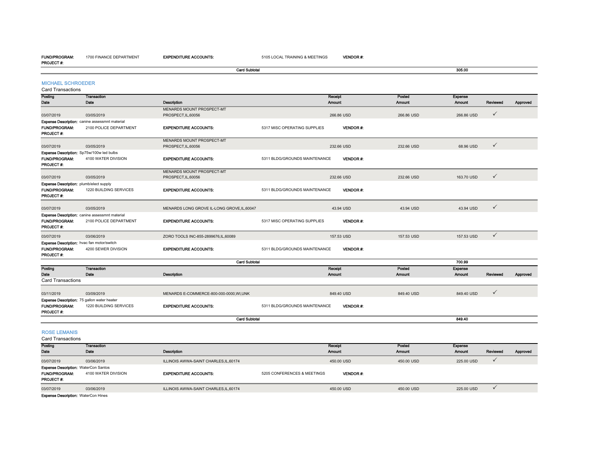#### FUND/PROGRAM:PROJECT #:

1700 FINANCE DEPARTMENT

EXPENDITURE ACCOUNTS: 5105 LOCAL TRAINING & MEETINGS

Card Subtotal

305.00

| <b>MICHAEL SCHROEDER</b> |  |
|--------------------------|--|
|                          |  |

| <b>Card Transactions</b>                                                                |                                                |                                                  |                               |                   |                  |                          |              |          |
|-----------------------------------------------------------------------------------------|------------------------------------------------|--------------------------------------------------|-------------------------------|-------------------|------------------|--------------------------|--------------|----------|
| Posting                                                                                 | <b>Transaction</b>                             |                                                  |                               | Receipt           | Posted           | Expense                  |              |          |
| Date                                                                                    | Date                                           | Description<br>MENARDS MOUNT PROSPECT-MT         |                               | Amount            | Amount           | Amount                   | Reviewed     | Approved |
| 03/07/2019                                                                              | 03/05/2019                                     | PROSPECT, IL, 60056                              |                               | 266.86 USD        | 266.86 USD       | 266.86 USD               | ✓            |          |
|                                                                                         | Expense Description: canine assessmnt material |                                                  |                               |                   |                  |                          |              |          |
| FUND/PROGRAM:<br>PROJECT#:                                                              | 2100 POLICE DEPARTMENT                         | <b>EXPENDITURE ACCOUNTS:</b>                     | 5317 MISC OPERATING SUPPLIES  | <b>VENDOR#:</b>   |                  |                          |              |          |
| 03/07/2019                                                                              | 03/05/2019                                     | MENARDS MOUNT PROSPECT-MT<br>PROSPECT, IL, 60056 |                               | 232.66 USD        | 232.66 USD       | 68.96 USD                | $\checkmark$ |          |
| Expense Description: Sp75w/100w led bulbs                                               |                                                |                                                  |                               |                   |                  |                          |              |          |
| FUND/PROGRAM:<br><b>PROJECT#:</b>                                                       | 4100 WATER DIVISION                            | <b>EXPENDITURE ACCOUNTS:</b>                     | 5311 BLDG/GROUNDS MAINTENANCE | <b>VENDOR#:</b>   |                  |                          |              |          |
|                                                                                         |                                                | MENARDS MOUNT PROSPECT-MT                        |                               |                   |                  |                          |              |          |
| 03/07/2019                                                                              | 03/05/2019                                     | PROSPECT, IL, 60056                              |                               | 232.66 USD        | 232.66 USD       | 163.70 USD               | $\checkmark$ |          |
| Expense Description: plumb/elect supply<br>FUND/PROGRAM:<br><b>PROJECT#:</b>            | 1220 BUILDING SERVICES                         | <b>EXPENDITURE ACCOUNTS:</b>                     | 5311 BLDG/GROUNDS MAINTENANCE | <b>VENDOR#:</b>   |                  |                          |              |          |
| 03/07/2019                                                                              | 03/05/2019                                     | MENARDS LONG GROVE IL-LONG GROVE.IL.60047        |                               | 43.94 USD         | 43.94 USD        | 43.94 USD                | $\checkmark$ |          |
|                                                                                         | Expense Description: canine assessmnt material |                                                  |                               |                   |                  |                          |              |          |
| <b>FUND/PROGRAM:</b><br><b>PROJECT#:</b>                                                | 2100 POLICE DEPARTMENT                         | <b>EXPENDITURE ACCOUNTS:</b>                     | 5317 MISC OPERATING SUPPLIES  | <b>VENDOR#:</b>   |                  |                          |              |          |
| 03/07/2019                                                                              | 03/06/2019                                     | ZORO TOOLS INC-855-2899676,IL,60089              |                               | 157.53 USD        | 157.53 USD       | 157.53 USD               | $\checkmark$ |          |
| Expense Description: hvac fan motor/switch<br><b>FUND/PROGRAM:</b><br>PROJECT#:         | 4200 SEWER DIVISION                            | <b>EXPENDITURE ACCOUNTS:</b>                     | 5311 BLDG/GROUNDS MAINTENANCE | <b>VENDOR#:</b>   |                  |                          |              |          |
|                                                                                         |                                                | <b>Card Subtotal</b>                             |                               |                   |                  | 700.99                   |              |          |
| Posting<br>Date                                                                         | Transaction<br>Date                            |                                                  |                               | Receipt           | Posted<br>Amount | Expense<br>Amount        |              |          |
| Card Transactions                                                                       |                                                | Description                                      |                               | Amount            |                  |                          | Reviewed     | Approved |
|                                                                                         |                                                |                                                  |                               |                   |                  |                          |              |          |
| 03/11/2019                                                                              | 03/09/2019                                     | MENARDS E-COMMERCE-800-000-0000, WI, UNK         |                               | 849.40 USD        | 849.40 USD       | 849.40 USD               | $\checkmark$ |          |
| Expense Description: 75 gallon water heater<br><b>FUND/PROGRAM:</b><br><b>PROJECT#:</b> | 1220 BUILDING SERVICES                         | <b>EXPENDITURE ACCOUNTS:</b>                     | 5311 BLDG/GROUNDS MAINTENANCE | <b>VENDOR#:</b>   |                  |                          |              |          |
|                                                                                         |                                                | <b>Card Subtotal</b>                             |                               |                   |                  | 849.40                   |              |          |
|                                                                                         |                                                |                                                  |                               |                   |                  |                          |              |          |
| <b>ROSE LEMANIS</b>                                                                     |                                                |                                                  |                               |                   |                  |                          |              |          |
| <b>Card Transactions</b><br>Posting                                                     | <b>Transaction</b>                             |                                                  |                               |                   | Posted           |                          |              |          |
| Date                                                                                    | Date                                           | Description                                      |                               | Receipt<br>Amount | Amount           | Expense<br><b>Amount</b> | Reviewed     | Approved |
| 03/07/2019                                                                              | 03/06/2019                                     | ILLINOIS AWWA-SAINT CHARLES, IL, 60174           |                               | 450.00 USD        | 450.00 USD       | 225.00 USD               | $\checkmark$ |          |
| <b>Expense Description: WaterCon Santos</b><br>FUND/PROGRAM:<br>PROJECT#:               | 4100 WATER DIVISION                            | <b>EXPENDITURE ACCOUNTS:</b>                     | 5205 CONFERENCES & MEETINGS   | <b>VENDOR#:</b>   |                  |                          |              |          |

03/07/2019 03/06/2019 ILLINOIS AWWA-SAINT CHARLES,IL,60174 450.00 USD 450.00 USD 225.00 USD

Expense Description: WaterCon Hines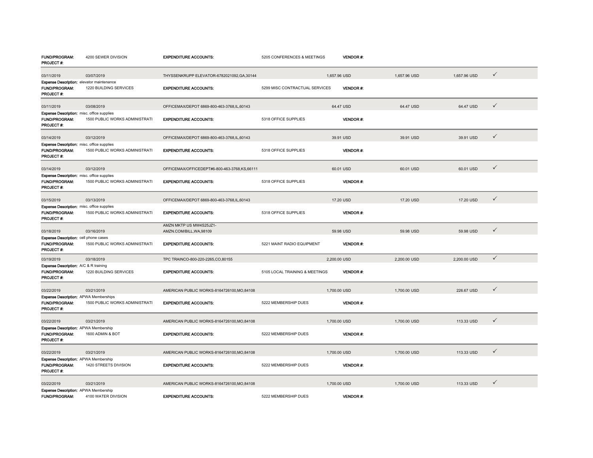| <b>FUND/PROGRAM:</b><br>PROJECT #:                                                    | 4200 SEWER DIVISION            | <b>EXPENDITURE ACCOUNTS:</b>                        | 5205 CONFERENCES & MEETINGS    | <b>VENDOR#:</b>  |              |              |              |
|---------------------------------------------------------------------------------------|--------------------------------|-----------------------------------------------------|--------------------------------|------------------|--------------|--------------|--------------|
| 03/11/2019                                                                            | 03/07/2019                     | THYSSENKRUPP ELEVATOR-6782021092,GA,30144           |                                | 1,657.96 USD     | 1,657.96 USD | 1,657.96 USD | ✓            |
| <b>Expense Description:</b> elevator maintenance<br>FUND/PROGRAM:<br><b>PROJECT#:</b> | 1220 BUILDING SERVICES         | <b>EXPENDITURE ACCOUNTS:</b>                        | 5299 MISC CONTRACTUAL SERVICES | <b>VENDOR#:</b>  |              |              |              |
| 03/11/2019                                                                            | 03/08/2019                     | OFFICEMAX/DEPOT 6869-800-463-3768,IL,60143          |                                | 64.47 USD        | 64.47 USD    | 64.47 USD    | $\checkmark$ |
| <b>Expense Description:</b> misc. office supplies<br>FUND/PROGRAM:<br>PROJECT #:      | 1500 PUBLIC WORKS ADMINISTRATI | <b>EXPENDITURE ACCOUNTS:</b>                        | 5318 OFFICE SUPPLIES           | <b>VENDOR#:</b>  |              |              |              |
| 03/14/2019                                                                            | 03/12/2019                     | OFFICEMAX/DEPOT 6869-800-463-3768,IL,60143          |                                | 39.91 USD        | 39.91 USD    | 39.91 USD    | $\checkmark$ |
| Expense Description: misc. office supplies<br>FUND/PROGRAM:<br>PROJECT #:             | 1500 PUBLIC WORKS ADMINISTRATI | <b>EXPENDITURE ACCOUNTS:</b>                        | 5318 OFFICE SUPPLIES           | <b>VENDOR#:</b>  |              |              |              |
| 03/14/2019                                                                            | 03/12/2019                     | OFFICEMAX/OFFICEDEPT#6-800-463-3768,KS,66111        |                                | 60.01 USD        | 60.01 USD    | 60.01 USD    | $\checkmark$ |
| Expense Description: misc. office supplies<br>FUND/PROGRAM:<br><b>PROJECT#:</b>       | 1500 PUBLIC WORKS ADMINISTRATI | <b>EXPENDITURE ACCOUNTS:</b>                        | 5318 OFFICE SUPPLIES           | VENDOR#:         |              |              |              |
| 03/15/2019                                                                            | 03/13/2019                     | OFFICEMAX/DEPOT 6869-800-463-3768,IL,60143          |                                | 17.20 USD        | 17.20 USD    | 17.20 USD    | $\checkmark$ |
| Expense Description: misc. office supplies<br>FUND/PROGRAM:<br><b>PROJECT #:</b>      | 1500 PUBLIC WORKS ADMINISTRATI | <b>EXPENDITURE ACCOUNTS:</b>                        | 5318 OFFICE SUPPLIES           | <b>VENDOR#:</b>  |              |              |              |
| 03/18/2019                                                                            | 03/16/2019                     | AMZN MKTP US MW4S25JZ1-<br>AMZN.COM/BILL, WA, 98109 |                                | 59.98 USD        | 59.98 USD    | 59.98 USD    | $\checkmark$ |
| Expense Description: cell phone cases<br>FUND/PROGRAM:<br><b>PROJECT #:</b>           | 1500 PUBLIC WORKS ADMINISTRATI | <b>EXPENDITURE ACCOUNTS:</b>                        | 5221 MAINT RADIO EQUIPMENT     | <b>VENDOR#:</b>  |              |              |              |
| 03/19/2019                                                                            | 03/18/2019                     | TPC TRAINCO-800-220-2265,CO,80155                   |                                | 2,200.00 USD     | 2,200.00 USD | 2,200.00 USD | $\checkmark$ |
| <b>Expense Description: A/C &amp; R training</b><br>FUND/PROGRAM:<br><b>PROJECT#:</b> | 1220 BUILDING SERVICES         | <b>EXPENDITURE ACCOUNTS:</b>                        | 5105 LOCAL TRAINING & MEETINGS | VENDOR#:         |              |              |              |
| 03/22/2019                                                                            | 03/21/2019                     | AMERICAN PUBLIC WORKS-8164726100,MO,84108           |                                | 1,700.00 USD     | 1,700.00 USD | 226.67 USD   | $\checkmark$ |
| <b>Expense Description: APWA Memberships</b><br>FUND/PROGRAM:<br>PROJECT #:           | 1500 PUBLIC WORKS ADMINISTRATI | <b>EXPENDITURE ACCOUNTS:</b>                        | 5222 MEMBERSHIP DUES           | <b>VENDOR#:</b>  |              |              |              |
| 03/22/2019                                                                            | 03/21/2019                     | AMERICAN PUBLIC WORKS-8164726100, MO, 84108         |                                | 1,700.00 USD     | 1,700.00 USD | 113.33 USD   | $\checkmark$ |
| Expense Description: APWA Membership<br>FUND/PROGRAM:<br>PROJECT #:                   | 1600 ADMIN & BOT               | <b>EXPENDITURE ACCOUNTS:</b>                        | 5222 MEMBERSHIP DUES           | <b>VENDOR#:</b>  |              |              |              |
| 03/22/2019                                                                            | 03/21/2019                     | AMERICAN PUBLIC WORKS-8164726100, MO, 84108         |                                | 1,700.00 USD     | 1,700.00 USD | 113.33 USD   | $\checkmark$ |
| Expense Description: APWA Membership<br>FUND/PROGRAM:<br>PROJECT #:                   | 1420 STREETS DIVISION          | <b>EXPENDITURE ACCOUNTS:</b>                        | 5222 MEMBERSHIP DUES           | VENDOR#:         |              |              |              |
| 03/22/2019                                                                            | 03/21/2019                     | AMERICAN PUBLIC WORKS-8164726100,MO,84108           |                                | 1,700.00 USD     | 1,700.00 USD | 113.33 USD   | $\checkmark$ |
| Expense Description: APWA Membership<br><b>FUND/PROGRAM:</b>                          | 4100 WATER DIVISION            | <b>EXPENDITURE ACCOUNTS:</b>                        | 5222 MEMBERSHIP DUES           | <b>VENDOR #:</b> |              |              |              |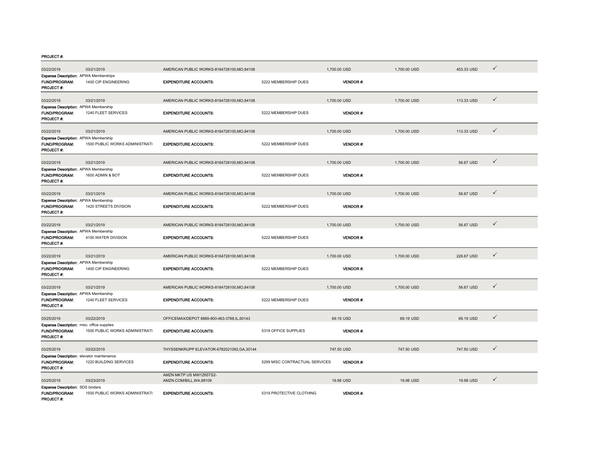| 03/22/2019                                                                      | 03/21/2019                     | AMERICAN PUBLIC WORKS-8164726100.MO.84108           |                                | 1,700.00 USD    | 1,700.00 USD | 453.33 USD | $\checkmark$ |
|---------------------------------------------------------------------------------|--------------------------------|-----------------------------------------------------|--------------------------------|-----------------|--------------|------------|--------------|
| Expense Description: APWA Memberships<br>FUND/PROGRAM:<br>PROJECT#:             | 1400 CIP ENGINEERING           | <b>EXPENDITURE ACCOUNTS:</b>                        | 5222 MEMBERSHIP DUES           | VENDOR #:       |              |            |              |
| 03/22/2019                                                                      | 03/21/2019                     | AMERICAN PUBLIC WORKS-8164726100,MO,84108           |                                | 1,700.00 USD    | 1,700.00 USD | 113.33 USD | $\checkmark$ |
| Expense Description: APWA Membership<br>FUND/PROGRAM:<br><b>PROJECT#:</b>       | 1240 FLEET SERVICES            | <b>EXPENDITURE ACCOUNTS:</b>                        | 5222 MEMBERSHIP DUES           | VENDOR#:        |              |            |              |
| 03/22/2019                                                                      | 03/21/2019                     | AMERICAN PUBLIC WORKS-8164726100.MO.84108           |                                | 1,700.00 USD    | 1,700.00 USD | 113.33 USD | $\checkmark$ |
| Expense Description: APWA Membership<br>FUND/PROGRAM:<br>PROJECT#:              | 1500 PUBLIC WORKS ADMINISTRATI | <b>EXPENDITURE ACCOUNTS:</b>                        | 5222 MEMBERSHIP DUES           | <b>VENDOR#:</b> |              |            |              |
| 03/22/2019                                                                      | 03/21/2019                     | AMERICAN PUBLIC WORKS-8164726100, MO, 84108         |                                | 1,700.00 USD    | 1,700.00 USD | 56.67 USD  | $\checkmark$ |
| Expense Description: APWA Membership<br>FUND/PROGRAM:<br><b>PROJECT#:</b>       | 1600 ADMIN & BOT               | <b>EXPENDITURE ACCOUNTS:</b>                        | 5222 MEMBERSHIP DUES           | VENDOR#:        |              |            |              |
| 03/22/2019                                                                      | 03/21/2019                     | AMERICAN PUBLIC WORKS-8164726100, MO, 84108         |                                | 1,700.00 USD    | 1,700.00 USD | 56.67 USD  | $\checkmark$ |
| Expense Description: APWA Membership<br><b>FUND/PROGRAM:</b><br>PROJECT#:       | 1420 STREETS DIVISION          | <b>EXPENDITURE ACCOUNTS:</b>                        | 5222 MEMBERSHIP DUES           | <b>VENDOR#:</b> |              |            |              |
| 03/22/2019                                                                      | 03/21/2019                     | AMERICAN PUBLIC WORKS-8164726100, MO, 84108         |                                | 1,700.00 USD    | 1,700.00 USD | 56.67 USD  | $\checkmark$ |
| Expense Description: APWA Membership<br>FUND/PROGRAM:<br>PROJECT #:             | 4100 WATER DIVISION            | <b>EXPENDITURE ACCOUNTS:</b>                        | 5222 MEMBERSHIP DUES           | VENDOR#:        |              |            |              |
| 03/22/2019                                                                      | 03/21/2019                     | AMERICAN PUBLIC WORKS-8164726100, MO, 84108         |                                | 1,700.00 USD    | 1,700.00 USD | 226.67 USD | $\checkmark$ |
| Expense Description: APWA Membership<br>FUND/PROGRAM:<br><b>PROJECT#:</b>       | 1400 CIP ENGINEERING           | <b>EXPENDITURE ACCOUNTS:</b>                        | 5222 MEMBERSHIP DUES           | <b>VENDOR#:</b> |              |            |              |
| 03/22/2019                                                                      | 03/21/2019                     | AMERICAN PUBLIC WORKS-8164726100, MO, 84108         |                                | 1,700.00 USD    | 1,700.00 USD | 56.67 USD  | $\checkmark$ |
| Expense Description: APWA Membership<br>FUND/PROGRAM:<br>PROJECT#:              | 1240 FLEET SERVICES            | <b>EXPENDITURE ACCOUNTS:</b>                        | 5222 MEMBERSHIP DUES           | <b>VENDOR#:</b> |              |            |              |
| 03/25/2019                                                                      | 03/22/2019                     | OFFICEMAX/DEPOT 6869-800-463-3768.IL.60143          |                                | 69.19 USD       | 69.19 USD    | 69.19 USD  | $\checkmark$ |
| Expense Description: misc. office supplies<br>FUND/PROGRAM:<br><b>PROJECT#:</b> | 1500 PUBLIC WORKS ADMINISTRATI | <b>EXPENDITURE ACCOUNTS:</b>                        | 5318 OFFICE SUPPLIES           | <b>VENDOR#:</b> |              |            |              |
| 03/25/2019                                                                      | 03/22/2019                     | THYSSENKRUPP ELEVATOR-6782021092,GA,30144           |                                | 747.50 USD      | 747.50 USD   | 747.50 USD | $\checkmark$ |
| Expense Description: elevator maintenance<br>FUND/PROGRAM:<br>PROJECT#:         | 1220 BUILDING SERVICES         | <b>EXPENDITURE ACCOUNTS:</b>                        | 5299 MISC CONTRACTUAL SERVICES | <b>VENDOR#:</b> |              |            |              |
| 03/25/2019                                                                      | 03/23/2019                     | AMZN MKTP US MW1Z65TS2-<br>AMZN.COM/BILL, WA, 98109 |                                | 19.98 USD       | 19.98 USD    | 19.98 USD  | ✓            |
| <b>Expense Description: SDS binders</b><br>FUND/PROGRAM:<br>PROJECT#:           | 1500 PUBLIC WORKS ADMINISTRATI | <b>EXPENDITURE ACCOUNTS:</b>                        | 5319 PROTECTIVE CLOTHING       | <b>VENDOR#:</b> |              |            |              |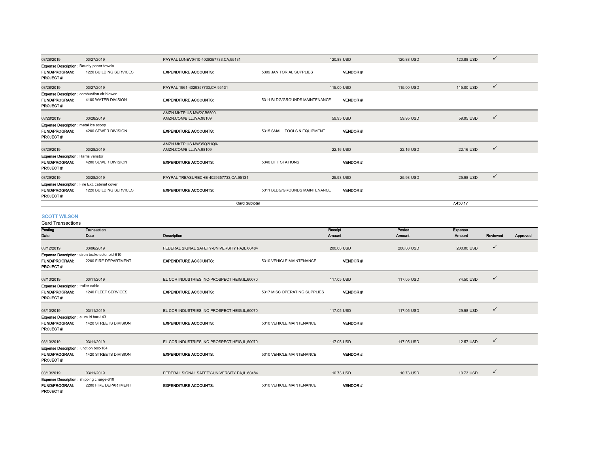| 03/28/2019                                      | 03/27/2019                                          | PAYPAL LUNEV0410-4029357733,CA,95131   |                               | 120.88 USD      | 120.88 USD | $\checkmark$<br>120.88 USD |  |
|-------------------------------------------------|-----------------------------------------------------|----------------------------------------|-------------------------------|-----------------|------------|----------------------------|--|
| <b>Expense Description:</b> Bounty paper towels |                                                     |                                        |                               |                 |            |                            |  |
| <b>FUND/PROGRAM:</b><br><b>PROJECT#:</b>        | 1220 BUILDING SERVICES                              | <b>EXPENDITURE ACCOUNTS:</b>           | 5309 JANITORIAL SUPPLIES      | <b>VENDOR#:</b> |            |                            |  |
| 03/28/2019                                      | 03/27/2019                                          | PAYPAL 1961-4029357733, CA, 95131      |                               | 115,00 USD      | 115,00 USD | $\checkmark$<br>115,00 USD |  |
|                                                 | <b>Expense Description:</b> combustion air blower   |                                        |                               |                 |            |                            |  |
| <b>FUND/PROGRAM:</b>                            | 4100 WATER DIVISION                                 | <b>EXPENDITURE ACCOUNTS:</b>           | 5311 BLDG/GROUNDS MAINTENANCE | <b>VENDOR#</b>  |            |                            |  |
| <b>PROJECT#:</b>                                |                                                     |                                        |                               |                 |            |                            |  |
|                                                 |                                                     | AMZN MKTP US MW2CB6500-                |                               |                 |            |                            |  |
| 03/28/2019                                      | 03/28/2019                                          | AMZN.COM/BILL.WA.98109                 |                               | 59.95 USD       | 59.95 USD  | $\checkmark$<br>59.95 USD  |  |
| <b>Expense Description:</b> metal ice scoop     |                                                     |                                        |                               |                 |            |                            |  |
| <b>FUND/PROGRAM:</b><br><b>PROJECT#:</b>        | 4200 SEWER DIVISION                                 | <b>EXPENDITURE ACCOUNTS:</b>           | 5315 SMALL TOOLS & EQUIPMENT  | <b>VENDOR#</b>  |            |                            |  |
|                                                 |                                                     | AMZN MKTP US MW35Q2HQ0-                |                               |                 |            |                            |  |
| 03/29/2019                                      | 03/28/2019                                          | AMZN.COM/BILL.WA.98109                 |                               | 22.16 USD       | 22.16 USD  | $\checkmark$<br>22.16 USD  |  |
| <b>Expense Description: Harris varistor</b>     |                                                     |                                        |                               |                 |            |                            |  |
| <b>FUND/PROGRAM:</b><br><b>PROJECT#:</b>        | 4200 SEWER DIVISION                                 | <b>EXPENDITURE ACCOUNTS:</b>           | 5340 LIFT STATIONS            | <b>VENDOR#:</b> |            |                            |  |
| 03/29/2019                                      | 03/28/2019                                          | PAYPAL TREASURECHE-4029357733,CA,95131 |                               | 25.98 USD       | 25.98 USD  | $\checkmark$<br>25.98 USD  |  |
|                                                 | <b>Expense Description:</b> Fire Ext. cabinet cover |                                        |                               |                 |            |                            |  |
| <b>FUND/PROGRAM:</b><br><b>PROJECT#:</b>        | 1220 BUILDING SERVICES                              | <b>EXPENDITURE ACCOUNTS:</b>           | 5311 BLDG/GROUNDS MAINTENANCE | <b>VENDOR#:</b> |            |                            |  |
|                                                 |                                                     | <b>Card Subtotal</b>                   |                               |                 |            | 7.430.17                   |  |

#### SCOTT WILSON

Card Transactions

| oura manouvuono                                 |                                                      |                                                |                              |                 |            |            |              |          |
|-------------------------------------------------|------------------------------------------------------|------------------------------------------------|------------------------------|-----------------|------------|------------|--------------|----------|
| Posting                                         | Transaction                                          |                                                |                              | Receipt         | Posted     | Expense    |              |          |
| Date                                            | Date                                                 | Description                                    |                              | <b>Amount</b>   | Amount     | Amount     | Reviewed     | Approved |
|                                                 |                                                      |                                                |                              |                 |            |            |              |          |
| 03/12/2019                                      | 03/06/2019                                           | FEDERAL SIGNAL SAFETY-UNIVERSITY PA.IL.60484   |                              | 200.00 USD      | 200.00 USD | 200.00 USD | $\checkmark$ |          |
|                                                 | <b>Expense Description:</b> siren brake solenoid-610 |                                                |                              |                 |            |            |              |          |
| <b>FUND/PROGRAM:</b>                            | 2200 FIRE DEPARTMENT                                 | <b>EXPENDITURE ACCOUNTS:</b>                   | 5310 VEHICLE MAINTENANCE     | <b>VENDOR#:</b> |            |            |              |          |
| <b>PROJECT#:</b>                                |                                                      |                                                |                              |                 |            |            |              |          |
|                                                 |                                                      |                                                |                              |                 |            |            |              |          |
| 03/13/2019                                      | 03/11/2019                                           | EL COR INDUSTRIES INC-PROSPECT HEIG, IL, 60070 |                              | 117.05 USD      | 117.05 USD | 74.50 USD  | $\checkmark$ |          |
| <b>Expense Description:</b> trailer cable       |                                                      |                                                |                              |                 |            |            |              |          |
| <b>FUND/PROGRAM:</b>                            | 1240 FLEET SERVICES                                  | <b>EXPENDITURE ACCOUNTS:</b>                   | 5317 MISC OPERATING SUPPLIES | <b>VENDOR#:</b> |            |            |              |          |
| <b>PROJECT#:</b>                                |                                                      |                                                |                              |                 |            |            |              |          |
|                                                 |                                                      |                                                |                              |                 |            |            |              |          |
| 03/13/2019                                      | 03/11/2019                                           | EL COR INDUSTRIES INC-PROSPECT HEIG, IL, 60070 |                              | 117.05 USD      | 117.05 USD | 29.98 USD  | $\checkmark$ |          |
| Expense Description: alum.id bar-143            |                                                      |                                                |                              |                 |            |            |              |          |
| <b>FUND/PROGRAM:</b>                            | 1420 STREETS DIVISION                                | <b>EXPENDITURE ACCOUNTS:</b>                   | 5310 VEHICLE MAINTENANCE     | <b>VENDOR#:</b> |            |            |              |          |
| <b>PROJECT#:</b>                                |                                                      |                                                |                              |                 |            |            |              |          |
|                                                 |                                                      |                                                |                              |                 |            |            |              |          |
| 03/13/2019                                      | 03/11/2019                                           | EL COR INDUSTRIES INC-PROSPECT HEIG, IL, 60070 |                              | 117.05 USD      | 117.05 USD | 12.57 USD  | $\checkmark$ |          |
| Expense Description: junction box-184           |                                                      |                                                |                              |                 |            |            |              |          |
| <b>FUND/PROGRAM:</b>                            | 1420 STREETS DIVISION                                | <b>EXPENDITURE ACCOUNTS:</b>                   | 5310 VEHICLE MAINTENANCE     | <b>VENDOR#:</b> |            |            |              |          |
| <b>PROJECT#:</b>                                |                                                      |                                                |                              |                 |            |            |              |          |
|                                                 |                                                      |                                                |                              |                 |            |            |              |          |
| 03/13/2019                                      | 03/11/2019                                           | FEDERAL SIGNAL SAFETY-UNIVERSITY PA.IL.60484   |                              | 10.73 USD       | 10.73 USD  | 10.73 USD  | $\checkmark$ |          |
| <b>Expense Description:</b> shipping charge-610 |                                                      |                                                |                              |                 |            |            |              |          |
| <b>FUND/PROGRAM:</b>                            | 2200 FIRE DEPARTMENT                                 | <b>EXPENDITURE ACCOUNTS:</b>                   | 5310 VEHICLE MAINTENANCE     | <b>VENDOR#:</b> |            |            |              |          |
| <b>PROJECT#:</b>                                |                                                      |                                                |                              |                 |            |            |              |          |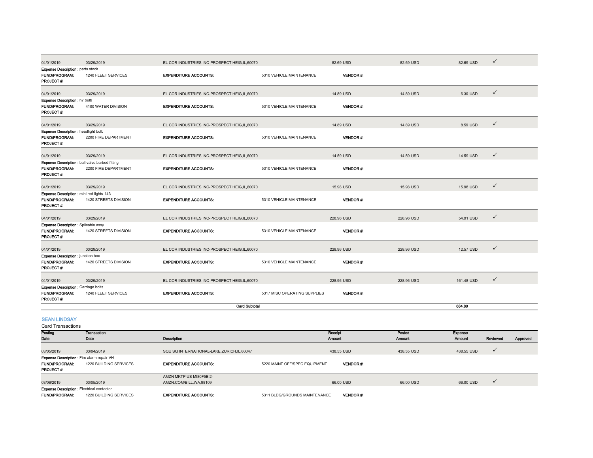| 04/01/2019                                                                              | 03/29/2019                                                                     | EL COR INDUSTRIES INC-PROSPECT HEIG, IL, 60070 |                              | 82.69 USD       | 82.69 USD  | 82.69 USD  | $\checkmark$ |
|-----------------------------------------------------------------------------------------|--------------------------------------------------------------------------------|------------------------------------------------|------------------------------|-----------------|------------|------------|--------------|
| <b>Expense Description: parts stock</b><br><b>FUND/PROGRAM:</b><br><b>PROJECT#:</b>     | 1240 FLEET SERVICES                                                            | <b>EXPENDITURE ACCOUNTS:</b>                   | 5310 VEHICLE MAINTENANCE     | <b>VENDOR#:</b> |            |            |              |
| 04/01/2019                                                                              | 03/29/2019                                                                     | EL COR INDUSTRIES INC-PROSPECT HEIG,IL,60070   |                              | 14.89 USD       | 14.89 USD  | 6.30 USD   | $\checkmark$ |
| Expense Description: h7 bulb<br><b>FUND/PROGRAM:</b><br>PROJECT #:                      | 4100 WATER DIVISION                                                            | <b>EXPENDITURE ACCOUNTS:</b>                   | 5310 VEHICLE MAINTENANCE     | <b>VENDOR#:</b> |            |            |              |
| 04/01/2019                                                                              | 03/29/2019                                                                     | EL COR INDUSTRIES INC-PROSPECT HEIG.IL.60070   |                              | 14.89 USD       | 14.89 USD  | 8.59 USD   | $\checkmark$ |
| <b>Expense Description: headlight bulb</b><br><b>FUND/PROGRAM:</b><br><b>PROJECT#:</b>  | 2200 FIRE DEPARTMENT                                                           | <b>EXPENDITURE ACCOUNTS:</b>                   | 5310 VEHICLE MAINTENANCE     | <b>VENDOR#:</b> |            |            |              |
| 04/01/2019                                                                              | 03/29/2019                                                                     | EL COR INDUSTRIES INC-PROSPECT HEIG, IL, 60070 |                              | 14.59 USD       | 14.59 USD  | 14.59 USD  | $\checkmark$ |
| <b>FUND/PROGRAM:</b><br><b>PROJECT#:</b>                                                | <b>Expense Description:</b> ball valve, barbed fitting<br>2200 FIRE DEPARTMENT | <b>EXPENDITURE ACCOUNTS:</b>                   | 5310 VEHICLE MAINTENANCE     | <b>VENDOR#:</b> |            |            |              |
| 04/01/2019                                                                              | 03/29/2019                                                                     | EL COR INDUSTRIES INC-PROSPECT HEIG, IL, 60070 |                              | 15.98 USD       | 15.98 USD  | 15.98 USD  | $\checkmark$ |
| Expense Description: mini red lights-143<br><b>FUND/PROGRAM:</b><br><b>PROJECT#:</b>    | 1420 STREETS DIVISION                                                          | <b>EXPENDITURE ACCOUNTS:</b>                   | 5310 VEHICLE MAINTENANCE     | <b>VENDOR#:</b> |            |            |              |
| 04/01/2019                                                                              | 03/29/2019                                                                     | EL COR INDUSTRIES INC-PROSPECT HEIG, IL, 60070 |                              | 228.96 USD      | 228.96 USD | 54.91 USD  | $\checkmark$ |
| <b>Expense Description:</b> Splicable assy.<br><b>FUND/PROGRAM:</b><br><b>PROJECT#:</b> | 1420 STREETS DIVISION                                                          | <b>EXPENDITURE ACCOUNTS:</b>                   | 5310 VEHICLE MAINTENANCE     | <b>VENDOR#:</b> |            |            |              |
| 04/01/2019                                                                              | 03/29/2019                                                                     | EL COR INDUSTRIES INC-PROSPECT HEIG,IL,60070   |                              | 228.96 USD      | 228.96 USD | 12.57 USD  | $\checkmark$ |
| <b>Expense Description:</b> junction box<br><b>FUND/PROGRAM:</b><br><b>PROJECT#:</b>    | 1420 STREETS DIVISION                                                          | <b>EXPENDITURE ACCOUNTS:</b>                   | 5310 VEHICLE MAINTENANCE     | <b>VENDOR#:</b> |            |            |              |
| 04/01/2019                                                                              | 03/29/2019                                                                     | EL COR INDUSTRIES INC-PROSPECT HEIG, IL, 60070 |                              | 228.96 USD      | 228.96 USD | 161.48 USD | $\checkmark$ |
| <b>Expense Description: Carriage bolts</b><br><b>FUND/PROGRAM:</b><br><b>PROJECT#:</b>  | 1240 FLEET SERVICES                                                            | <b>EXPENDITURE ACCOUNTS:</b>                   | 5317 MISC OPERATING SUPPLIES | <b>VENDOR#:</b> |            |            |              |
|                                                                                         |                                                                                | <b>Card Subtotal</b>                           |                              |                 |            | 684.89     |              |
| <b>COMPANY FOR DISCOVERING</b>                                                          |                                                                                |                                                |                              |                 |            |            |              |

SEAN LINDSAY

Posting Date Transaction Date **Description** Receipt Amount Posted Amount Expense Amount Reviewed Approved  $03/05/2019$   $03/04/2019$   $03/04/2019$   $03/04/2019$   $03/04/2019$   $03/04/2019$   $03/04/2019$   $03/04/2019$ FUND/PROGRAM: 1220 BUILDING SERVICESEXPENDITURE ACCOUNTS: **5220 MAINT OFF/SPEC EQUIPMENT VENDOR #:** PROJECT #: 03/06/2019 03/05/2019 AMZN MKTP US MI80F5BI2- AMZN.COM/BILL,WA,98109 66.00 USD 66.00 USD 66.00 USD FUND/PROGRAM: 1220 BUILDING SERVICESEXPENDITURE ACCOUNTS:  $5311$  BLDG/GROUNDS MAINTENANCE VENDOR #: Card Transactions Expense Description: Fire alarm repair VH Expense Description: Electrical contactor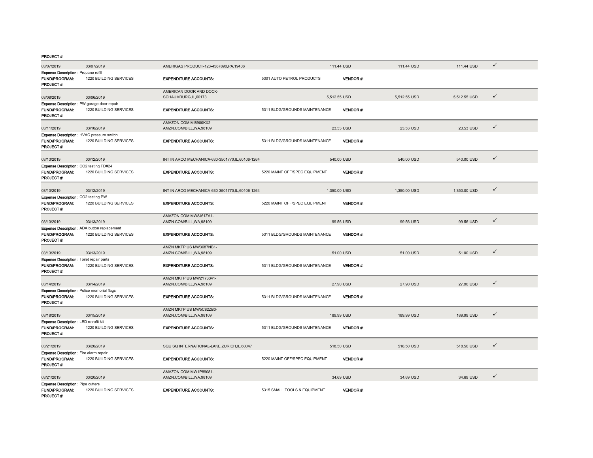| 03/07/2019                                                                           | 03/07/2019             | AMERIGAS PRODUCT-123-4567890, PA, 19406           |                               | 111.44 USD   |                 | 111.44 USD   | 111.44 USD   | $\checkmark$ |
|--------------------------------------------------------------------------------------|------------------------|---------------------------------------------------|-------------------------------|--------------|-----------------|--------------|--------------|--------------|
| <b>Expense Description: Propane refill</b>                                           |                        |                                                   |                               |              |                 |              |              |              |
| FUND/PROGRAM:<br><b>PROJECT#:</b>                                                    | 1220 BUILDING SERVICES | <b>EXPENDITURE ACCOUNTS:</b>                      | 5301 AUTO PETROL PRODUCTS     |              | <b>VENDOR#:</b> |              |              |              |
|                                                                                      |                        | AMERICAN DOOR AND DOCK-                           |                               |              |                 |              |              |              |
| 03/08/2019                                                                           | 03/06/2019             | SCHAUMBURG,IL,60173                               |                               | 5,512.55 USD |                 | 5,512.55 USD | 5,512.55 USD | $\checkmark$ |
| Expense Description: PW garage door repair<br>FUND/PROGRAM:<br><b>PROJECT#:</b>      | 1220 BUILDING SERVICES | <b>EXPENDITURE ACCOUNTS:</b>                      | 5311 BLDG/GROUNDS MAINTENANCE |              | <b>VENDOR#:</b> |              |              |              |
| 03/11/2019                                                                           | 03/10/2019             | AMAZON.COM MI8900KX2-<br>AMZN.COM/BILL, WA, 98109 |                               | 23.53 USD    |                 | 23.53 USD    | 23.53 USD    | $\checkmark$ |
| Expense Description: HVAC pressure switch<br><b>FUND/PROGRAM:</b><br>PROJECT#:       | 1220 BUILDING SERVICES | <b>EXPENDITURE ACCOUNTS:</b>                      | 5311 BLDG/GROUNDS MAINTENANCE |              | <b>VENDOR#:</b> |              |              |              |
| 03/13/2019                                                                           | 03/12/2019             | INT IN ARCO MECHANICA-630-3501770,IL,60106-1264   |                               | 540.00 USD   |                 | 540.00 USD   | 540.00 USD   | $\checkmark$ |
| Expense Description: CO2 testing FD#24<br><b>FUND/PROGRAM:</b><br>PROJECT#:          | 1220 BUILDING SERVICES | <b>EXPENDITURE ACCOUNTS:</b>                      | 5220 MAINT OFF/SPEC EQUIPMENT |              | <b>VENDOR#:</b> |              |              |              |
| 03/13/2019                                                                           | 03/12/2019             | INT IN ARCO MECHANICA-630-3501770.IL.60106-1264   |                               | 1.350.00 USD |                 | 1.350.00 USD | 1.350.00 USD | $\checkmark$ |
| Expense Description: CO2 testing PW                                                  |                        |                                                   |                               |              |                 |              |              |              |
| <b>FUND/PROGRAM:</b><br>PROJECT#:                                                    | 1220 BUILDING SERVICES | <b>EXPENDITURE ACCOUNTS:</b>                      | 5220 MAINT OFF/SPEC EQUIPMENT |              | <b>VENDOR#:</b> |              |              |              |
|                                                                                      |                        | AMAZON.COM MW8J61ZA1-                             |                               |              |                 |              |              | $\checkmark$ |
| 03/13/2019                                                                           | 03/13/2019             | AMZN.COM/BILL.WA.98109                            |                               | 99.56 USD    |                 | 99.56 USD    | 99.56 USD    |              |
| Expense Description: ADA button replacement<br>FUND/PROGRAM:<br>PROJECT#:            | 1220 BUILDING SERVICES | <b>EXPENDITURE ACCOUNTS:</b>                      | 5311 BLDG/GROUNDS MAINTENANCE |              | <b>VENDOR#:</b> |              |              |              |
|                                                                                      |                        | AMZN MKTP US MW3687NB1-                           |                               |              |                 |              |              |              |
| 03/13/2019                                                                           | 03/13/2019             | AMZN.COM/BILL, WA, 98109                          |                               | 51.00 USD    |                 | 51.00 USD    | 51.00 USD    | $\checkmark$ |
| <b>Expense Description:</b> Toilet repair parts<br><b>FUND/PROGRAM:</b><br>PROJECT#: | 1220 BUILDING SERVICES | <b>EXPENDITURE ACCOUNTS:</b>                      | 5311 BLDG/GROUNDS MAINTENANCE |              | <b>VENDOR#:</b> |              |              |              |
|                                                                                      |                        | AMZN MKTP US MW2Y73341-                           |                               |              |                 |              |              | $\checkmark$ |
| 03/14/2019                                                                           | 03/14/2019             | AMZN.COM/BILL, WA, 98109                          |                               | 27.90 USD    |                 | 27.90 USD    | 27.90 USD    |              |
| <b>Expense Description: Police memorial flags</b><br>FUND/PROGRAM:<br>PROJECT#:      | 1220 BUILDING SERVICES | <b>EXPENDITURE ACCOUNTS:</b>                      | 5311 BLDG/GROUNDS MAINTENANCE |              | <b>VENDOR#:</b> |              |              |              |
|                                                                                      |                        | AMZN MKTP US MW5C82ZB0-                           |                               |              |                 |              |              |              |
| 03/18/2019                                                                           | 03/15/2019             | AMZN.COM/BILL, WA, 98109                          |                               | 189.99 USD   |                 | 189.99 USD   | 189.99 USD   | $\checkmark$ |
| Expense Description: LED retrofit kit<br>FUND/PROGRAM:<br>PROJECT#:                  | 1220 BUILDING SERVICES | <b>EXPENDITURE ACCOUNTS:</b>                      | 5311 BLDG/GROUNDS MAINTENANCE |              | <b>VENDOR#:</b> |              |              |              |
| 03/21/2019                                                                           | 03/20/2019             | SQU SQ INTERNATIONAL-LAKE ZURICH, IL, 60047       |                               | 518.50 USD   |                 | 518.50 USD   | 518.50 USD   | $\checkmark$ |
| <b>Expense Description:</b> Fire alarm repair<br><b>FUND/PROGRAM:</b><br>PROJECT#:   | 1220 BUILDING SERVICES | <b>EXPENDITURE ACCOUNTS:</b>                      | 5220 MAINT OFF/SPEC EQUIPMENT |              | <b>VENDOR#:</b> |              |              |              |
| 03/21/2019                                                                           | 03/20/2019             | AMAZON.COM MW1P89081-<br>AMZN.COM/BILL, WA, 98109 |                               | 34.69 USD    |                 | 34.69 USD    | 34.69 USD    | $\checkmark$ |
| <b>Expense Description: Pipe cutters</b><br><b>FUND/PROGRAM:</b><br>PROJECT#:        | 1220 BUILDING SERVICES | <b>EXPENDITURE ACCOUNTS:</b>                      | 5315 SMALL TOOLS & EQUIPMENT  |              | VENDOR#:        |              |              |              |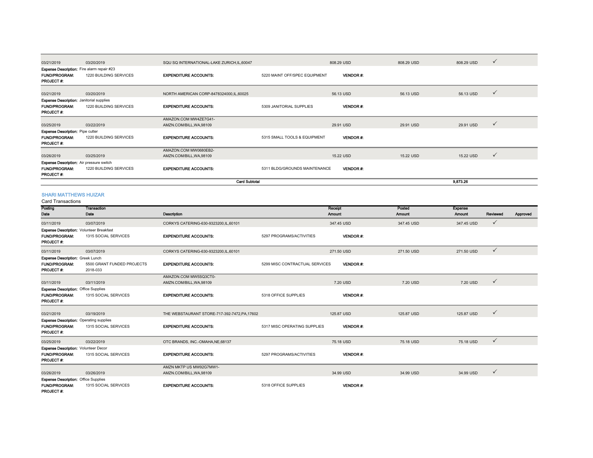| 03/21/2019                                        | 03/20/2019             | SQU SQ INTERNATIONAL-LAKE ZURICH, IL, 60047 |                               | 808.29 USD      | 808.29 USD | ✓<br>808.29 USD |
|---------------------------------------------------|------------------------|---------------------------------------------|-------------------------------|-----------------|------------|-----------------|
| <b>Expense Description:</b> Fire alarm repair #23 |                        |                                             |                               |                 |            |                 |
| <b>FUND/PROGRAM:</b><br><b>PROJECT#:</b>          | 1220 BUILDING SERVICES | <b>EXPENDITURE ACCOUNTS:</b>                | 5220 MAINT OFF/SPEC EQUIPMENT | <b>VENDOR#:</b> |            |                 |
| 03/21/2019                                        | 03/20/2019             | NORTH AMERICAN CORP-8478324000,IL,60025     |                               | 56.13 USD       | 56.13 USD  | ✓<br>56.13 USD  |
| <b>Expense Description:</b> Janitorial supplies   |                        |                                             |                               |                 |            |                 |
| <b>FUND/PROGRAM:</b><br><b>PROJECT#:</b>          | 1220 BUILDING SERVICES | <b>EXPENDITURE ACCOUNTS:</b>                | 5309 JANITORIAL SUPPLIES      | <b>VENDOR#:</b> |            |                 |
|                                                   |                        | AMAZON.COM MW4ZE7G41-                       |                               |                 |            |                 |
| 03/25/2019                                        | 03/22/2019             | AMZN.COM/BILL, WA, 98109                    |                               | 29.91 USD       | 29.91 USD  | ✓<br>29.91 USD  |
| <b>Expense Description:</b> Pipe cutter           |                        |                                             |                               |                 |            |                 |
| <b>FUND/PROGRAM:</b>                              | 1220 BUILDING SERVICES | <b>EXPENDITURE ACCOUNTS:</b>                | 5315 SMALL TOOLS & EQUIPMENT  | <b>VENDOR#:</b> |            |                 |
| <b>PROJECT#:</b>                                  |                        |                                             |                               |                 |            |                 |
|                                                   |                        | AMAZON.COM MW0680EB2-                       |                               |                 |            |                 |
| 03/26/2019                                        | 03/25/2019             | AMZN.COM/BILL, WA, 98109                    |                               | 15.22 USD       | 15.22 USD  | ✓<br>15.22 USD  |
| <b>Expense Description:</b> Air pressure switch   |                        |                                             |                               |                 |            |                 |
| <b>FUND/PROGRAM:</b><br><b>PROJECT#:</b>          | 1220 BUILDING SERVICES | <b>EXPENDITURE ACCOUNTS:</b>                | 5311 BLDG/GROUNDS MAINTENANCE | <b>VENDOR#:</b> |            |                 |
|                                                   |                        | <b>Card Subtotal</b>                        |                               |                 |            | 9.873.26        |

#### SHARI MATTHEWS HUIZAR

Card Transactions

| טווטוסטוסטורו טשט                               |                            |                                               |                                |                 |            |            |              |          |
|-------------------------------------------------|----------------------------|-----------------------------------------------|--------------------------------|-----------------|------------|------------|--------------|----------|
| Posting                                         | Transaction                |                                               |                                | Receipt         | Posted     | Expense    |              |          |
| Date                                            | Date                       | Description                                   |                                | Amount          | Amount     | Amount     | Reviewed     | Approved |
| 03/11/2019                                      | 03/07/2019                 | CORKYS CATERING-630-9323200.IL.60101          |                                | 347.45 USD      | 347.45 USD | 347.45 USD | $\checkmark$ |          |
| <b>Expense Description: Volunteer Breakfast</b> |                            |                                               |                                |                 |            |            |              |          |
| <b>FUND/PROGRAM:</b>                            | 1315 SOCIAL SERVICES       | <b>EXPENDITURE ACCOUNTS:</b>                  | 5297 PROGRAMS/ACTIVITIES       | <b>VENDOR#:</b> |            |            |              |          |
| <b>PROJECT#:</b>                                |                            |                                               |                                |                 |            |            |              |          |
| 03/11/2019                                      | 03/07/2019                 | CORKYS CATERING-630-9323200,IL,60101          |                                | 271.50 USD      | 271.50 USD | 271.50 USD | $\checkmark$ |          |
| <b>Expense Description: Greek Lunch</b>         |                            |                                               |                                |                 |            |            |              |          |
| <b>FUND/PROGRAM:</b>                            | 5500 GRANT FUNDED PROJECTS | <b>EXPENDITURE ACCOUNTS:</b>                  | 5299 MISC CONTRACTUAL SERVICES | <b>VENDOR#:</b> |            |            |              |          |
| <b>PROJECT#:</b>                                | 2018-033                   |                                               |                                |                 |            |            |              |          |
|                                                 |                            | AMAZON.COM MW5SQ3CT0-                         |                                |                 |            |            |              |          |
| 03/11/2019                                      | 03/11/2019                 | AMZN.COM/BILL.WA.98109                        |                                | 7.20 USD        | 7.20 USD   | 7.20 USD   | $\checkmark$ |          |
| <b>Expense Description: Office Supplies</b>     |                            |                                               |                                |                 |            |            |              |          |
| <b>FUND/PROGRAM:</b>                            | 1315 SOCIAL SERVICES       | <b>EXPENDITURE ACCOUNTS:</b>                  | 5318 OFFICE SUPPLIES           | <b>VENDOR#:</b> |            |            |              |          |
| <b>PROJECT#:</b>                                |                            |                                               |                                |                 |            |            |              |          |
|                                                 |                            |                                               |                                |                 |            |            | $\checkmark$ |          |
| 03/21/2019                                      | 03/19/2019                 | THE WEBSTAURANT STORE-717-392-7472, PA, 17602 |                                | 125.87 USD      | 125.87 USD | 125.87 USD |              |          |
| <b>Expense Description: Operating supplies</b>  |                            |                                               |                                |                 |            |            |              |          |
| <b>FUND/PROGRAM:</b>                            | 1315 SOCIAL SERVICES       | <b>EXPENDITURE ACCOUNTS:</b>                  | 5317 MISC OPERATING SUPPLIES   | <b>VENDOR#:</b> |            |            |              |          |
| PROJECT#:                                       |                            |                                               |                                |                 |            |            |              |          |
| 03/25/2019                                      | 03/22/2019                 | OTC BRANDS, INC.-OMAHA, NE, 68137             |                                | 75.18 USD       | 75.18 USD  | 75.18 USD  | $\checkmark$ |          |
| Expense Description: Volunteer Decor            |                            |                                               |                                |                 |            |            |              |          |
| <b>FUND/PROGRAM:</b>                            | 1315 SOCIAL SERVICES       | <b>EXPENDITURE ACCOUNTS:</b>                  | 5297 PROGRAMS/ACTIVITIES       | <b>VENDOR#:</b> |            |            |              |          |
| <b>PROJECT#:</b>                                |                            |                                               |                                |                 |            |            |              |          |
|                                                 |                            | AMZN MKTP US MW92G7MW1-                       |                                |                 |            |            |              |          |
| 03/26/2019                                      | 03/26/2019                 | AMZN.COM/BILL, WA, 98109                      |                                | 34.99 USD       | 34.99 USD  | 34.99 USD  | $\checkmark$ |          |
| <b>Expense Description: Office Supplies</b>     |                            |                                               |                                |                 |            |            |              |          |
| <b>FUND/PROGRAM:</b>                            | 1315 SOCIAL SERVICES       | <b>EXPENDITURE ACCOUNTS:</b>                  | 5318 OFFICE SUPPLIES           | <b>VENDOR#:</b> |            |            |              |          |
| <b>PROJECT#:</b>                                |                            |                                               |                                |                 |            |            |              |          |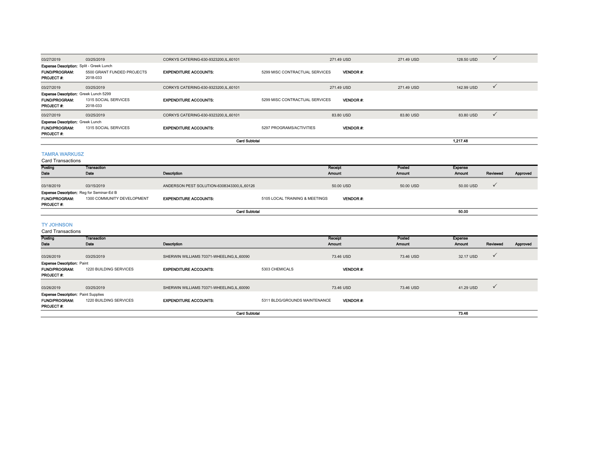| 03/27/2019                                                                        | 03/25/2019                             | CORKYS CATERING-630-9323200,IL,60101 |                                | 271.49 USD      | 271.49 USD | 128.50 USD | $\checkmark$ |
|-----------------------------------------------------------------------------------|----------------------------------------|--------------------------------------|--------------------------------|-----------------|------------|------------|--------------|
| <b>Expense Description: Split - Greek Lunch</b>                                   |                                        |                                      |                                |                 |            |            |              |
| <b>FUND/PROGRAM:</b><br><b>PROJECT#:</b>                                          | 5500 GRANT FUNDED PROJECTS<br>2018-033 | <b>EXPENDITURE ACCOUNTS:</b>         | 5299 MISC CONTRACTUAL SERVICES | <b>VENDOR#:</b> |            |            |              |
| 03/27/2019                                                                        | 03/25/2019                             | CORKYS CATERING-630-9323200,IL,60101 |                                | 271.49 USD      | 271.49 USD | 142.99 USD | $\checkmark$ |
| Expense Description: Greek Lunch 5299<br><b>FUND/PROGRAM:</b><br><b>PROJECT#:</b> | 1315 SOCIAL SERVICES<br>2018-033       | <b>EXPENDITURE ACCOUNTS:</b>         | 5299 MISC CONTRACTUAL SERVICES | <b>VENDOR#</b>  |            |            |              |
| 03/27/2019                                                                        | 03/25/2019                             | CORKYS CATERING-630-9323200,IL,60101 |                                | 83.80 USD       | 83.80 USD  | 83.80 USD  | $\checkmark$ |
| <b>Expense Description: Greek Lunch</b>                                           |                                        |                                      |                                |                 |            |            |              |
| <b>FUND/PROGRAM:</b><br><b>PROJECT#:</b>                                          | 1315 SOCIAL SERVICES                   | <b>EXPENDITURE ACCOUNTS:</b>         | 5297 PROGRAMS/ACTIVITIES       | <b>VENDOR#:</b> |            |            |              |
|                                                                                   |                                        | <b>Card Subtotal</b>                 |                                |                 |            | 1,217.48   |              |
| <b>TAMRA WARKLISZ</b>                                                             |                                        |                                      |                                |                 |            |            |              |

## TAMRA WARKUSZ Card Transactions

| Card Transactions<br>Posting             | Transaction                                                                    |                                            |                                | Receipt         | Posted    | Expense   |          |          |
|------------------------------------------|--------------------------------------------------------------------------------|--------------------------------------------|--------------------------------|-----------------|-----------|-----------|----------|----------|
| Date                                     | Date                                                                           | Description                                |                                | Amount          | Amount    | Amount    | Reviewed | Approved |
| 03/18/2019                               | 03/15/2019                                                                     | ANDERSON PEST SOLUTION-6308343300,IL,60126 |                                | 50.00 USD       | 50.00 USD | 50.00 USD |          |          |
| <b>FUND/PROGRAM:</b><br><b>PROJECT#:</b> | <b>Expense Description:</b> Reg for Seminar-Ed B<br>1300 COMMUNITY DEVELOPMENT | <b>EXPENDITURE ACCOUNTS:</b>               | 5105 LOCAL TRAINING & MEETINGS | <b>VENDOR#:</b> |           |           |          |          |
|                                          |                                                                                |                                            | <b>Card Subtotal</b>           |                 |           | 50.00     |          |          |
| <b>TY JOHNSON</b>                        |                                                                                |                                            |                                |                 |           |           |          |          |

#### Card Transactions

| Posting                                    | Transaction            |                                          |                               | Receipt         | Posted    | <b>Expense</b> |              |          |
|--------------------------------------------|------------------------|------------------------------------------|-------------------------------|-----------------|-----------|----------------|--------------|----------|
| Date                                       | Date                   | <b>Description</b>                       |                               | Amount          | Amount    | <b>Amount</b>  | Reviewed     | Approved |
|                                            |                        |                                          |                               |                 |           |                |              |          |
| 03/26/2019                                 | 03/25/2019             | SHERWIN WILLIAMS 70371-WHEELING,IL,60090 |                               | 73.46 USD       | 73.46 USD | 32.17 USD      |              |          |
| <b>Expense Description: Paint</b>          |                        |                                          |                               |                 |           |                |              |          |
| <b>FUND/PROGRAM:</b>                       | 1220 BUILDING SERVICES | <b>EXPENDITURE ACCOUNTS:</b>             | 5303 CHEMICALS                | <b>VENDOR#:</b> |           |                |              |          |
| <b>PROJECT#:</b>                           |                        |                                          |                               |                 |           |                |              |          |
|                                            |                        |                                          |                               |                 |           |                |              |          |
| 03/26/2019                                 | 03/25/2019             | SHERWIN WILLIAMS 70371-WHEELING,IL,60090 |                               | 73.46 USD       | 73.46 USD | 41.29 USD      | $\checkmark$ |          |
| <b>Expense Description: Paint Supplies</b> |                        |                                          |                               |                 |           |                |              |          |
| <b>FUND/PROGRAM:</b>                       | 1220 BUILDING SERVICES | <b>EXPENDITURE ACCOUNTS:</b>             | 5311 BLDG/GROUNDS MAINTENANCE | <b>VENDOR#:</b> |           |                |              |          |
| <b>PROJECT#:</b>                           |                        |                                          |                               |                 |           |                |              |          |
|                                            |                        | 73.46                                    |                               |                 |           |                |              |          |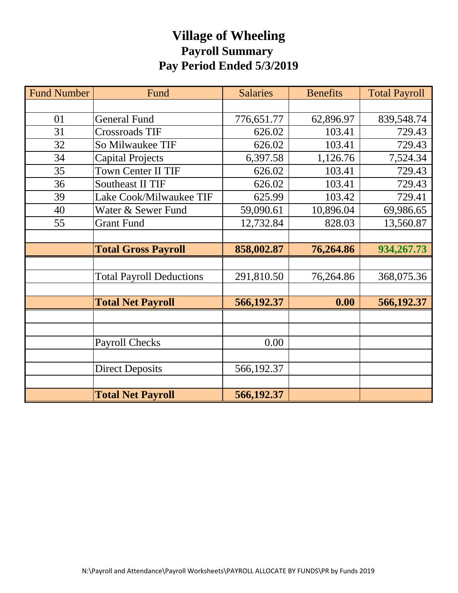# **Village of Wheeling Payroll Summary Pay Period Ended 5/3/2019**

| <b>Fund Number</b> | Fund                            | <b>Salaries</b> | <b>Benefits</b> | <b>Total Payroll</b> |
|--------------------|---------------------------------|-----------------|-----------------|----------------------|
|                    |                                 |                 |                 |                      |
| 01                 | <b>General Fund</b>             | 776,651.77      | 62,896.97       | 839,548.74           |
| 31                 | Crossroads TIF                  | 626.02          | 103.41          | 729.43               |
| 32                 | So Milwaukee TIF                | 626.02          | 103.41          | 729.43               |
| 34                 | <b>Capital Projects</b>         | 6,397.58        | 1,126.76        | 7,524.34             |
| 35                 | <b>Town Center II TIF</b>       | 626.02          | 103.41          | 729.43               |
| 36                 | <b>Southeast II TIF</b>         | 626.02          | 103.41          | 729.43               |
| 39                 | Lake Cook/Milwaukee TIF         | 625.99          | 103.42          | 729.41               |
| 40                 | Water & Sewer Fund              | 59,090.61       | 10,896.04       | 69,986.65            |
| 55                 | <b>Grant Fund</b>               | 12,732.84       | 828.03          | 13,560.87            |
|                    |                                 |                 |                 |                      |
|                    | <b>Total Gross Payroll</b>      | 858,002.87      | 76,264.86       | 934,267.73           |
|                    |                                 |                 |                 |                      |
|                    | <b>Total Payroll Deductions</b> | 291,810.50      | 76,264.86       | 368,075.36           |
|                    |                                 |                 |                 |                      |
|                    | <b>Total Net Payroll</b>        | 566,192.37      | 0.00            | 566,192.37           |
|                    |                                 |                 |                 |                      |
|                    |                                 |                 |                 |                      |
|                    | <b>Payroll Checks</b>           | 0.00            |                 |                      |
|                    |                                 |                 |                 |                      |
|                    | <b>Direct Deposits</b>          | 566,192.37      |                 |                      |
|                    |                                 |                 |                 |                      |
|                    | <b>Total Net Payroll</b>        | 566,192.37      |                 |                      |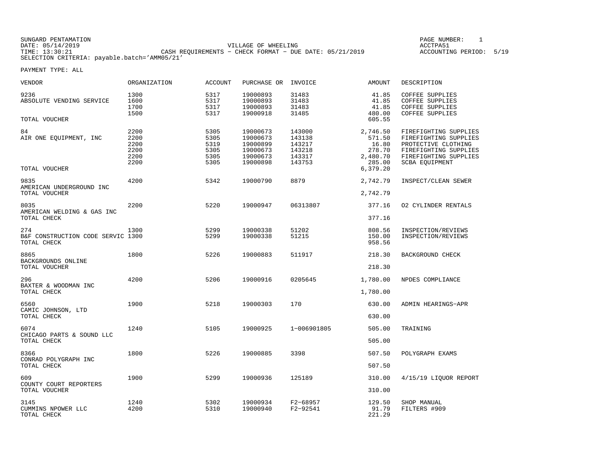| SUNGARD PENTAMATION |                                                         | PAGE NUMBER:            |  |
|---------------------|---------------------------------------------------------|-------------------------|--|
| DATE: 05/14/2019    | VILLAGE OF WHEELING                                     | ACCTPA51                |  |
| TIME: 13:30:21      | CASH REOUIREMENTS - CHECK FORMAT - DUE DATE: 05/21/2019 | ACCOUNTING PERIOD: 5/19 |  |
|                     | SELECTION CRITERIA: payable.batch='AMM05/21'            |                         |  |

PAGE NUMBER: 1

| VENDOR                                                  | ORGANIZATION                                 | <b>ACCOUNT</b>                               | PURCHASE OR                                                          | INVOICE                                                  | <b>AMOUNT</b>                                               | DESCRIPTION                                                                                                                               |
|---------------------------------------------------------|----------------------------------------------|----------------------------------------------|----------------------------------------------------------------------|----------------------------------------------------------|-------------------------------------------------------------|-------------------------------------------------------------------------------------------------------------------------------------------|
| 9236<br>ABSOLUTE VENDING SERVICE                        | 1300<br>1600<br>1700<br>1500                 | 5317<br>5317<br>5317<br>5317                 | 19000893<br>19000893<br>19000893<br>19000918                         | 31483<br>31483<br>31483<br>31485                         | 41.85<br>41.85<br>41.85<br>480.00                           | COFFEE SUPPLIES<br><b>COFFEE SUPPLIES</b><br>COFFEE SUPPLIES<br><b>COFFEE SUPPLIES</b>                                                    |
| TOTAL VOUCHER                                           |                                              |                                              |                                                                      |                                                          | 605.55                                                      |                                                                                                                                           |
| 84<br>AIR ONE EQUIPMENT, INC                            | 2200<br>2200<br>2200<br>2200<br>2200<br>2200 | 5305<br>5305<br>5319<br>5305<br>5305<br>5305 | 19000673<br>19000673<br>19000899<br>19000673<br>19000673<br>19000898 | 143000<br>143138<br>143217<br>143218<br>143317<br>143753 | 2,746.50<br>571.50<br>16.80<br>278.70<br>2,480.70<br>285.00 | FIREFIGHTING SUPPLIES<br>FIREFIGHTING SUPPLIES<br>PROTECTIVE CLOTHING<br>FIREFIGHTING SUPPLIES<br>FIREFIGHTING SUPPLIES<br>SCBA EQUIPMENT |
| TOTAL VOUCHER                                           |                                              |                                              |                                                                      |                                                          | 6,379.20                                                    |                                                                                                                                           |
| 9835<br>AMERICAN UNDERGROUND INC                        | 4200                                         | 5342                                         | 19000790                                                             | 8879                                                     | 2,742.79                                                    | INSPECT/CLEAN SEWER                                                                                                                       |
| TOTAL VOUCHER                                           |                                              |                                              |                                                                      |                                                          | 2,742.79                                                    |                                                                                                                                           |
| 8035<br>AMERICAN WELDING & GAS INC<br>TOTAL CHECK       | 2200                                         | 5220                                         | 19000947                                                             | 06313807                                                 | 377.16<br>377.16                                            | 02 CYLINDER RENTALS                                                                                                                       |
|                                                         |                                              |                                              |                                                                      |                                                          |                                                             |                                                                                                                                           |
| 274<br>B&F CONSTRUCTION CODE SERVIC 1300<br>TOTAL CHECK | 1300                                         | 5299<br>5299                                 | 19000338<br>19000338                                                 | 51202<br>51215                                           | 808.56<br>150.00<br>958.56                                  | INSPECTION/REVIEWS<br>INSPECTION/REVIEWS                                                                                                  |
| 8865<br>BACKGROUNDS ONLINE<br>TOTAL VOUCHER             | 1800                                         | 5226                                         | 19000883                                                             | 511917                                                   | 218.30<br>218.30                                            | BACKGROUND CHECK                                                                                                                          |
| 296                                                     | 4200                                         | 5206                                         | 19000916                                                             | 0205645                                                  | 1,780.00                                                    | NPDES COMPLIANCE                                                                                                                          |
| BAXTER & WOODMAN INC<br>TOTAL CHECK                     |                                              |                                              |                                                                      |                                                          | 1,780.00                                                    |                                                                                                                                           |
| 6560                                                    | 1900                                         | 5218                                         | 19000303                                                             | 170                                                      | 630.00                                                      | ADMIN HEARINGS-APR                                                                                                                        |
| CAMIC JOHNSON, LTD<br>TOTAL CHECK                       |                                              |                                              |                                                                      |                                                          | 630.00                                                      |                                                                                                                                           |
| 6074                                                    | 1240                                         | 5105                                         | 19000925                                                             | 1-006901805                                              | 505.00                                                      | TRAINING                                                                                                                                  |
| CHICAGO PARTS & SOUND LLC<br>TOTAL CHECK                |                                              |                                              |                                                                      |                                                          | 505.00                                                      |                                                                                                                                           |
| 8366<br>CONRAD POLYGRAPH INC                            | 1800                                         | 5226                                         | 19000885                                                             | 3398                                                     | 507.50                                                      | POLYGRAPH EXAMS                                                                                                                           |
| TOTAL CHECK                                             |                                              |                                              |                                                                      |                                                          | 507.50                                                      |                                                                                                                                           |
| 609<br>COUNTY COURT REPORTERS<br>TOTAL VOUCHER          | 1900                                         | 5299                                         | 19000936                                                             | 125189                                                   | 310.00<br>310.00                                            | 4/15/19 LIQUOR REPORT                                                                                                                     |
| 3145<br>CUMMINS NPOWER LLC<br>TOTAL CHECK               | 1240<br>4200                                 | 5302<br>5310                                 | 19000934<br>19000940                                                 | F2-68957<br>F2-92541                                     | 129.50<br>91.79<br>221.29                                   | SHOP MANUAL<br>FILTERS #909                                                                                                               |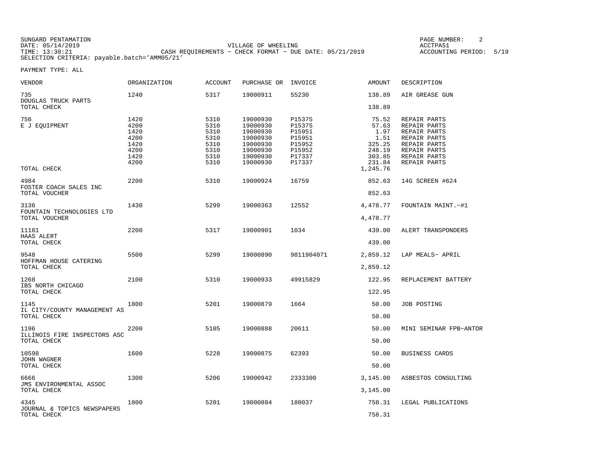| SUNGARD PENTAMATION                          |                                                         | PAGE NUMBER                |  |
|----------------------------------------------|---------------------------------------------------------|----------------------------|--|
| DATE: 05/14/2019                             | VILLAGE OF WHEELING                                     | ACCTPA5                    |  |
| TIME: 13:30:21                               | CASH REOUIREMENTS - CHECK FORMAT - DUE DATE: 05/21/2019 | 5/19<br>ACCOUNTING PERIOD: |  |
| SELECTION CRITERIA: payable.batch='AMM05/21' |                                                         |                            |  |

E NUMBER: 2

| VENDOR                                      | ORGANIZATION                                                 | ACCOUNT                                                      | PURCHASE OR                                                                                  | INVOICE                                                                      | AMOUNT                                                                             | DESCRIPTION                                                                                                                  |
|---------------------------------------------|--------------------------------------------------------------|--------------------------------------------------------------|----------------------------------------------------------------------------------------------|------------------------------------------------------------------------------|------------------------------------------------------------------------------------|------------------------------------------------------------------------------------------------------------------------------|
| 735<br>DOUGLAS TRUCK PARTS                  | 1240                                                         | 5317                                                         | 19000911                                                                                     | 55230                                                                        | 138.89                                                                             | AIR GREASE GUN                                                                                                               |
| TOTAL CHECK                                 |                                                              |                                                              |                                                                                              |                                                                              | 138.89                                                                             |                                                                                                                              |
| 756<br>E J EOUIPMENT<br>TOTAL CHECK         | 1420<br>4200<br>1420<br>4200<br>1420<br>4200<br>1420<br>4200 | 5310<br>5310<br>5310<br>5310<br>5310<br>5310<br>5310<br>5310 | 19000930<br>19000930<br>19000930<br>19000930<br>19000930<br>19000930<br>19000930<br>19000930 | P15375<br>P15375<br>P15951<br>P15951<br>P15952<br>P15952<br>P17337<br>P17337 | 75.52<br>57.63<br>1.97<br>1.51<br>325.25<br>248.19<br>303.85<br>231.84<br>1,245.76 | REPAIR PARTS<br>REPAIR PARTS<br>REPAIR PARTS<br>REPAIR PARTS<br>REPAIR PARTS<br>REPAIR PARTS<br>REPAIR PARTS<br>REPAIR PARTS |
| 4984                                        | 2200                                                         | 5310                                                         | 19000924                                                                                     | 16759                                                                        | 852.63                                                                             | 14G SCREEN #624                                                                                                              |
| FOSTER COACH SALES INC<br>TOTAL VOUCHER     |                                                              |                                                              |                                                                                              |                                                                              | 852.63                                                                             |                                                                                                                              |
| 3136                                        | 1430                                                         | 5299                                                         | 19000363                                                                                     | 12552                                                                        | 4,478.77                                                                           | FOUNTAIN MAINT.-#1                                                                                                           |
| FOUNTAIN TECHNOLOGIES LTD<br>TOTAL VOUCHER  |                                                              |                                                              |                                                                                              |                                                                              | 4,478.77                                                                           |                                                                                                                              |
| 11181                                       | 2200                                                         | 5317                                                         | 19000901                                                                                     | 1034                                                                         | 439.00                                                                             | ALERT TRANSPONDERS                                                                                                           |
| HAAS ALERT<br>TOTAL CHECK                   |                                                              |                                                              |                                                                                              |                                                                              | 439.00                                                                             |                                                                                                                              |
| 9548                                        | 5500                                                         | 5299                                                         | 19000890                                                                                     | 9811904071                                                                   | 2,859.12                                                                           | LAP MEALS- APRIL                                                                                                             |
| HOFFMAN HOUSE CATERING<br>TOTAL CHECK       |                                                              |                                                              |                                                                                              |                                                                              | 2,859.12                                                                           |                                                                                                                              |
| 1268                                        | 2100                                                         | 5310                                                         | 19000933                                                                                     | 49915829                                                                     | 122.95                                                                             | REPLACEMENT BATTERY                                                                                                          |
| IBS NORTH CHICAGO<br>TOTAL CHECK            |                                                              |                                                              |                                                                                              |                                                                              | 122.95                                                                             |                                                                                                                              |
| 1145                                        | 1800                                                         | 5201                                                         | 19000879                                                                                     | 1664                                                                         | 50.00                                                                              | <b>JOB POSTING</b>                                                                                                           |
| IL CITY/COUNTY MANAGEMENT AS<br>TOTAL CHECK |                                                              |                                                              |                                                                                              |                                                                              | 50.00                                                                              |                                                                                                                              |
| 1196                                        | 2200                                                         | 5105                                                         | 19000888                                                                                     | 20611                                                                        | 50.00                                                                              | MINI SEMINAR FPB-ANTOR                                                                                                       |
| ILLINOIS FIRE INSPECTORS ASC<br>TOTAL CHECK |                                                              |                                                              |                                                                                              |                                                                              | 50.00                                                                              |                                                                                                                              |
| 10598                                       | 1600                                                         | 5228                                                         | 19000875                                                                                     | 62393                                                                        | 50.00                                                                              | BUSINESS CARDS                                                                                                               |
| <b>JOHN WAGNER</b><br>TOTAL CHECK           |                                                              |                                                              |                                                                                              |                                                                              | 50.00                                                                              |                                                                                                                              |
| 6666                                        | 1300                                                         | 5206                                                         | 19000942                                                                                     | 2333300                                                                      | 3,145.00                                                                           | ASBESTOS CONSULTING                                                                                                          |
| JMS ENVIRONMENTAL ASSOC<br>TOTAL CHECK      |                                                              |                                                              |                                                                                              |                                                                              | 3,145.00                                                                           |                                                                                                                              |
| 4345                                        | 1800                                                         | 5201                                                         | 19000884                                                                                     | 180037                                                                       | 758.31                                                                             | LEGAL PUBLICATIONS                                                                                                           |
| JOURNAL & TOPICS NEWSPAPERS<br>TOTAL CHECK  |                                                              |                                                              |                                                                                              |                                                                              | 758.31                                                                             |                                                                                                                              |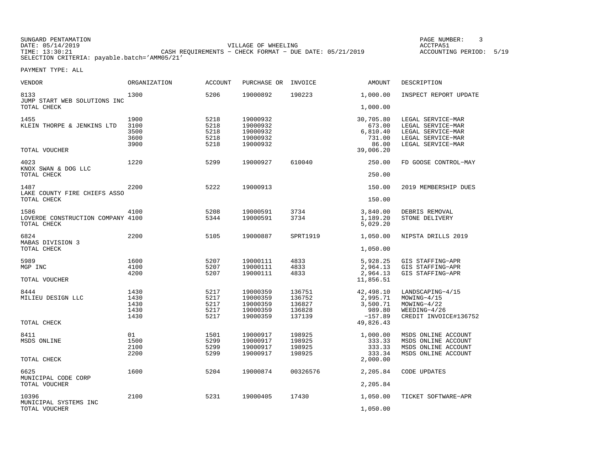SUNGARD PENTAMATION PAGE NUMBER: 3DATE: 05/14/2019 VILLAGE OF WHEELING ACCTPA51CASH REQUIREMENTS - CHECK FORMAT - DUE DATE: 05/21/2019 SELECTION CRITERIA: payable.batch='AMM05/21'

ACCOUNTING PERIOD: 5/19

| <b>VENDOR</b>                               | <b>ORGANIZATION</b> | <b>ACCOUNT</b> | PURCHASE OR | INVOICE  | <b>AMOUNT</b>          | DESCRIPTION           |
|---------------------------------------------|---------------------|----------------|-------------|----------|------------------------|-----------------------|
| 8133<br>JUMP START WEB SOLUTIONS INC        | 1300                | 5206           | 19000892    | 190223   | 1,000.00               | INSPECT REPORT UPDATE |
| TOTAL CHECK                                 |                     |                |             |          | 1,000.00               |                       |
| 1455                                        | 1900                | 5218           | 19000932    |          | 30,705.80              | LEGAL SERVICE-MAR     |
| KLEIN THORPE & JENKINS LTD                  | 3100                | 5218           | 19000932    |          | 673.00                 | LEGAL SERVICE-MAR     |
|                                             | 3500                | 5218           | 19000932    |          | 6,810.40               | LEGAL SERVICE-MAR     |
|                                             | 3600                | 5218           | 19000932    |          | 731.00                 | LEGAL SERVICE-MAR     |
| TOTAL VOUCHER                               | 3900                | 5218           | 19000932    |          | 86.00<br>39,006.20     | LEGAL SERVICE-MAR     |
| 4023                                        | 1220                | 5299           | 19000927    | 610040   | 250.00                 | FD GOOSE CONTROL-MAY  |
| KNOX SWAN & DOG LLC<br>TOTAL CHECK          |                     |                |             |          | 250.00                 |                       |
| 1487                                        | 2200                | 5222           | 19000913    |          | 150.00                 | 2019 MEMBERSHIP DUES  |
| LAKE COUNTY FIRE CHIEFS ASSO<br>TOTAL CHECK |                     |                |             |          | 150.00                 |                       |
|                                             |                     |                |             |          |                        |                       |
| 1586                                        | 4100                | 5208           | 19000591    | 3734     | 3,840.00               | DEBRIS REMOVAL        |
| LOVERDE CONSTRUCTION COMPANY 4100           |                     | 5344           | 19000591    | 3734     | 1,189.20               | STONE DELIVERY        |
| TOTAL CHECK                                 |                     |                |             |          | 5,029.20               |                       |
| 6824                                        | 2200                | 5105           | 19000887    | SPRT1919 | 1,050.00               | NIPSTA DRILLS 2019    |
| MABAS DIVISION 3<br>TOTAL CHECK             |                     |                |             |          | 1,050.00               |                       |
| 5989                                        | 1600                | 5207           | 19000111    | 4833     | 5,928.25               | GIS STAFFING-APR      |
| MGP INC                                     | 4100                | 5207           | 19000111    | 4833     | 2,964.13               | GIS STAFFING-APR      |
|                                             | 4200                | 5207           | 19000111    | 4833     | 2,964.13               | GIS STAFFING-APR      |
| TOTAL VOUCHER                               |                     |                |             |          | 11,856.51              |                       |
| 8444                                        | 1430                | 5217           | 19000359    | 136751   | 42,498.10              | LANDSCAPING-4/15      |
| MILIEU DESIGN LLC                           | 1430                | 5217           | 19000359    | 136752   | 2,995.71               | MOWING-4/15           |
|                                             | 1430                | 5217           | 19000359    | 136827   | 3,500.71               | $MOWING-4/22$         |
|                                             | 1430                | 5217           | 19000359    | 136828   | 989.80                 | $WEEDING-4/26$        |
| TOTAL CHECK                                 | 1430                | 5217           | 19000359    | 137139   | $-157.89$<br>49,826.43 | CREDIT INVOICE#136752 |
|                                             |                     |                |             |          |                        |                       |
| 8411                                        | 01                  | 1501           | 19000917    | 198925   | 1,000.00               | MSDS ONLINE ACCOUNT   |
| MSDS ONLINE                                 | 1500                | 5299           | 19000917    | 198925   | 333.33                 | MSDS ONLINE ACCOUNT   |
|                                             | 2100                | 5299           | 19000917    | 198925   | 333.33                 | MSDS ONLINE ACCOUNT   |
| TOTAL CHECK                                 | 2200                | 5299           | 19000917    | 198925   | 333.34<br>2,000.00     | MSDS ONLINE ACCOUNT   |
| 6625                                        | 1600                | 5204           | 19000874    | 00326576 | 2,205.84               | CODE UPDATES          |
| MUNICIPAL CODE CORP                         |                     |                |             |          |                        |                       |
| TOTAL VOUCHER                               |                     |                |             |          | 2,205.84               |                       |
| 10396                                       | 2100                | 5231           | 19000405    | 17430    | 1,050.00               | TICKET SOFTWARE-APR   |
| MUNICIPAL SYSTEMS INC<br>TOTAL VOUCHER      |                     |                |             |          | 1,050.00               |                       |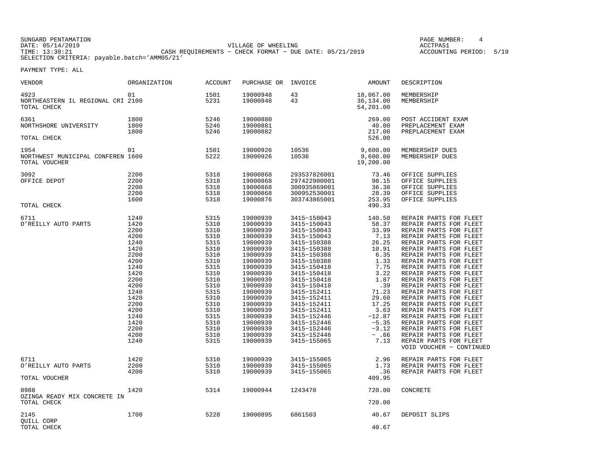SUNGARD PENTAMATION PAGE NUMBER: 4DATE: 05/14/2019 VILLAGE OF WHEELING ACCTPA51TIME: 13:30:21 CASH REQUIREMENTS − CHECK FORMAT − DUE DATE: 05/21/2019 ACCOUNTING PERIOD: 5/19SELECTION CRITERIA: payable.batch='AMM05/21'

ACCOUNTING PERIOD: 5/19

| VENDOR                                                     | ORGANIZATION                                                                                                                                                         | <b>ACCOUNT</b>                                                                                                                                                       | PURCHASE OR                                                                                                                                                                                                                                              | INVOICE                                                                                                                                                                                                                                                                                                                 | AMOUNT                                                                                                                                                                                    | DESCRIPTION                                                                                                                                                                                                                                                                                                                                                                                                                                                                                                                                                    |
|------------------------------------------------------------|----------------------------------------------------------------------------------------------------------------------------------------------------------------------|----------------------------------------------------------------------------------------------------------------------------------------------------------------------|----------------------------------------------------------------------------------------------------------------------------------------------------------------------------------------------------------------------------------------------------------|-------------------------------------------------------------------------------------------------------------------------------------------------------------------------------------------------------------------------------------------------------------------------------------------------------------------------|-------------------------------------------------------------------------------------------------------------------------------------------------------------------------------------------|----------------------------------------------------------------------------------------------------------------------------------------------------------------------------------------------------------------------------------------------------------------------------------------------------------------------------------------------------------------------------------------------------------------------------------------------------------------------------------------------------------------------------------------------------------------|
| 4923<br>NORTHEASTERN IL REGIONAL CRI 2100<br>TOTAL CHECK   | 01                                                                                                                                                                   | 1501<br>5231                                                                                                                                                         | 19000948<br>19000948                                                                                                                                                                                                                                     | 43<br>43                                                                                                                                                                                                                                                                                                                | 18,067.00<br>36,134.00<br>54,201.00                                                                                                                                                       | MEMBERSHIP<br>MEMBERSHIP                                                                                                                                                                                                                                                                                                                                                                                                                                                                                                                                       |
| 6361<br>NORTHSHORE UNIVERSITY<br>TOTAL CHECK               | 1800<br>1800<br>1800                                                                                                                                                 | 5246<br>5246<br>5246                                                                                                                                                 | 19000880<br>19000881<br>19000882                                                                                                                                                                                                                         |                                                                                                                                                                                                                                                                                                                         | 269.00<br>40.00<br>217.00<br>526.00                                                                                                                                                       | POST ACCIDENT EXAM<br>PREPLACEMENT EXAM<br>PREPLACEMENT EXAM                                                                                                                                                                                                                                                                                                                                                                                                                                                                                                   |
|                                                            |                                                                                                                                                                      |                                                                                                                                                                      |                                                                                                                                                                                                                                                          |                                                                                                                                                                                                                                                                                                                         |                                                                                                                                                                                           |                                                                                                                                                                                                                                                                                                                                                                                                                                                                                                                                                                |
| 1954<br>NORTHWEST MUNICIPAL CONFEREN 1600<br>TOTAL VOUCHER | 01                                                                                                                                                                   | 1501<br>5222                                                                                                                                                         | 19000926<br>19000926                                                                                                                                                                                                                                     | 10536<br>10536                                                                                                                                                                                                                                                                                                          | 9,600.00<br>9,600.00<br>19,200.00                                                                                                                                                         | MEMBERSHIP DUES<br>MEMBERSHIP DUES                                                                                                                                                                                                                                                                                                                                                                                                                                                                                                                             |
| 3092<br>OFFICE DEPOT                                       | 2200<br>2200<br>2200<br>2200<br>1600                                                                                                                                 | 5318<br>5318<br>5318<br>5318<br>5318                                                                                                                                 | 19000868<br>19000868<br>19000868<br>19000868<br>19000876                                                                                                                                                                                                 | 293537826001<br>297422900001<br>300935869001<br>300952530001<br>303743865001                                                                                                                                                                                                                                            | 73.46<br>98.15<br>36.38<br>28.39<br>253.95                                                                                                                                                | OFFICE SUPPLIES<br>OFFICE SUPPLIES<br>OFFICE SUPPLIES<br>OFFICE SUPPLIES<br>OFFICE SUPPLIES                                                                                                                                                                                                                                                                                                                                                                                                                                                                    |
| TOTAL CHECK                                                |                                                                                                                                                                      |                                                                                                                                                                      |                                                                                                                                                                                                                                                          |                                                                                                                                                                                                                                                                                                                         | 490.33                                                                                                                                                                                    |                                                                                                                                                                                                                                                                                                                                                                                                                                                                                                                                                                |
| 6711<br>O'REILLY AUTO PARTS                                | 1240<br>1420<br>2200<br>4200<br>1240<br>1420<br>2200<br>4200<br>1240<br>1420<br>2200<br>4200<br>1240<br>1420<br>2200<br>4200<br>1240<br>1420<br>2200<br>4200<br>1240 | 5315<br>5310<br>5310<br>5310<br>5315<br>5310<br>5310<br>5310<br>5315<br>5310<br>5310<br>5310<br>5315<br>5310<br>5310<br>5310<br>5315<br>5310<br>5310<br>5310<br>5315 | 19000939<br>19000939<br>19000939<br>19000939<br>19000939<br>19000939<br>19000939<br>19000939<br>19000939<br>19000939<br>19000939<br>19000939<br>19000939<br>19000939<br>19000939<br>19000939<br>19000939<br>19000939<br>19000939<br>19000939<br>19000939 | 3415-150043<br>3415-150043<br>3415-150043<br>3415-150043<br>3415-150388<br>3415-150388<br>3415-150388<br>3415-150388<br>3415-150418<br>3415-150418<br>3415-150418<br>3415-150418<br>3415-152411<br>3415-152411<br>3415-152411<br>3415-152411<br>3415-152446<br>3415-152446<br>3415-152446<br>3415-152446<br>3415-155065 | 140.50<br>58.37<br>33.99<br>7.13<br>26.25<br>10.91<br>6.35<br>1.33<br>7.75<br>3.22<br>1.87<br>.39<br>71.23<br>29.60<br>17.25<br>3.63<br>$-12.87$<br>$-5.35$<br>$-3.12$<br>$- .66$<br>7.13 | REPAIR PARTS FOR FLEET<br>REPAIR PARTS FOR FLEET<br>REPAIR PARTS FOR FLEET<br>REPAIR PARTS FOR FLEET<br>REPAIR PARTS FOR FLEET<br>REPAIR PARTS FOR FLEET<br>REPAIR PARTS FOR FLEET<br>REPAIR PARTS FOR FLEET<br>REPAIR PARTS FOR FLEET<br>REPAIR PARTS FOR FLEET<br>REPAIR PARTS FOR FLEET<br>REPAIR PARTS FOR FLEET<br>REPAIR PARTS FOR FLEET<br>REPAIR PARTS FOR FLEET<br>REPAIR PARTS FOR FLEET<br>REPAIR PARTS FOR FLEET<br>REPAIR PARTS FOR FLEET<br>REPAIR PARTS FOR FLEET<br>REPAIR PARTS FOR FLEET<br>REPAIR PARTS FOR FLEET<br>REPAIR PARTS FOR FLEET |
|                                                            |                                                                                                                                                                      |                                                                                                                                                                      |                                                                                                                                                                                                                                                          |                                                                                                                                                                                                                                                                                                                         |                                                                                                                                                                                           | VOID VOUCHER - CONTINUED                                                                                                                                                                                                                                                                                                                                                                                                                                                                                                                                       |
| 6711<br>O'REILLY AUTO PARTS<br>TOTAL VOUCHER               | 1420<br>2200<br>4200                                                                                                                                                 | 5310<br>5310<br>5310                                                                                                                                                 | 19000939<br>19000939<br>19000939                                                                                                                                                                                                                         | 3415-155065<br>3415-155065<br>3415-155065                                                                                                                                                                                                                                                                               | 2.96<br>1.73<br>.36<br>409.95                                                                                                                                                             | REPAIR PARTS FOR FLEET<br>REPAIR PARTS FOR FLEET<br>REPAIR PARTS FOR FLEET                                                                                                                                                                                                                                                                                                                                                                                                                                                                                     |
| 8988<br>OZINGA READY MIX CONCRETE IN<br>TOTAL CHECK        | 1420                                                                                                                                                                 | 5314                                                                                                                                                                 | 19000944                                                                                                                                                                                                                                                 | 1243470                                                                                                                                                                                                                                                                                                                 | 720.00<br>720.00                                                                                                                                                                          | CONCRETE                                                                                                                                                                                                                                                                                                                                                                                                                                                                                                                                                       |
| 2145<br>QUILL CORP<br>TOTAL CHECK                          | 1700                                                                                                                                                                 | 5228                                                                                                                                                                 | 19000895                                                                                                                                                                                                                                                 | 6861503                                                                                                                                                                                                                                                                                                                 | 40.67<br>40.67                                                                                                                                                                            | DEPOSIT SLIPS                                                                                                                                                                                                                                                                                                                                                                                                                                                                                                                                                  |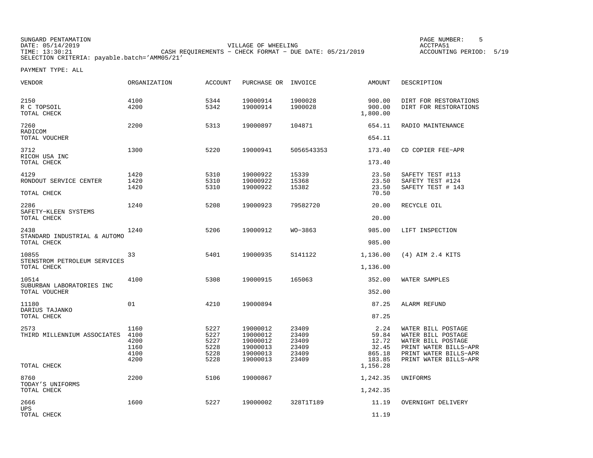SUNGARD PENTAMATION PAGE NUMBER: 5DATE: 05/14/2019 VILLAGE OF WHEELING ACCTPA51TIMES OF MILLETING CASH REQUIREMENTS - CHECK FORMAT - DUE DATE: 05/21/2019 SELECTION CRITERIA: payable.batch='AMM05/21'

ACCOUNTING PERIOD: 5/19

| VENDOR                                | ORGANIZATION                                 | ACCOUNT                                      | PURCHASE OR INVOICE                                                  |                                                    | AMOUNT                                              | DESCRIPTION                                                                                                                               |
|---------------------------------------|----------------------------------------------|----------------------------------------------|----------------------------------------------------------------------|----------------------------------------------------|-----------------------------------------------------|-------------------------------------------------------------------------------------------------------------------------------------------|
| 2150<br>R C TOPSOIL<br>TOTAL CHECK    | 4100<br>4200                                 | 5344<br>5342                                 | 19000914<br>19000914                                                 | 1900028<br>1900028                                 | 900.00<br>900.00<br>1,800.00                        | DIRT FOR RESTORATIONS<br>DIRT FOR RESTORATIONS                                                                                            |
| 7260<br>RADICOM                       | 2200                                         | 5313                                         | 19000897                                                             | 104871                                             | 654.11                                              | RADIO MAINTENANCE                                                                                                                         |
| TOTAL VOUCHER                         |                                              |                                              |                                                                      |                                                    | 654.11                                              |                                                                                                                                           |
| 3712<br>RICOH USA INC                 | 1300                                         | 5220                                         | 19000941                                                             | 5056543353                                         | 173.40                                              | CD COPIER FEE-APR                                                                                                                         |
| TOTAL CHECK                           |                                              |                                              |                                                                      |                                                    | 173.40                                              |                                                                                                                                           |
| 4129<br>RONDOUT SERVICE CENTER        | 1420<br>1420<br>1420                         | 5310<br>5310<br>5310                         | 19000922<br>19000922<br>19000922                                     | 15339<br>15368<br>15382                            | 23.50<br>23.50<br>23.50                             | SAFETY TEST #113<br>SAFETY TEST #124<br>SAFETY TEST # 143                                                                                 |
| TOTAL CHECK                           |                                              |                                              |                                                                      |                                                    | 70.50                                               |                                                                                                                                           |
| 2286<br>SAFETY-KLEEN SYSTEMS          | 1240                                         | 5208                                         | 19000923                                                             | 79582720                                           | 20.00                                               | RECYCLE OIL                                                                                                                               |
| TOTAL CHECK                           |                                              |                                              |                                                                      |                                                    | 20.00                                               |                                                                                                                                           |
| 2438<br>STANDARD INDUSTRIAL & AUTOMO  | 1240                                         | 5206                                         | 19000912                                                             | WO-3863                                            | 985.00                                              | LIFT INSPECTION                                                                                                                           |
| TOTAL CHECK                           |                                              |                                              |                                                                      |                                                    | 985.00                                              |                                                                                                                                           |
| 10855<br>STENSTROM PETROLEUM SERVICES | 33                                           | 5401                                         | 19000935                                                             | S141122                                            | 1,136.00                                            | (4) AIM 2.4 KITS                                                                                                                          |
| TOTAL CHECK                           |                                              |                                              |                                                                      |                                                    | 1,136.00                                            |                                                                                                                                           |
| 10514<br>SUBURBAN LABORATORIES INC    | 4100                                         | 5308                                         | 19000915                                                             | 165063                                             | 352.00                                              | WATER SAMPLES                                                                                                                             |
| TOTAL VOUCHER                         |                                              |                                              |                                                                      |                                                    | 352.00                                              |                                                                                                                                           |
| 11180<br>DARIUS TAJANKO               | 01                                           | 4210                                         | 19000894                                                             |                                                    | 87.25                                               | ALARM REFUND                                                                                                                              |
| TOTAL CHECK                           |                                              |                                              |                                                                      |                                                    | 87.25                                               |                                                                                                                                           |
| 2573<br>THIRD MILLENNIUM ASSOCIATES   | 1160<br>4100<br>4200<br>1160<br>4100<br>4200 | 5227<br>5227<br>5227<br>5228<br>5228<br>5228 | 19000012<br>19000012<br>19000012<br>19000013<br>19000013<br>19000013 | 23409<br>23409<br>23409<br>23409<br>23409<br>23409 | 2.24<br>59.84<br>12.72<br>32.45<br>865.18<br>183.85 | WATER BILL POSTAGE<br>WATER BILL POSTAGE<br>WATER BILL POSTAGE<br>PRINT WATER BILLS-APR<br>PRINT WATER BILLS-APR<br>PRINT WATER BILLS-APR |
| TOTAL CHECK                           |                                              |                                              |                                                                      |                                                    | 1,156.28                                            |                                                                                                                                           |
| 8760<br>TODAY'S UNIFORMS              | 2200                                         | 5106                                         | 19000867                                                             |                                                    | 1,242.35                                            | UNIFORMS                                                                                                                                  |
| TOTAL CHECK                           |                                              |                                              |                                                                      |                                                    | 1,242.35                                            |                                                                                                                                           |
| 2666<br><b>UPS</b>                    | 1600                                         | 5227                                         | 19000002                                                             | 328T1T189                                          | 11.19                                               | OVERNIGHT DELIVERY                                                                                                                        |
| TOTAL CHECK                           |                                              |                                              |                                                                      |                                                    | 11.19                                               |                                                                                                                                           |